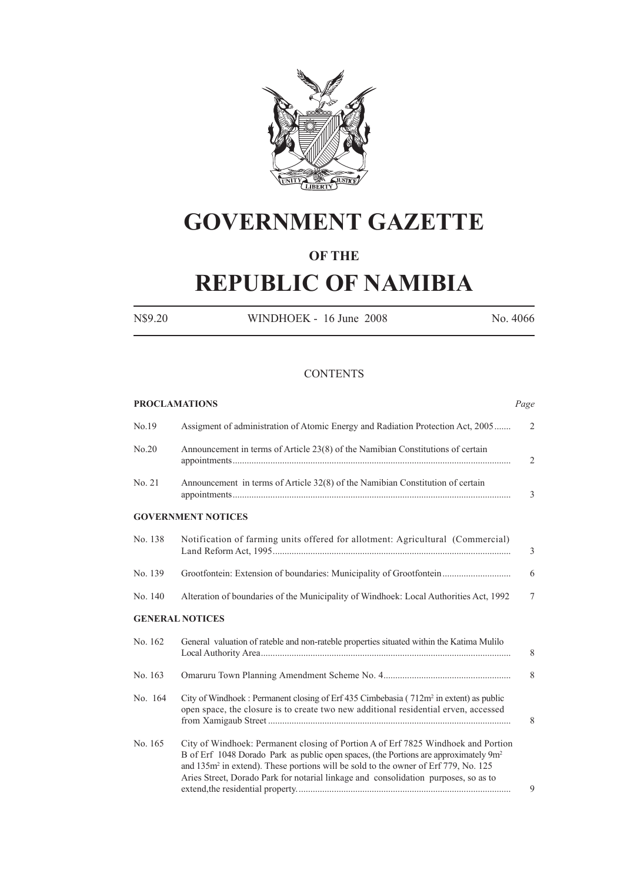

# **GOVERNMENT GAZETTE**

## **OF THE**

# **REPUBLIC OF NAMIBIA**

N\$9.20 WINDHOEK - 16 June 2008 No. 4066

#### **CONTENTS**

| <b>PROCLAMATIONS</b> |                                                                                                                                                                                                                                                                                                                                                                                | Page           |
|----------------------|--------------------------------------------------------------------------------------------------------------------------------------------------------------------------------------------------------------------------------------------------------------------------------------------------------------------------------------------------------------------------------|----------------|
| No.19                | Assigment of administration of Atomic Energy and Radiation Protection Act, 2005                                                                                                                                                                                                                                                                                                | $\overline{2}$ |
| No.20                | Announcement in terms of Article 23(8) of the Namibian Constitutions of certain                                                                                                                                                                                                                                                                                                | 2              |
| No. 21               | Announcement in terms of Article 32(8) of the Namibian Constitution of certain                                                                                                                                                                                                                                                                                                 | 3              |
|                      | <b>GOVERNMENT NOTICES</b>                                                                                                                                                                                                                                                                                                                                                      |                |
| No. 138              | Notification of farming units offered for allotment: Agricultural (Commercial)                                                                                                                                                                                                                                                                                                 | 3              |
| No. 139              | Grootfontein: Extension of boundaries: Municipality of Grootfontein                                                                                                                                                                                                                                                                                                            | 6              |
| No. 140              | Alteration of boundaries of the Municipality of Windhoek: Local Authorities Act, 1992                                                                                                                                                                                                                                                                                          | 7              |
|                      | <b>GENERAL NOTICES</b>                                                                                                                                                                                                                                                                                                                                                         |                |
| No. 162              | General valuation of rateble and non-rateble properties situated within the Katima Mulilo                                                                                                                                                                                                                                                                                      | 8              |
| No. 163              |                                                                                                                                                                                                                                                                                                                                                                                | 8              |
| No. 164              | City of Windhoek: Permanent closing of Erf 435 Cimbebasia (712m <sup>2</sup> in extent) as public<br>open space, the closure is to create two new additional residential erven, accessed                                                                                                                                                                                       | 8              |
| No. 165              | City of Windhoek: Permanent closing of Portion A of Erf 7825 Windhoek and Portion<br>B of Erf 1048 Dorado Park as public open spaces, (the Portions are approximately 9m <sup>2</sup><br>and 135m <sup>2</sup> in extend). These portions will be sold to the owner of Erf 779, No. 125<br>Aries Street, Dorado Park for notarial linkage and consolidation purposes, so as to | 9              |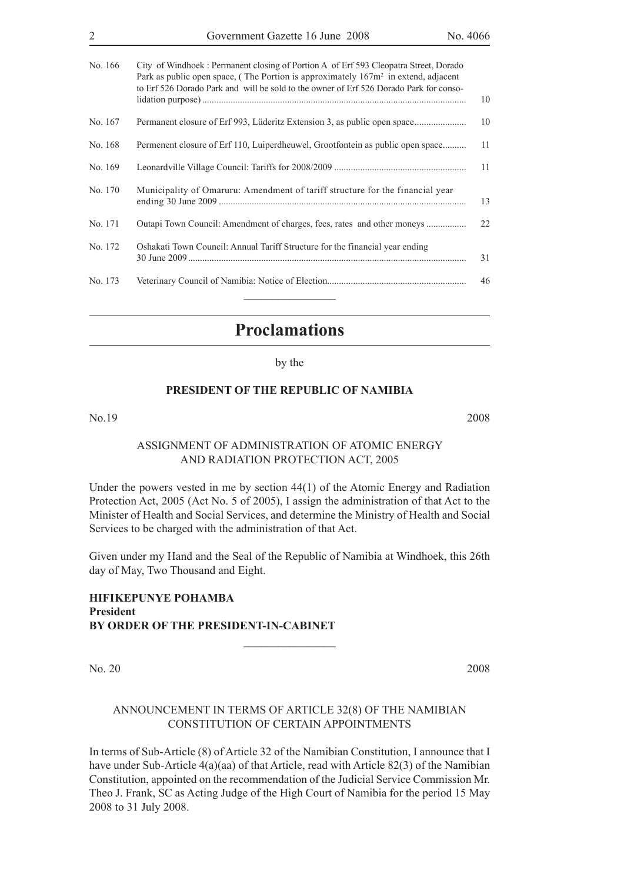| $\overline{2}$ | Government Gazette 16 June 2008<br>No. 4066                                                                                                                                                                                                                             |    |
|----------------|-------------------------------------------------------------------------------------------------------------------------------------------------------------------------------------------------------------------------------------------------------------------------|----|
| No. 166        | City of Windhoek: Permanent closing of Portion A of Erf 593 Cleopatra Street, Dorado<br>Park as public open space, (The Portion is approximately $167m^2$ in extend, adjacent<br>to Erf 526 Dorado Park and will be sold to the owner of Erf 526 Dorado Park for conso- | 10 |
| No. 167        | Permanent closure of Erf 993, Lüderitz Extension 3, as public open space                                                                                                                                                                                                | 10 |
| No. 168        | Permenent closure of Erf 110, Luiperdheuwel, Grootfontein as public open space                                                                                                                                                                                          | 11 |
| No. 169        |                                                                                                                                                                                                                                                                         | 11 |
| No. 170        | Municipality of Omaruru: Amendment of tariff structure for the financial year                                                                                                                                                                                           | 13 |
| No. 171        |                                                                                                                                                                                                                                                                         | 22 |
| No. 172        | Oshakati Town Council: Annual Tariff Structure for the financial year ending                                                                                                                                                                                            | 31 |
| No. 173        |                                                                                                                                                                                                                                                                         | 46 |

# **Proclamations**

by the

#### **PRESIDENT OF THE REPUBLIC OF NAMIBIA**

No.19 2008

#### ASSIGNMENT OF ADMINISTRATION OF ATOMIC ENERGY AND RADIATION PROTECTION ACT, 2005

Under the powers vested in me by section 44(1) of the Atomic Energy and Radiation Protection Act, 2005 (Act No. 5 of 2005), I assign the administration of that Act to the Minister of Health and Social Services, and determine the Ministry of Health and Social Services to be charged with the administration of that Act.

Given under my Hand and the Seal of the Republic of Namibia at Windhoek, this 26th day of May, Two Thousand and Eight.

 $\frac{1}{2}$  , where  $\frac{1}{2}$  , where  $\frac{1}{2}$ 

#### **Hifikepunye Pohamba President BY ORDER OF THE PRESIDENT-IN-CABINET**

No. 20 2008

#### ANNOUNCEMENT IN TERMS OF ARTICLE 32(8) OF THE NAMIBIAN CONSTITUTION OF CERTAIN APPOINTMENTS

In terms of Sub-Article (8) of Article 32 of the Namibian Constitution, I announce that I have under Sub-Article 4(a)(aa) of that Article, read with Article 82(3) of the Namibian Constitution, appointed on the recommendation of the Judicial Service Commission Mr. Theo J. Frank, SC as Acting Judge of the High Court of Namibia for the period 15 May 2008 to 31 July 2008.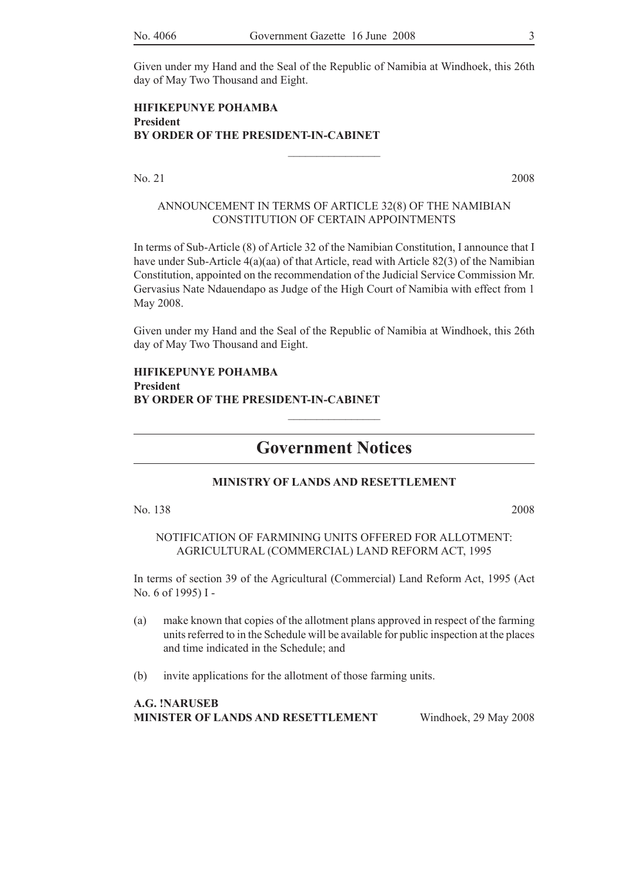Given under my Hand and the Seal of the Republic of Namibia at Windhoek, this 26th day of May Two Thousand and Eight.

#### **HIFIKEPUNYE POHAMBA President BY ORDER OF THE PRESIDENT-IN-CABINET**

No. 21 2008

#### ANNOUNCEMENT IN TERMS OF ARTICLE 32(8) OF THE NAMIBIAN CONSTITUTION OF CERTAIN APPOINTMENTS

 $\frac{1}{2}$ 

In terms of Sub-Article (8) of Article 32 of the Namibian Constitution, I announce that I have under Sub-Article 4(a)(aa) of that Article, read with Article 82(3) of the Namibian Constitution, appointed on the recommendation of the Judicial Service Commission Mr. Gervasius Nate Ndauendapo as Judge of the High Court of Namibia with effect from 1 May 2008.

Given under my Hand and the Seal of the Republic of Namibia at Windhoek, this 26th day of May Two Thousand and Eight.

#### **HIFIKEPUNYE POHAMBA President BY ORDER OF THE PRESIDENT-IN-CABINET**

# **Government Notices**

 $\frac{1}{2}$ 

#### **MINISTRY OF LANDS AND RESETTLEMENT**

No. 138 2008

NOTIFICATION OF FARMINING UNITS OFFERED FOR ALLOTMENT: AGRICULTURAL (COMMERCIAL) LAND REFORM ACT, 1995

In terms of section 39 of the Agricultural (Commercial) Land Reform Act, 1995 (Act No. 6 of 1995) I -

- (a) make known that copies of the allotment plans approved in respect of the farming units referred to in the Schedule will be available for public inspection at the places and time indicated in the Schedule; and
- (b) invite applications for the allotment of those farming units.

| A.G. !NARUSEB                      |                       |
|------------------------------------|-----------------------|
| MINISTER OF LANDS AND RESETTLEMENT | Windhoek, 29 May 2008 |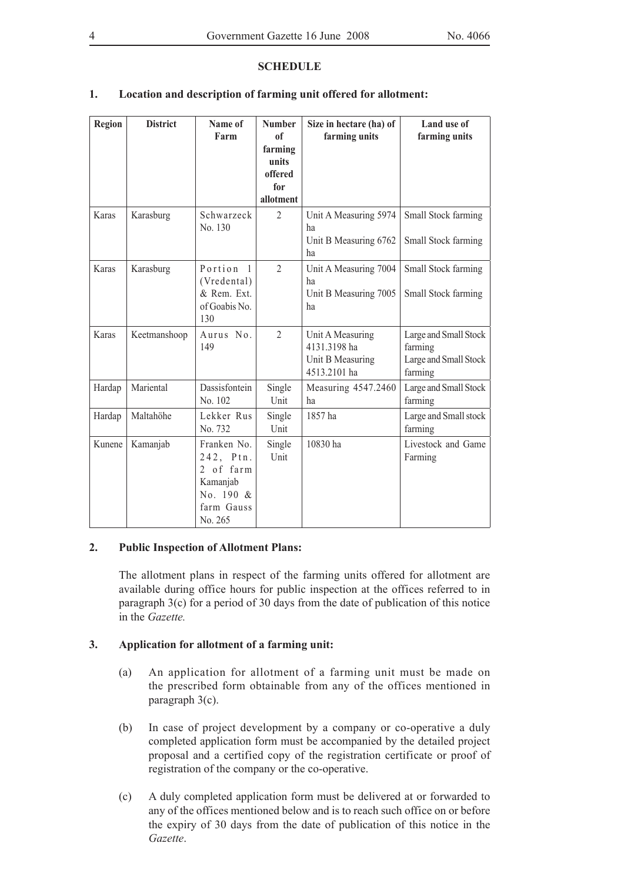#### **SCHEDULE**

### **1. Location and description of farming unit offered for allotment:**

| <b>Region</b> | <b>District</b> | Name of<br>Farm                                                                         | <b>Number</b><br>0 <sup>f</sup><br>farming<br>units<br>offered<br>for<br>allotment | Size in hectare (ha) of<br>farming units                             | Land use of<br>farming units                                         |
|---------------|-----------------|-----------------------------------------------------------------------------------------|------------------------------------------------------------------------------------|----------------------------------------------------------------------|----------------------------------------------------------------------|
| Karas         | Karasburg       | Schwarzeck<br>No. 130                                                                   | $\overline{2}$                                                                     | Unit A Measuring 5974<br>ha<br>Unit B Measuring 6762<br>ha           | Small Stock farming<br>Small Stock farming                           |
| Karas         | Karasburg       | Portion <sub>1</sub><br>(Vredental)<br>& Rem. Ext.<br>of Goabis No.<br>130              | $\overline{2}$                                                                     | Unit A Measuring 7004<br>ha<br>Unit B Measuring 7005<br>ha           | Small Stock farming<br>Small Stock farming                           |
| Karas         | Keetmanshoop    | Aurus No.<br>149                                                                        | $\overline{2}$                                                                     | Unit A Measuring<br>4131.3198 ha<br>Unit B Measuring<br>4513.2101 ha | Large and Small Stock<br>farming<br>Large and Small Stock<br>farming |
| Hardap        | Mariental       | Dassisfontein<br>No. 102                                                                | Single<br>Unit                                                                     | Measuring 4547.2460<br>ha                                            | Large and Small Stock<br>farming                                     |
| Hardap        | Maltahöhe       | Lekker Rus<br>No. 732                                                                   | Single<br>Unit                                                                     | 1857 ha                                                              | Large and Small stock<br>farming                                     |
| Kunene        | Kamanjab        | Franken No.<br>242, Ptn.<br>2 of farm<br>Kamanjab<br>No. 190 &<br>farm Gauss<br>No. 265 | Single<br>Unit                                                                     | 10830 ha                                                             | Livestock and Game<br>Farming                                        |

#### **2. Public Inspection of Allotment Plans:**

The allotment plans in respect of the farming units offered for allotment are available during office hours for public inspection at the offices referred to in paragraph 3(c) for a period of 30 days from the date of publication of this notice in the *Gazette.* 

#### **3. Application for allotment of a farming unit:**

- (a) An application for allotment of a farming unit must be made on the prescribed form obtainable from any of the offices mentioned in paragraph 3(c).
- (b) In case of project development by a company or co-operative a duly completed application form must be accompanied by the detailed project proposal and a certified copy of the registration certificate or proof of registration of the company or the co-operative.
- (c) A duly completed application form must be delivered at or forwarded to any of the offices mentioned below and is to reach such office on or before the expiry of 30 days from the date of publication of this notice in the *Gazette*.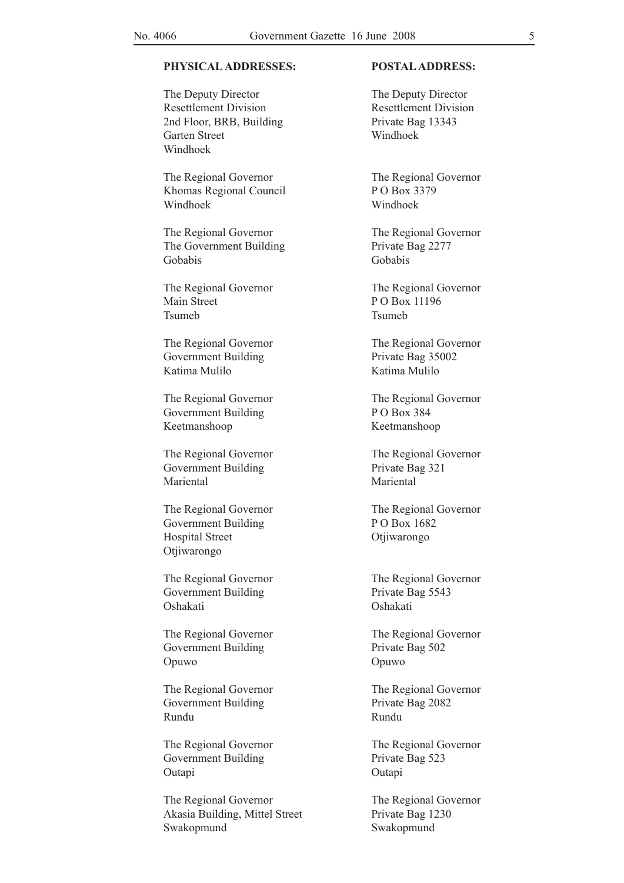#### **Physical Addresses: Postal Address:**

The Deputy Director The Deputy Director Resettlement Division<br>Resettlement Division 2nd Floor, BRB, Building Private Bag 13343 Garten Street Windhoek Windhoek

Khomas Regional Council P O Box 3379 Windhoek Windhoek

The Regional Governor<br>The Regional Governor The Government Building Private Bag 2277 Gobabis Gobabis

Main Street P O Box 11196 Tsumeb Tsumeb

Government Building Private Bag 35002 Katima Mulilo Katima Mulilo

Government Building P O Box 384 Keetmanshoop Keetmanshoop

Government Building Private Bag 321 Mariental Mariental

The Regional Governor The Regional Governor Government Building P O Box 1682 Hospital Street Otjiwarongo Otjiwarongo

Government Building Private Bag 5543 Oshakati Oshakati

Government Building Private Bag 502 Opuwo Opuwo

Government Building Private Bag 2082 Rundu Rundu

Government Building Private Bag 523 Outapi Outapi Cutapi Cutapi Cutapi Cutapi Cutapi Cutapi Cutapi Cutapi Cutapi Cutapi Cutapi Cutapi Cutapi Cutapi Cutapi Cutapi Cutapi Cutapi Cutapi Cutapi Cutapi Cutapi Cutapi Cutapi Cutapi Cutapi Cutapi Cutapi Cutapi Cutap

The Regional Governor<br>The Regional Governor Akasia Building, Mittel Street Private Bag 1230 Swakopmund Swakopmund

The Regional Governor<br>The Regional Governor

The Regional Governor The Regional Governor

The Regional Governor<br>The Regional Governor

The Regional Governor The Regional Governor

The Regional Governor<br>The Regional Governor

The Regional Governor The Regional Governor

The Regional Governor The Regional Governor

The Regional Governor<br>
The Regional Governor

The Regional Governor The Regional Governor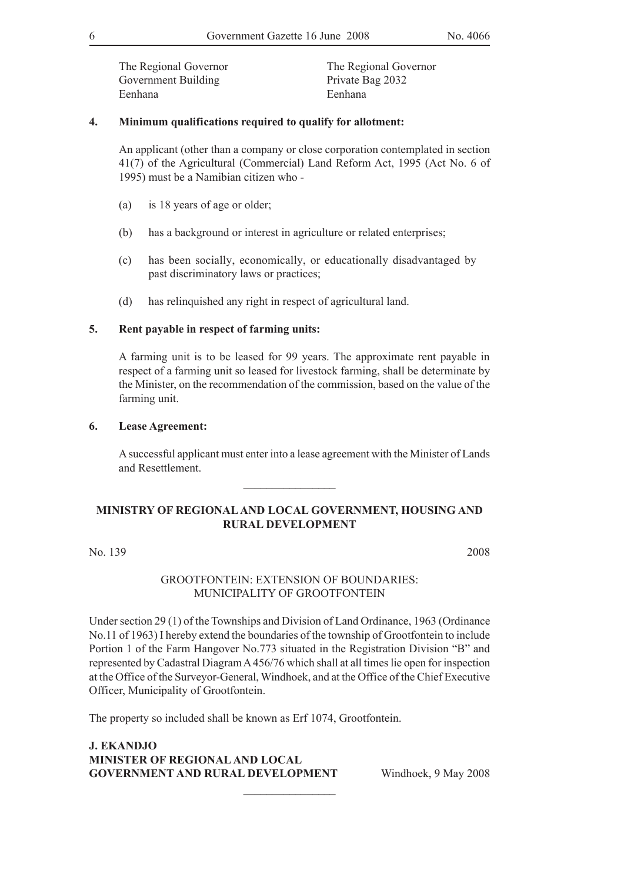Government Building Private Bag 2032 Eenhana Eenhana

The Regional Governor<br>
The Regional Governor

#### **4. Minimum qualifications required to qualify for allotment:**

An applicant (other than a company or close corporation contemplated in section 41(7) of the Agricultural (Commercial) Land Reform Act, 1995 (Act No. 6 of 1995) must be a Namibian citizen who -

- (a) is 18 years of age or older;
- (b) has a background or interest in agriculture or related enterprises;
- (c) has been socially, economically, or educationally disadvantaged by past discriminatory laws or practices;
- (d) has relinquished any right in respect of agricultural land.

#### **5. Rent payable in respect of farming units:**

A farming unit is to be leased for 99 years. The approximate rent payable in respect of a farming unit so leased for livestock farming, shall be determinate by the Minister, on the recommendation of the commission, based on the value of the farming unit.

#### **6. Lease Agreement:**

A successful applicant must enter into a lease agreement with the Minister of Lands and Resettlement.

#### **MINISTRY OF REGIONAL AND LOCAL GOVERNMENT, HOUSING AND RURAL DEVELOPMENT**

 $\frac{1}{2}$ 

No. 139 2008

#### GROOTFONTEIN: EXTENSION OF BOUNDARIES: MUNICIPALITY OF GROOTFONTEIN

Under section 29 (1) of the Townships and Division of Land Ordinance, 1963 (Ordinance No.11 of 1963) I hereby extend the boundaries of the township of Grootfontein to include Portion 1 of the Farm Hangover No.773 situated in the Registration Division "B" and represented by Cadastral Diagram A 456/76 which shall at all times lie open for inspection at the Office of the Surveyor-General, Windhoek, and at the Office of the Chief Executive Officer, Municipality of Grootfontein.

 $\frac{1}{2}$ 

The property so included shall be known as Erf 1074, Grootfontein.

**J. EKANDJO Minister of regionaland local Government and rural development** Windhoek, 9 May 2008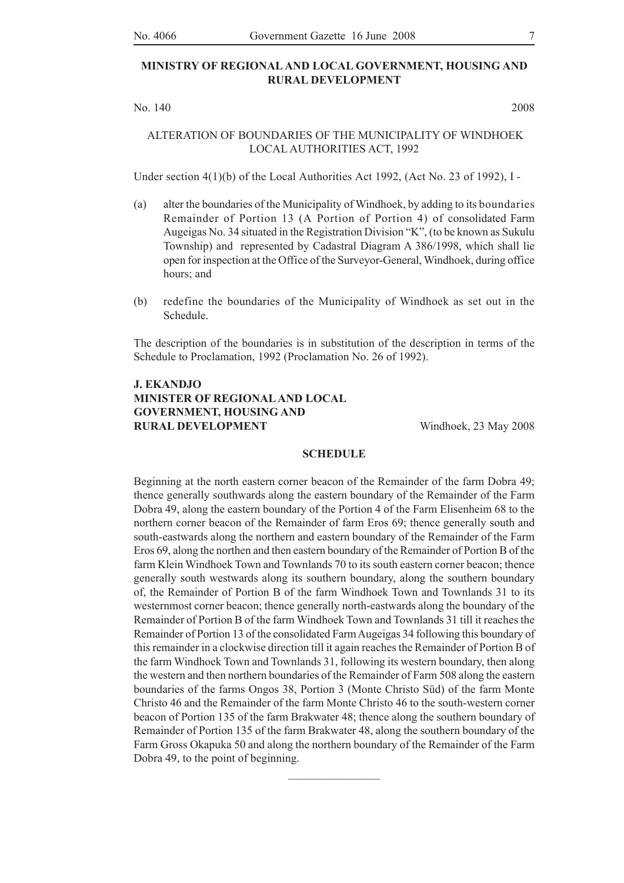#### **MINISTRY OF REGIONAL AND LOCAL GOVERNMENT, HOUSING AND RURAL DEVELOPMENT**

No. 140 2008

#### ALTERATION OF BOUNDARIES OF THE MUNICIPALITY OF WINDHOEK LOCAL AUTHORITIES ACT, 1992

Under section 4(1)(b) of the Local Authorities Act 1992, (Act No. 23 of 1992), I -

- (a) alter the boundaries of the Municipality of Windhoek, by adding to its boundaries Remainder of Portion 13 (A Portion of Portion 4) of consolidated Farm Augeigas No. 34 situated in the Registration Division "K", (to be known as Sukulu Township) and represented by Cadastral Diagram A 386/1998, which shall lie open for inspection at the Office of the Surveyor-General, Windhoek, during office hours; and
- (b) redefine the boundaries of the Municipality of Windhoek as set out in the Schedule.

The description of the boundaries is in substitution of the description in terms of the Schedule to Proclamation, 1992 (Proclamation No. 26 of 1992).

#### **J. EKANDJO Minister of regionaland local government, housing and RURAL DEVELOPMENT** Windhoek, 23 May 2008

#### **SCHEDULE**

Beginning at the north eastern corner beacon of the Remainder of the farm Dobra 49; thence generally southwards along the eastern boundary of the Remainder of the Farm Dobra 49, along the eastern boundary of the Portion 4 of the Farm Elisenheim 68 to the northern corner beacon of the Remainder of farm Eros 69; thence generally south and south-eastwards along the northern and eastern boundary of the Remainder of the Farm Eros 69, along the northen and then eastern boundary of the Remainder of Portion B of the farm Klein Windhoek Town and Townlands 70 to its south eastern corner beacon; thence generally south westwards along its southern boundary, along the southern boundary of, the Remainder of Portion B of the farm Windhoek Town and Townlands 31 to its westernmost corner beacon; thence generally north-eastwards along the boundary of the Remainder of Portion B of the farm Windhoek Town and Townlands 31 till it reaches the Remainder of Portion 13 of the consolidated Farm Augeigas 34 following this boundary of this remainder in a clockwise direction till it again reaches the Remainder of Portion B of the farm Windhoek Town and Townlands 31, following its western boundary, then along the western and then northern boundaries of the Remainder of Farm 508 along the eastern boundaries of the farms Ongos 38, Portion 3 (Monte Christo Süd) of the farm Monte Christo 46 and the Remainder of the farm Monte Christo 46 to the south-western corner beacon of Portion 135 of the farm Brakwater 48; thence along the southern boundary of Remainder of Portion 135 of the farm Brakwater 48, along the southern boundary of the Farm Gross Okapuka 50 and along the northern boundary of the Remainder of the Farm Dobra 49, to the point of beginning.

 $\frac{1}{2}$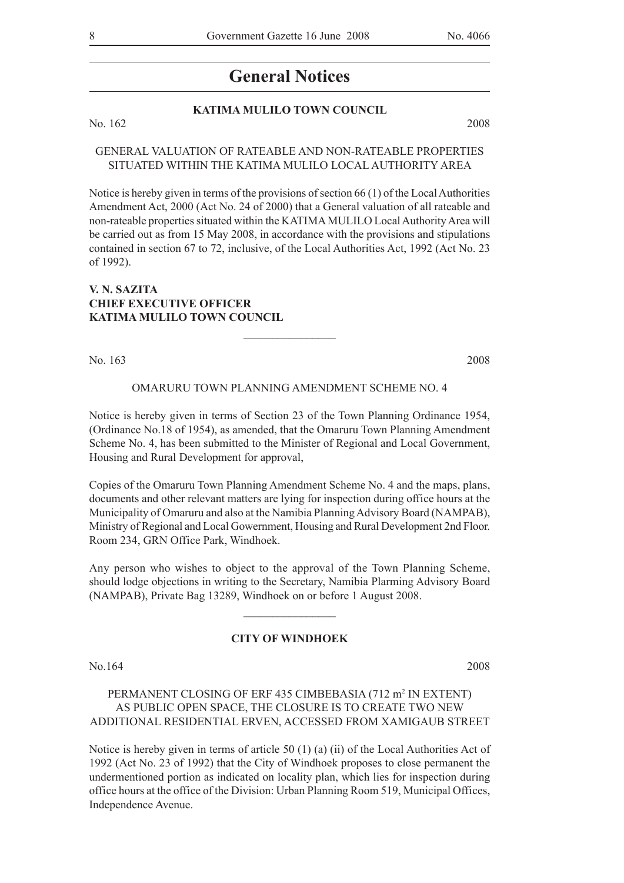### **KATIMA MULILO TOWN COUNCIL**

No. 162 2008

#### GENERAL VALUATION OF RATEABLE AND NON-RATEABLE PROPERTIES SITUATED WITHIN THE KATIMA MULILO LOCAL AUTHORITY AREA

Notice is hereby given in terms of the provisions of section 66 (1) of the Local Authorities Amendment Act, 2000 (Act No. 24 of 2000) that a General valuation of all rateable and non-rateable properties situated within the KATIMA MULILO Local Authority Area will be carried out as from 15 May 2008, in accordance with the provisions and stipulations contained in section 67 to 72, inclusive, of the Local Authorities Act, 1992 (Act No. 23 of 1992).

#### **V. N. SAZITA CHIEF EXECUTIVE OFFICER KATIMA MULILO TOWN COUNCIL**

No. 163 2008

#### OMARURU TOWN PLANNING AMENDMENT SCHEME NO. 4

 $\frac{1}{2}$  ,  $\frac{1}{2}$  ,  $\frac{1}{2}$  ,  $\frac{1}{2}$  ,  $\frac{1}{2}$  ,  $\frac{1}{2}$  ,  $\frac{1}{2}$  ,  $\frac{1}{2}$  ,  $\frac{1}{2}$ 

Notice is hereby given in terms of Section 23 of the Town Planning Ordinance 1954, (Ordinance No.18 of 1954), as amended, that the Omaruru Town Planning Amendment Scheme No. 4, has been submitted to the Minister of Regional and Local Government, Housing and Rural Development for approval,

Copies of the Omaruru Town Planning Amendment Scheme No. 4 and the maps, plans, documents and other relevant matters are lying for inspection during office hours at the Municipality of Omaruru and also at the Namibia Planning Advisory Board (NAMPAB), Ministry of Regional and Local Gowernment, Housing and Rural Development 2nd Floor. Room 234, GRN Office Park, Windhoek.

Any person who wishes to object to the approval of the Town Planning Scheme, should lodge objections in writing to the Secretary, Namibia Plarming Advisory Board (NAMPAB), Private Bag 13289, Windhoek on or before 1 August 2008.

 $\overline{\phantom{a}}$  , where  $\overline{\phantom{a}}$ 

#### **CITY OF WINDHOEK**

No.164 2008

#### PERMANENT CLOSING OF ERF 435 CIMBEBASIA (712 m<sup>2</sup> IN EXTENT) AS PUBLIC OPEN SPACE, THE CLOSURE IS TO CREATE TWO NEW ADDITIONAL RESIDENTIAL ERVEN, ACCESSED FROM XAMIGAUB STREET

Notice is hereby given in terms of article 50 (1) (a) (ii) of the Local Authorities Act of 1992 (Act No. 23 of 1992) that the City of Windhoek proposes to close permanent the undermentioned portion as indicated on locality plan, which lies for inspection during office hours at the office of the Division: Urban Planning Room 519, Municipal Offices, Independence Avenue.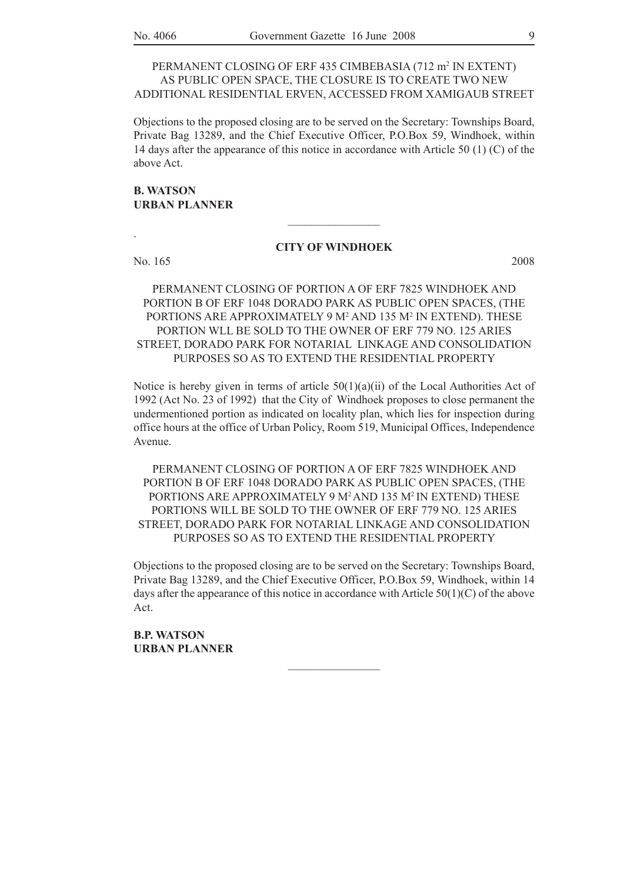#### PERMANENT CLOSING OF ERF 435 CIMBEBASIA (712 m<sup>2</sup> IN EXTENT) AS PUBLIC OPEN SPACE, THE CLOSURE IS TO CREATE TWO NEW ADDITIONAL RESIDENTIAL ERVEN, ACCESSED FROM XAMIGAUB STREET

Objections to the proposed closing are to be served on the Secretary: Townships Board, Private Bag 13289, and the Chief Executive Officer, P.O.Box 59, Windhoek, within 14 days after the appearance of this notice in accordance with Article 50 (1) (C) of the above Act.

#### **B. WATSON URBAN PLANNER**

#### **CITY OF WINDHOEK**

 $\frac{1}{2}$ 

No. 165 2008

.

PERMANENT CLOSING OF PORTION A OF ERF 7825 WINDHOEK AND PORTION B OF ERF 1048 DORADO PARK AS PUBLIC OPEN SPACES, (THE PORTIONS ARE APPROXIMATELY 9 M<sup>2</sup> AND 135 M<sup>2</sup> IN EXTEND). THESE PORTION WLL BE SOLD TO THE OWNER OF ERF 779 NO. 125 ARIES STREET, DORADO PARK FOR NOTARIAL LINKAGE AND CONSOLIDATION PURPOSES SO AS TO EXTEND THE RESIDENTIAL PROPERTY

Notice is hereby given in terms of article  $50(1)(a)(ii)$  of the Local Authorities Act of 1992 (Act No. 23 of 1992) that the City of Windhoek proposes to close permanent the undermentioned portion as indicated on locality plan, which lies for inspection during office hours at the office of Urban Policy, Room 519, Municipal Offices, Independence Avenue.

PERMANENT CLOSING OF PORTION A OF ERF 7825 WINDHOEK AND PORTION B OF ERF 1048 DORADO PARK AS PUBLIC OPEN SPACES, (THE PORTIONS ARE APPROXIMATELY 9 M<sup>2</sup> AND 135 M<sup>2</sup> IN EXTEND) THESE PORTIONS WILL BE SOLD TO THE OWNER OF ERF 779 NO. 125 ARIES STREET, DORADO PARK FOR NOTARIAL LINKAGE AND CONSOLIDATION PURPOSES SO AS TO EXTEND THE RESIDENTIAL PROPERTY

Objections to the proposed closing are to be served on the Secretary: Townships Board, Private Bag 13289, and the Chief Executive Officer, P.O.Box 59, Windhoek, within 14 days after the appearance of this notice in accordance with Article  $50(1)(C)$  of the above Act.

 $\frac{1}{2}$ 

**B.P. WATSON URBAN PLANNER**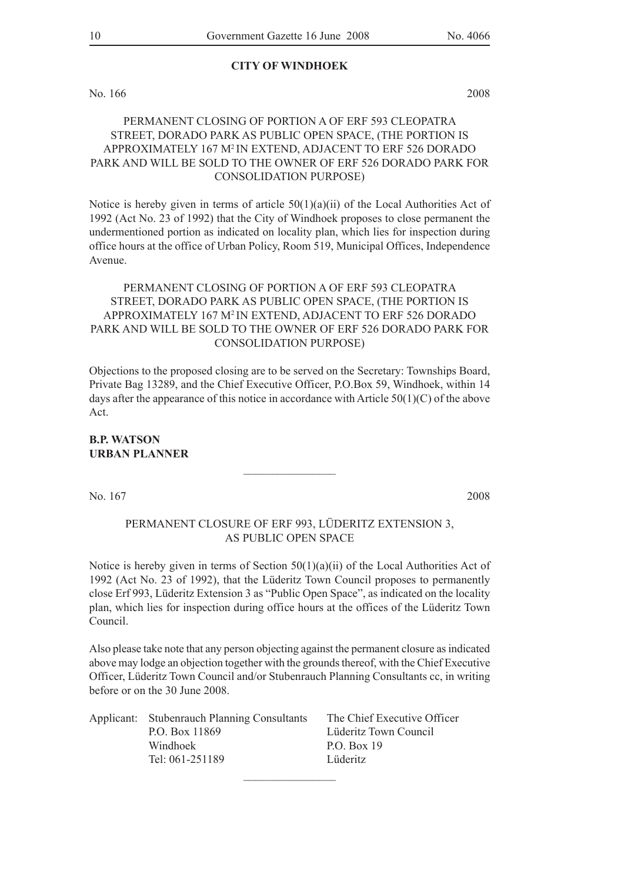#### **CITY OF WINDHOEK**

No. 166 2008

### PERMANENT CLOSING OF PORTION A OF ERF 593 CLEOPATRA STREET, DORADO PARK AS PUBLIC OPEN SPACE, (THE PORTION IS APPROXIMATELY 167 M2 IN EXTEND, ADJACENT TO ERF 526 DORADO PARK AND WILL BE SOLD TO THE OWNER OF ERF 526 DORADO PARK FOR CONSOLIDATION PURPOSE)

Notice is hereby given in terms of article  $50(1)(a)(ii)$  of the Local Authorities Act of 1992 (Act No. 23 of 1992) that the City of Windhoek proposes to close permanent the undermentioned portion as indicated on locality plan, which lies for inspection during office hours at the office of Urban Policy, Room 519, Municipal Offices, Independence Avenue.

#### PERMANENT CLOSING OF PORTION A OF ERF 593 CLEOPATRA STREET, DORADO PARK AS PUBLIC OPEN SPACE, (THE PORTION IS APPROXIMATELY 167 M2 IN EXTEND, ADJACENT TO ERF 526 DORADO PARK AND WILL BE SOLD TO THE OWNER OF ERF 526 DORADO PARK FOR CONSOLIDATION PURPOSE)

Objections to the proposed closing are to be served on the Secretary: Townships Board, Private Bag 13289, and the Chief Executive Officer, P.O.Box 59, Windhoek, within 14 days after the appearance of this notice in accordance with Article 50(1)(C) of the above Act.

#### **B.P. WATSON URBAN PLANNER**

No. 167 2008

#### PERMANENT CLOSURE OF ERF 993, LÜDERITZ EXTENSION 3, AS PUBLIC OPEN SPACE

 $\frac{1}{2}$ 

Notice is hereby given in terms of Section  $50(1)(a)(ii)$  of the Local Authorities Act of 1992 (Act No. 23 of 1992), that the Lüderitz Town Council proposes to permanently close Erf 993, Lüderitz Extension 3 as "Public Open Space", as indicated on the locality plan, which lies for inspection during office hours at the offices of the Lüderitz Town Council.

Also please take note that any person objecting against the permanent closure as indicated above may lodge an objection together with the grounds thereof, with the Chief Executive Officer, Lüderitz Town Council and/or Stubenrauch Planning Consultants cc, in writing before or on the 30 June 2008.

| Applicant: Stubenrauch Planning Consultants | The Chief Executive Officer |
|---------------------------------------------|-----------------------------|
| P.O. Box 11869                              | Lüderitz Town Council       |
| Windhoek                                    | P.O. Box 19                 |
| Tel: 061-251189                             | Lüderitz                    |
|                                             |                             |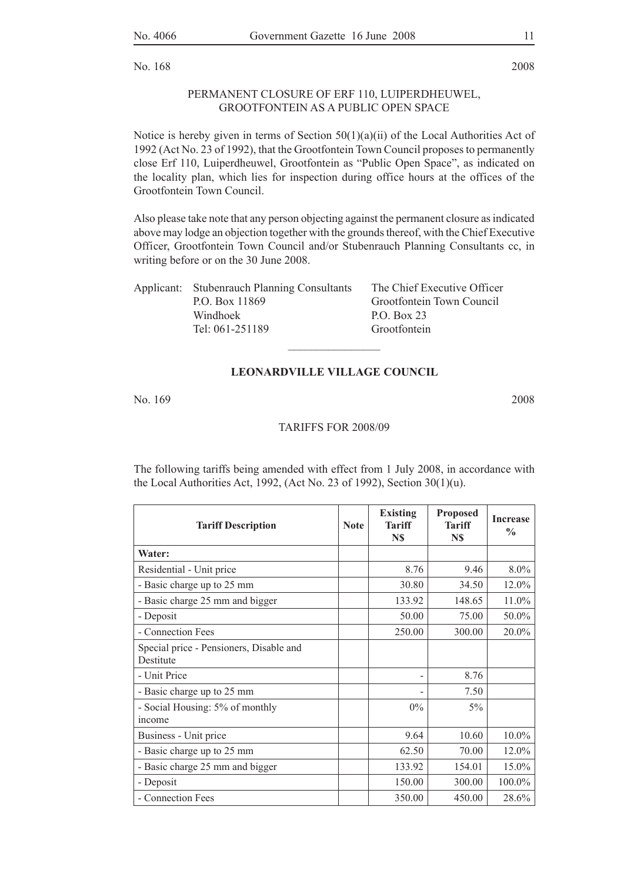No. 168 2008

#### PERMANENT CLOSURE OF ERF 110, LUIPERDHEUWEL, GROOTFONTEIN AS A PUBLIC OPEN SPACE

Notice is hereby given in terms of Section  $50(1)(a)(ii)$  of the Local Authorities Act of 1992 (Act No. 23 of 1992), that the Grootfontein Town Council proposes to permanently close Erf 110, Luiperdheuwel, Grootfontein as "Public Open Space", as indicated on the locality plan, which lies for inspection during office hours at the offices of the Grootfontein Town Council.

Also please take note that any person objecting against the permanent closure as indicated above may lodge an objection together with the grounds thereof, with the Chief Executive Officer, Grootfontein Town Council and/or Stubenrauch Planning Consultants cc, in writing before or on the 30 June 2008.

| Applicant: Stubenrauch Planning Consultants | The Chief Executive Officer |
|---------------------------------------------|-----------------------------|
| P.O. Box 11869                              | Grootfontein Town Council   |
| Windhoek                                    | P.O. Box 23                 |
| Tel: 061-251189                             | Grootfontein                |
|                                             |                             |

#### **LEONARDVILLE VILLAGE COUNCIL**

No. 169 2008

#### Tariffs for 2008/09

The following tariffs being amended with effect from 1 July 2008, in accordance with the Local Authorities Act, 1992, (Act No. 23 of 1992), Section 30(1)(u).

| <b>Tariff Description</b>                            | <b>Note</b> | <b>Existing</b><br><b>Tariff</b><br>N\$ | <b>Proposed</b><br>Tariff<br>N\$ | <b>Increase</b><br>$\frac{0}{0}$ |
|------------------------------------------------------|-------------|-----------------------------------------|----------------------------------|----------------------------------|
| Water:                                               |             |                                         |                                  |                                  |
| Residential - Unit price                             |             | 8.76                                    | 9.46                             | $8.0\%$                          |
| - Basic charge up to 25 mm                           |             | 30.80                                   | 34.50                            | 12.0%                            |
| - Basic charge 25 mm and bigger                      |             | 133.92                                  | 148.65                           | 11.0%                            |
| - Deposit                                            |             | 50.00                                   | 75.00                            | 50.0%                            |
| - Connection Fees                                    |             | 250.00                                  | 300.00                           | 20.0%                            |
| Special price - Pensioners, Disable and<br>Destitute |             |                                         |                                  |                                  |
| - Unit Price                                         |             |                                         | 8.76                             |                                  |
| - Basic charge up to 25 mm                           |             |                                         | 7.50                             |                                  |
| - Social Housing: 5% of monthly<br>income            |             | $0\%$                                   | $5\%$                            |                                  |
| Business - Unit price                                |             | 9.64                                    | 10.60                            | $10.0\%$                         |
| - Basic charge up to 25 mm                           |             | 62.50                                   | 70.00                            | $12.0\%$                         |
| - Basic charge 25 mm and bigger                      |             | 133.92                                  | 154.01                           | 15.0%                            |
| - Deposit                                            |             | 150.00                                  | 300.00                           | 100.0%                           |
| - Connection Fees                                    |             | 350.00                                  | 450.00                           | 28.6%                            |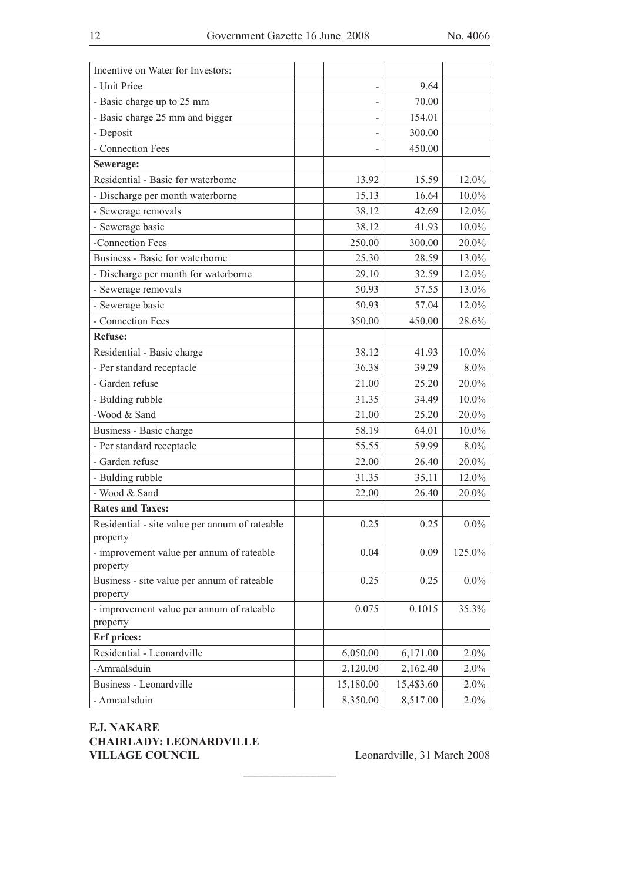| Incentive on Water for Investors:                          |                          |            |          |
|------------------------------------------------------------|--------------------------|------------|----------|
| - Unit Price                                               | $\overline{\phantom{0}}$ | 9.64       |          |
| - Basic charge up to 25 mm                                 |                          | 70.00      |          |
| - Basic charge 25 mm and bigger                            |                          | 154.01     |          |
| - Deposit                                                  |                          | 300.00     |          |
| - Connection Fees                                          |                          | 450.00     |          |
| Sewerage:                                                  |                          |            |          |
| Residential - Basic for waterbome                          | 13.92                    | 15.59      | $12.0\%$ |
| - Discharge per month waterborne                           | 15.13                    | 16.64      | $10.0\%$ |
| - Sewerage removals                                        | 38.12                    | 42.69      | 12.0%    |
| - Sewerage basic                                           | 38.12                    | 41.93      | 10.0%    |
| -Connection Fees                                           | 250.00                   | 300.00     | 20.0%    |
| Business - Basic for waterborne                            | 25.30                    | 28.59      | 13.0%    |
| - Discharge per month for waterborne                       | 29.10                    | 32.59      | 12.0%    |
| - Sewerage removals                                        | 50.93                    | 57.55      | 13.0%    |
| - Sewerage basic                                           | 50.93                    | 57.04      | 12.0%    |
| - Connection Fees                                          | 350.00                   | 450.00     | 28.6%    |
| Refuse:                                                    |                          |            |          |
| Residential - Basic charge                                 | 38.12                    | 41.93      | 10.0%    |
| - Per standard receptacle                                  | 36.38                    | 39.29      | $8.0\%$  |
| - Garden refuse                                            | 21.00                    | 25.20      | 20.0%    |
| - Bulding rubble                                           | 31.35                    | 34.49      | $10.0\%$ |
| -Wood & Sand                                               | 21.00                    | 25.20      | 20.0%    |
| Business - Basic charge                                    | 58.19                    | 64.01      | $10.0\%$ |
| - Per standard receptacle                                  | 55.55                    | 59.99      | 8.0%     |
| - Garden refuse                                            | 22.00                    | 26.40      | 20.0%    |
| - Bulding rubble                                           | 31.35                    | 35.11      | 12.0%    |
| - Wood & Sand                                              | 22.00                    | 26.40      | 20.0%    |
| <b>Rates and Taxes:</b>                                    |                          |            |          |
| Residential - site value per annum of rateable<br>property | 0.25                     | 0.25       | $0.0\%$  |
| - improvement value per annum of rateable<br>property      | 0.04                     | 0.09       | 125.0%   |
| Business - site value per annum of rateable                | 0.25                     | 0.25       | $0.0\%$  |
| property                                                   |                          |            |          |
| - improvement value per annum of rateable                  | 0.075                    | 0.1015     | 35.3%    |
| property                                                   |                          |            |          |
| <b>Erf</b> prices:                                         |                          |            |          |
| Residential - Leonardville                                 | 6,050.00                 | 6,171.00   | $2.0\%$  |
| -Amraalsduin                                               | 2,120.00                 | 2,162.40   | $2.0\%$  |
| Business - Leonardville                                    | 15,180.00                | 15,4\$3.60 | 2.0%     |
| - Amraalsduin                                              | 8,350.00                 | 8,517.00   | $2.0\%$  |

 $\frac{1}{2}$  , where  $\frac{1}{2}$  , where  $\frac{1}{2}$ 

**F.J. NAKARE CHAIRLADY: LEONARDVILLE**  VILLAGE COUNCIL Leonardville, 31 March 2008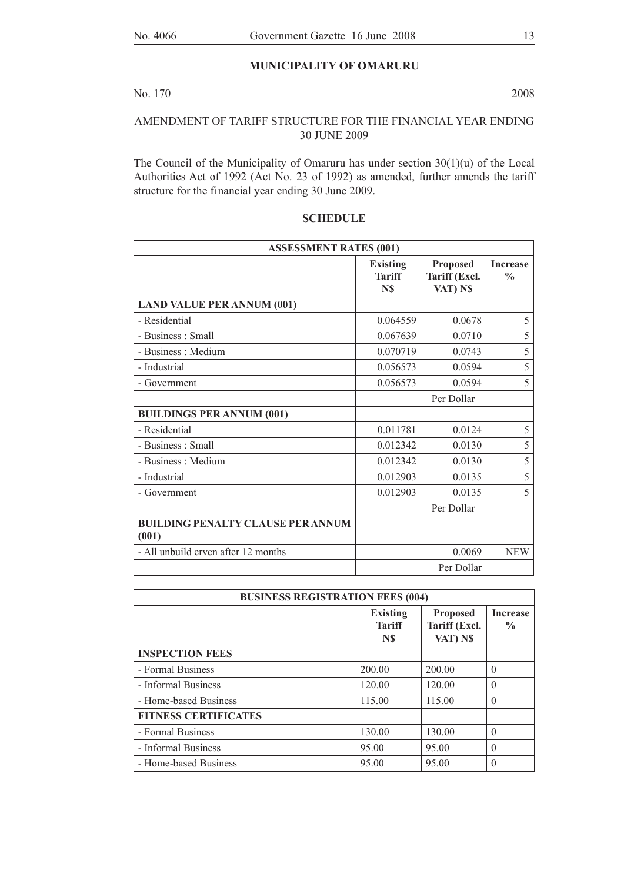#### **MUNICIPALITY OF OMARURU**

#### No. 170 2008

#### AMENDMENT OF TARIFF STRUCTURE FOR THE FINANCIAL YEAR ENDING 30 JUNE 2009

The Council of the Municipality of Omaruru has under section 30(1)(u) of the Local Authorities Act of 1992 (Act No. 23 of 1992) as amended, further amends the tariff structure for the financial year ending 30 June 2009.

| <b>ASSESSMENT RATES (001)</b>                     |                                         |                                              |                                  |  |
|---------------------------------------------------|-----------------------------------------|----------------------------------------------|----------------------------------|--|
|                                                   | <b>Existing</b><br><b>Tariff</b><br>N\$ | <b>Proposed</b><br>Tariff (Excl.<br>VAT) N\$ | <b>Increase</b><br>$\frac{0}{0}$ |  |
| <b>LAND VALUE PER ANNUM (001)</b>                 |                                         |                                              |                                  |  |
| - Residential                                     | 0.064559                                | 0.0678                                       | 5                                |  |
| - Business: Small                                 | 0.067639                                | 0.0710                                       | 5                                |  |
| - Business: Medium                                | 0.070719                                | 0.0743                                       | 5                                |  |
| - Industrial                                      | 0.056573                                | 0.0594                                       | 5                                |  |
| - Government                                      | 0.056573                                | 0.0594                                       | 5                                |  |
|                                                   |                                         | Per Dollar                                   |                                  |  |
| <b>BUILDINGS PER ANNUM (001)</b>                  |                                         |                                              |                                  |  |
| - Residential                                     | 0.011781                                | 0.0124                                       | 5                                |  |
| - Business: Small                                 | 0.012342                                | 0.0130                                       | 5                                |  |
| - Business: Medium                                | 0.012342                                | 0.0130                                       | 5                                |  |
| - Industrial                                      | 0.012903                                | 0.0135                                       | 5                                |  |
| - Government                                      | 0.012903                                | 0.0135                                       | 5                                |  |
|                                                   |                                         | Per Dollar                                   |                                  |  |
| <b>BUILDING PENALTY CLAUSE PER ANNUM</b><br>(001) |                                         |                                              |                                  |  |
| - All unbuild erven after 12 months               |                                         | 0.0069                                       | <b>NEW</b>                       |  |
|                                                   |                                         | Per Dollar                                   |                                  |  |

#### **SCHEDULE**

| <b>BUSINESS REGISTRATION FEES (004)</b> |                                         |                                              |                                  |  |  |
|-----------------------------------------|-----------------------------------------|----------------------------------------------|----------------------------------|--|--|
|                                         | <b>Existing</b><br><b>Tariff</b><br>N\$ | <b>Proposed</b><br>Tariff (Excl.<br>VAT) N\$ | <b>Increase</b><br>$\frac{0}{0}$ |  |  |
| <b>INSPECTION FEES</b>                  |                                         |                                              |                                  |  |  |
| - Formal Business                       | 200.00                                  | 200.00                                       | $\theta$                         |  |  |
| - Informal Business                     | 120.00                                  | 120.00                                       | $\Omega$                         |  |  |
| - Home-based Business                   | 115.00                                  | 115.00                                       | $\theta$                         |  |  |
| <b>FITNESS CERTIFICATES</b>             |                                         |                                              |                                  |  |  |
| - Formal Business                       | 130.00                                  | 130.00                                       | $\Omega$                         |  |  |
| - Informal Business                     | 95.00                                   | 95.00                                        | $\theta$                         |  |  |
| - Home-based Business                   | 95.00                                   | 95.00                                        | $\theta$                         |  |  |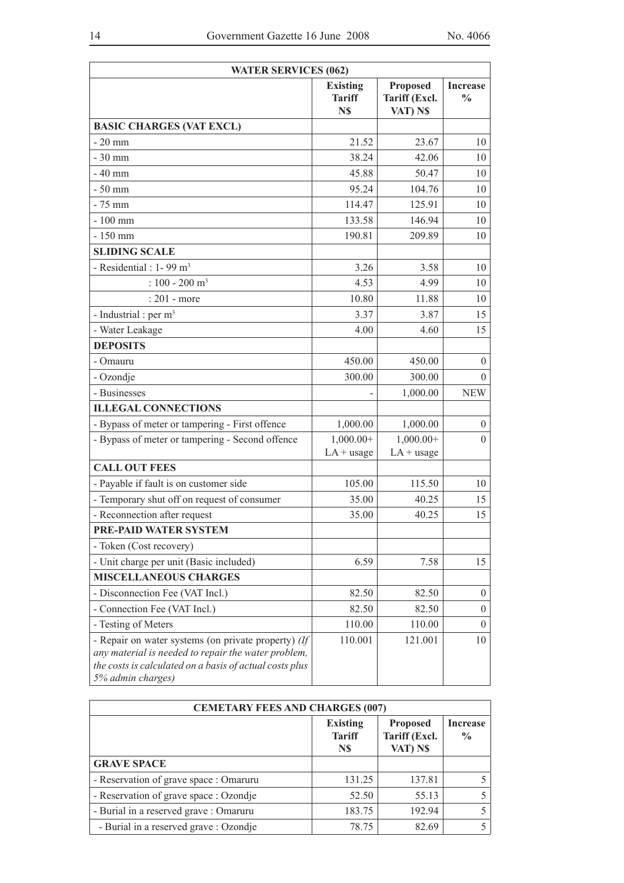| <b>WATER SERVICES (062)</b>                                                                                                                                                                |                                         |                                              |                                  |  |
|--------------------------------------------------------------------------------------------------------------------------------------------------------------------------------------------|-----------------------------------------|----------------------------------------------|----------------------------------|--|
|                                                                                                                                                                                            | <b>Existing</b><br><b>Tariff</b><br>N\$ | <b>Proposed</b><br>Tariff (Excl.<br>VAT) N\$ | <b>Increase</b><br>$\frac{0}{0}$ |  |
| <b>BASIC CHARGES (VAT EXCL)</b>                                                                                                                                                            |                                         |                                              |                                  |  |
| $-20$ mm                                                                                                                                                                                   | 21.52                                   | 23.67                                        | 10                               |  |
| $-30$ mm                                                                                                                                                                                   | 38.24                                   | 42.06                                        | 10                               |  |
| $-40$ mm                                                                                                                                                                                   | 45.88                                   | 50.47                                        | 10                               |  |
| $-50$ mm                                                                                                                                                                                   | 95.24                                   | 104.76                                       | 10                               |  |
| $-75$ mm                                                                                                                                                                                   | 114.47                                  | 125.91                                       | 10                               |  |
| $-100$ mm                                                                                                                                                                                  | 133.58                                  | 146.94                                       | 10                               |  |
| $-150$ mm                                                                                                                                                                                  | 190.81                                  | 209.89                                       | 10                               |  |
| <b>SLIDING SCALE</b>                                                                                                                                                                       |                                         |                                              |                                  |  |
| - Residential : $1 - 99$ m <sup>3</sup>                                                                                                                                                    | 3.26                                    | 3.58                                         | 10                               |  |
| : $100 - 200$ m <sup>3</sup>                                                                                                                                                               | 4.53                                    | 4.99                                         | 10                               |  |
| $: 201$ - more                                                                                                                                                                             | 10.80                                   | 11.88                                        | 10                               |  |
| - Industrial : per $m3$                                                                                                                                                                    | 3.37                                    | 3.87                                         | 15                               |  |
| - Water Leakage                                                                                                                                                                            | 4.00                                    | 4.60                                         | 15                               |  |
| <b>DEPOSITS</b>                                                                                                                                                                            |                                         |                                              |                                  |  |
| - Omauru                                                                                                                                                                                   | 450.00                                  | 450.00                                       | $\overline{0}$                   |  |
| - Ozondje                                                                                                                                                                                  | 300.00                                  | 300.00                                       | $\overline{0}$                   |  |
| - Businesses                                                                                                                                                                               |                                         | 1,000.00                                     | <b>NEW</b>                       |  |
| <b>ILLEGAL CONNECTIONS</b>                                                                                                                                                                 |                                         |                                              |                                  |  |
| - Bypass of meter or tampering - First offence                                                                                                                                             | 1,000.00                                | 1,000.00                                     | $\boldsymbol{0}$                 |  |
| - Bypass of meter or tampering - Second offence                                                                                                                                            | $1,000.00+$                             | $1,000.00+$                                  | $\overline{0}$                   |  |
|                                                                                                                                                                                            | $LA + usage$                            | $LA + usage$                                 |                                  |  |
| <b>CALL OUT FEES</b>                                                                                                                                                                       |                                         |                                              |                                  |  |
| - Payable if fault is on customer side                                                                                                                                                     | 105.00                                  | 115.50                                       | 10                               |  |
| - Temporary shut off on request of consumer                                                                                                                                                | 35.00                                   | 40.25                                        | 15                               |  |
| - Reconnection after request                                                                                                                                                               | 35.00                                   | 40.25                                        | 15                               |  |
| PRE-PAID WATER SYSTEM                                                                                                                                                                      |                                         |                                              |                                  |  |
| - Token (Cost recovery)                                                                                                                                                                    |                                         |                                              |                                  |  |
| - Unit charge per unit (Basic included)                                                                                                                                                    | 6.59                                    | 7.58                                         | 15                               |  |
| <b>MISCELLANEOUS CHARGES</b>                                                                                                                                                               |                                         |                                              |                                  |  |
| - Disconnection Fee (VAT Incl.)                                                                                                                                                            | 82.50                                   | 82.50                                        | $\overline{0}$                   |  |
| - Connection Fee (VAT Incl.)                                                                                                                                                               | 82.50                                   | 82.50                                        | $\overline{0}$                   |  |
| - Testing of Meters                                                                                                                                                                        | 110.00                                  | 110.00                                       | $\Omega$                         |  |
| - Repair on water systems (on private property) (If<br>any material is needed to repair the water problem,<br>the costs is calculated on a basis of actual costs plus<br>5% admin charges) | 110.001                                 | 121.001                                      | 10                               |  |

| <b>CEMETARY FEES AND CHARGES (007)</b> |                                         |                                              |                                  |  |
|----------------------------------------|-----------------------------------------|----------------------------------------------|----------------------------------|--|
|                                        | <b>Existing</b><br><b>Tariff</b><br>N\$ | <b>Proposed</b><br>Tariff (Excl.<br>VAT) N\$ | <b>Increase</b><br>$\frac{0}{0}$ |  |
| <b>GRAVE SPACE</b>                     |                                         |                                              |                                  |  |
| - Reservation of grave space : Omaruru | 131.25                                  | 137.81                                       |                                  |  |
| - Reservation of grave space : Ozondje | 52.50                                   | 55.13                                        |                                  |  |
| - Burial in a reserved grave : Omaruru | 183.75                                  | 192.94                                       |                                  |  |
| - Burial in a reserved grave : Ozondje | 78.75                                   | 82.69                                        |                                  |  |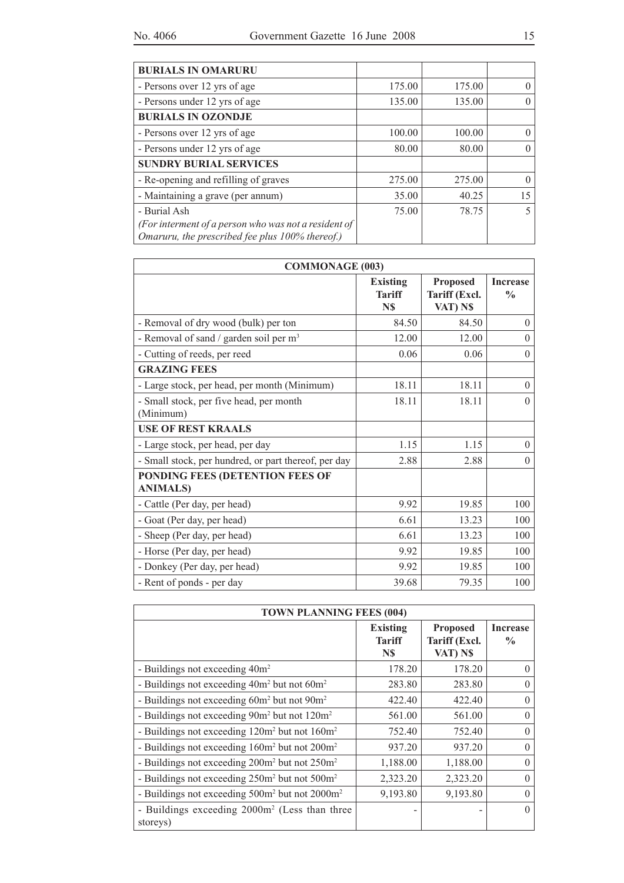| <b>BURIALS IN OMARURU</b>                                                                               |        |        |    |
|---------------------------------------------------------------------------------------------------------|--------|--------|----|
| - Persons over 12 yrs of age                                                                            | 175.00 | 175.00 |    |
| - Persons under 12 yrs of age                                                                           | 135.00 | 135.00 |    |
| <b>BURIALS IN OZONDJE</b>                                                                               |        |        |    |
| - Persons over 12 yrs of age                                                                            | 100.00 | 100.00 |    |
| - Persons under 12 yrs of age                                                                           | 80.00  | 80.00  |    |
| <b>SUNDRY BURIAL SERVICES</b>                                                                           |        |        |    |
| - Re-opening and refilling of graves                                                                    | 275.00 | 275.00 |    |
| - Maintaining a grave (per annum)                                                                       | 35.00  | 40.25  | 15 |
| - Burial Ash                                                                                            | 75.00  | 78.75  |    |
| (For interment of a person who was not a resident of<br>Omaruru, the prescribed fee plus 100% thereof.) |        |        |    |

| <b>COMMONAGE (003)</b>                               |                                         |                                              |                                  |
|------------------------------------------------------|-----------------------------------------|----------------------------------------------|----------------------------------|
|                                                      | <b>Existing</b><br><b>Tariff</b><br>N\$ | <b>Proposed</b><br>Tariff (Excl.<br>VAT) N\$ | <b>Increase</b><br>$\frac{0}{0}$ |
| - Removal of dry wood (bulk) per ton                 | 84.50                                   | 84.50                                        | $\theta$                         |
| - Removal of sand / garden soil per $m3$             | 12.00                                   | 12.00                                        | $\theta$                         |
| - Cutting of reeds, per reed                         | 0.06                                    | 0.06                                         | $\theta$                         |
| <b>GRAZING FEES</b>                                  |                                         |                                              |                                  |
| - Large stock, per head, per month (Minimum)         | 18.11                                   | 18.11                                        | $\theta$                         |
| - Small stock, per five head, per month<br>(Minimum) | 18.11                                   | 18.11                                        | $\theta$                         |
| <b>USE OF REST KRAALS</b>                            |                                         |                                              |                                  |
| - Large stock, per head, per day                     | 1.15                                    | 1.15                                         | $\theta$                         |
| - Small stock, per hundred, or part thereof, per day | 2.88                                    | 2.88                                         | $\theta$                         |
| PONDING FEES (DETENTION FEES OF<br><b>ANIMALS)</b>   |                                         |                                              |                                  |
| - Cattle (Per day, per head)                         | 9.92                                    | 19.85                                        | 100                              |
| - Goat (Per day, per head)                           | 6.61                                    | 13.23                                        | 100                              |
| - Sheep (Per day, per head)                          | 6.61                                    | 13.23                                        | 100                              |
| - Horse (Per day, per head)                          | 9.92                                    | 19.85                                        | 100                              |
| - Donkey (Per day, per head)                         | 9.92                                    | 19.85                                        | 100                              |
| - Rent of ponds - per day                            | 39.68                                   | 79.35                                        | 100                              |

| <b>TOWN PLANNING FEES (004)</b>                                        |                                         |                                              |                                  |
|------------------------------------------------------------------------|-----------------------------------------|----------------------------------------------|----------------------------------|
|                                                                        | <b>Existing</b><br><b>Tariff</b><br>N\$ | <b>Proposed</b><br>Tariff (Excl.<br>VAT) N\$ | <b>Increase</b><br>$\frac{0}{0}$ |
| - Buildings not exceeding 40m <sup>2</sup>                             | 178.20                                  | 178.20                                       | $\Omega$                         |
| - Buildings not exceeding $40m^2$ but not $60m^2$                      | 283.80                                  | 283.80                                       | $\Omega$                         |
| - Buildings not exceeding 60m <sup>2</sup> but not 90m <sup>2</sup>    | 422.40                                  | 422.40                                       | $\Omega$                         |
| - Buildings not exceeding 90m <sup>2</sup> but not 120m <sup>2</sup>   | 561.00                                  | 561.00                                       | $\Omega$                         |
| - Buildings not exceeding 120m <sup>2</sup> but not 160m <sup>2</sup>  | 752.40                                  | 752.40                                       | $\Omega$                         |
| - Buildings not exceeding 160m <sup>2</sup> but not 200m <sup>2</sup>  | 937.20                                  | 937.20                                       | $\Omega$                         |
| - Buildings not exceeding 200m <sup>2</sup> but not 250m <sup>2</sup>  | 1,188.00                                | 1,188.00                                     | $\Omega$                         |
| - Buildings not exceeding 250m <sup>2</sup> but not 500m <sup>2</sup>  | 2,323.20                                | 2,323.20                                     | $\Omega$                         |
| - Buildings not exceeding 500m <sup>2</sup> but not 2000m <sup>2</sup> | 9,193.80                                | 9,193.80                                     | $\Omega$                         |
| - Buildings exceeding 2000m <sup>2</sup> (Less than three<br>storeys)  |                                         |                                              | $\Omega$                         |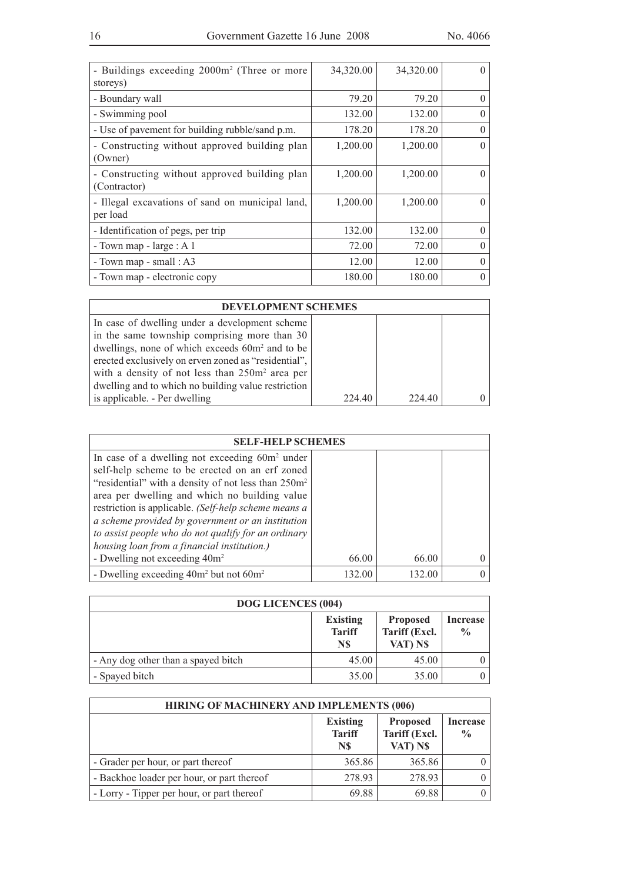| - Buildings exceeding 2000m <sup>2</sup> (Three or more<br>storeys) | 34,320.00 | 34,320.00 | 0        |
|---------------------------------------------------------------------|-----------|-----------|----------|
| - Boundary wall                                                     | 79.20     | 79.20     | $\theta$ |
| - Swimming pool                                                     | 132.00    | 132.00    | $\Omega$ |
| - Use of pavement for building rubble/sand p.m.                     | 178.20    | 178.20    | $\theta$ |
| - Constructing without approved building plan<br>(Owner)            | 1,200.00  | 1,200.00  | $\Omega$ |
| - Constructing without approved building plan<br>(Contractor)       | 1,200.00  | 1,200.00  | $\left($ |
| - Illegal excavations of sand on municipal land,<br>per load        | 1,200.00  | 1,200.00  | $\Omega$ |
| - Identification of pegs, per trip                                  | 132.00    | 132.00    | $\theta$ |
| - Town map - $large: A1$                                            | 72.00     | 72.00     | $\Omega$ |
| - Town map - small : $A3$                                           | 12.00     | 12.00     | $\theta$ |
| - Town map - electronic copy                                        | 180.00    | 180.00    | $\Omega$ |

| <b>DEVELOPMENT SCHEMES</b>                                  |        |        |  |
|-------------------------------------------------------------|--------|--------|--|
| In case of dwelling under a development scheme              |        |        |  |
| in the same township comprising more than $30$              |        |        |  |
| dwellings, none of which exceeds 60m <sup>2</sup> and to be |        |        |  |
| erected exclusively on erven zoned as "residential",        |        |        |  |
| with a density of not less than $250m^2$ area per           |        |        |  |
| dwelling and to which no building value restriction         |        |        |  |
| is applicable. - Per dwelling                               | 224.40 | 224.40 |  |

| <b>SELF-HELP SCHEMES</b>                                        |        |        |  |
|-----------------------------------------------------------------|--------|--------|--|
| In case of a dwelling not exceeding $60m^2$ under               |        |        |  |
| self-help scheme to be erected on an erf zoned                  |        |        |  |
| "residential" with a density of not less than 250m <sup>2</sup> |        |        |  |
| area per dwelling and which no building value                   |        |        |  |
| restriction is applicable. (Self-help scheme means a            |        |        |  |
| a scheme provided by government or an institution               |        |        |  |
| to assist people who do not qualify for an ordinary             |        |        |  |
| housing loan from a financial institution.)                     |        |        |  |
| - Dwelling not exceeding 40m <sup>2</sup>                       | 66.00  | 66.00  |  |
| - Dwelling exceeding $40m^2$ but not $60m^2$                    | 132.00 | 132.00 |  |

| <b>DOG LICENCES (004)</b>           |                                         |                                              |                           |
|-------------------------------------|-----------------------------------------|----------------------------------------------|---------------------------|
|                                     | <b>Existing</b><br><b>Tariff</b><br>N\$ | <b>Proposed</b><br>Tariff (Excl.<br>VAT) N\$ | Increase<br>$\frac{0}{0}$ |
| - Any dog other than a spayed bitch | 45.00                                   | 45.00                                        |                           |
| - Spayed bitch                      | 35.00                                   | 35.00                                        |                           |

| HIRING OF MACHINERY AND IMPLEMENTS (006)   |                                         |                                              |                                  |
|--------------------------------------------|-----------------------------------------|----------------------------------------------|----------------------------------|
|                                            | <b>Existing</b><br><b>Tariff</b><br>N\$ | <b>Proposed</b><br>Tariff (Excl.<br>VAT) N\$ | <b>Increase</b><br>$\frac{0}{0}$ |
| - Grader per hour, or part thereof         | 365.86                                  | 365.86                                       |                                  |
| - Backhoe loader per hour, or part thereof | 278.93                                  | 278.93                                       |                                  |
| - Lorry - Tipper per hour, or part thereof | 69.88                                   | 69.88                                        |                                  |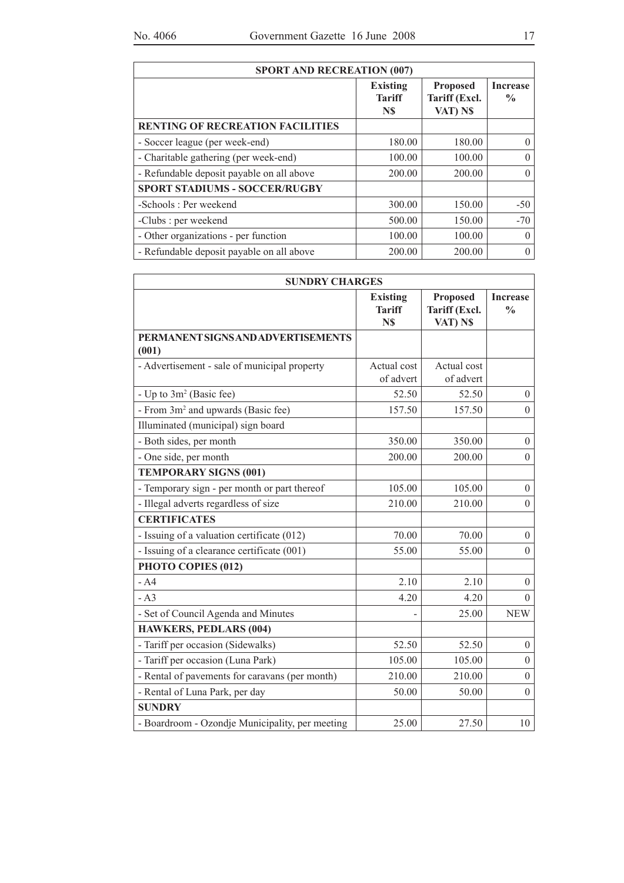| <b>SPORT AND RECREATION (007)</b>         |                                         |                                              |                                  |
|-------------------------------------------|-----------------------------------------|----------------------------------------------|----------------------------------|
|                                           | <b>Existing</b><br><b>Tariff</b><br>N\$ | <b>Proposed</b><br>Tariff (Excl.<br>VAT) N\$ | <b>Increase</b><br>$\frac{6}{9}$ |
| <b>RENTING OF RECREATION FACILITIES</b>   |                                         |                                              |                                  |
| - Soccer league (per week-end)            | 180.00                                  | 180.00                                       | 0                                |
| - Charitable gathering (per week-end)     | 100.00                                  | 100.00                                       | $\Omega$                         |
| - Refundable deposit payable on all above | 200.00                                  | 200.00                                       | 0                                |
| <b>SPORT STADIUMS - SOCCER/RUGBY</b>      |                                         |                                              |                                  |
| -Schools: Per weekend                     | 300.00                                  | 150.00                                       | $-50$                            |
| -Clubs : per weekend                      | 500.00                                  | 150.00                                       | $-70$                            |
| - Other organizations - per function      | 100.00                                  | 100.00                                       | 0                                |
| - Refundable deposit payable on all above | 200.00                                  | 200.00                                       | $\Omega$                         |

| <b>SUNDRY CHARGES</b>                           |                                         |                                              |                                  |
|-------------------------------------------------|-----------------------------------------|----------------------------------------------|----------------------------------|
|                                                 | <b>Existing</b><br><b>Tariff</b><br>N\$ | <b>Proposed</b><br>Tariff (Excl.<br>VAT) N\$ | <b>Increase</b><br>$\frac{0}{0}$ |
| PERMANENT SIGNS AND ADVERTISEMENTS<br>(001)     |                                         |                                              |                                  |
| - Advertisement - sale of municipal property    | Actual cost<br>of advert                | Actual cost<br>of advert                     |                                  |
| - Up to 3m <sup>2</sup> (Basic fee)             | 52.50                                   | 52.50                                        | $\theta$                         |
| - From 3m <sup>2</sup> and upwards (Basic fee)  | 157.50                                  | 157.50                                       | $\overline{0}$                   |
| Illuminated (municipal) sign board              |                                         |                                              |                                  |
| - Both sides, per month                         | 350.00                                  | 350.00                                       | $\boldsymbol{0}$                 |
| - One side, per month                           | 200.00                                  | 200.00                                       | $\overline{0}$                   |
| <b>TEMPORARY SIGNS (001)</b>                    |                                         |                                              |                                  |
| - Temporary sign - per month or part thereof    | 105.00                                  | 105.00                                       | $\overline{0}$                   |
| - Illegal adverts regardless of size            | 210.00                                  | 210.00                                       | $\boldsymbol{0}$                 |
| <b>CERTIFICATES</b>                             |                                         |                                              |                                  |
| - Issuing of a valuation certificate (012)      | 70.00                                   | 70.00                                        | $\overline{0}$                   |
| - Issuing of a clearance certificate (001)      | 55.00                                   | 55.00                                        | $\boldsymbol{0}$                 |
| PHOTO COPIES (012)                              |                                         |                                              |                                  |
| $- A4$                                          | 2.10                                    | 2.10                                         | $\overline{0}$                   |
| $- A3$                                          | 4.20                                    | 4.20                                         | $\theta$                         |
| - Set of Council Agenda and Minutes             |                                         | 25.00                                        | <b>NEW</b>                       |
| <b>HAWKERS, PEDLARS (004)</b>                   |                                         |                                              |                                  |
| - Tariff per occasion (Sidewalks)               | 52.50                                   | 52.50                                        | $\overline{0}$                   |
| - Tariff per occasion (Luna Park)               | 105.00                                  | 105.00                                       | $\boldsymbol{0}$                 |
| - Rental of pavements for caravans (per month)  | 210.00                                  | 210.00                                       | $\boldsymbol{0}$                 |
| - Rental of Luna Park, per day                  | 50.00                                   | 50.00                                        | $\overline{0}$                   |
| <b>SUNDRY</b>                                   |                                         |                                              |                                  |
| - Boardroom - Ozondje Municipality, per meeting | 25.00                                   | 27.50                                        | 10                               |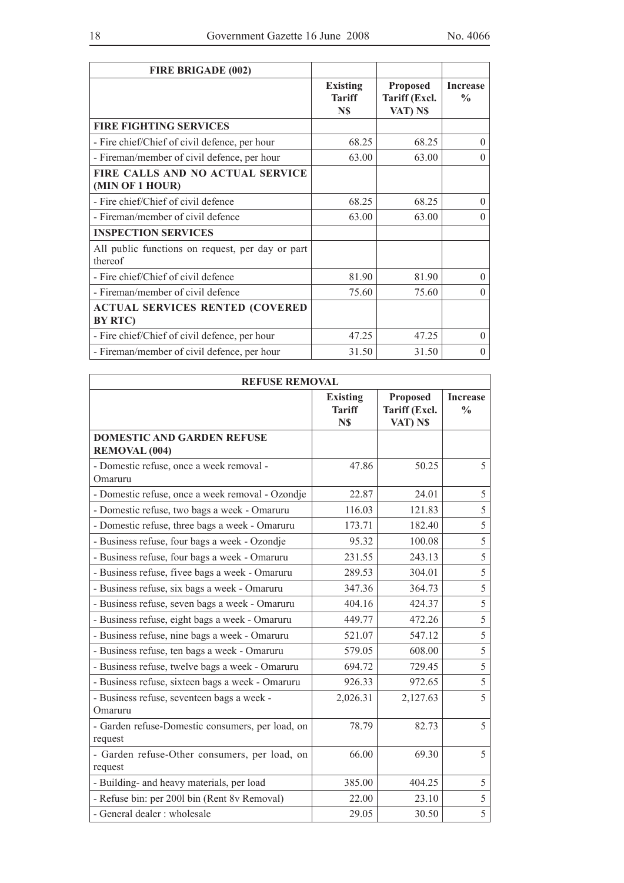| <b>FIRE BRIGADE (002)</b>                                   |                                         |                                              |                                  |
|-------------------------------------------------------------|-----------------------------------------|----------------------------------------------|----------------------------------|
|                                                             | <b>Existing</b><br><b>Tariff</b><br>N\$ | <b>Proposed</b><br>Tariff (Excl.<br>VAT) N\$ | <b>Increase</b><br>$\frac{0}{0}$ |
| <b>FIRE FIGHTING SERVICES</b>                               |                                         |                                              |                                  |
| - Fire chief/Chief of civil defence, per hour               | 68.25                                   | 68.25                                        | $\Omega$                         |
| - Fireman/member of civil defence, per hour                 | 63.00                                   | 63.00                                        | $\theta$                         |
| FIRE CALLS AND NO ACTUAL SERVICE<br>(MIN OF 1 HOUR)         |                                         |                                              |                                  |
| - Fire chief/Chief of civil defence                         | 68.25                                   | 68.25                                        | $\theta$                         |
| - Fireman/member of civil defence                           | 63.00                                   | 63.00                                        | $\Omega$                         |
| <b>INSPECTION SERVICES</b>                                  |                                         |                                              |                                  |
| All public functions on request, per day or part<br>thereof |                                         |                                              |                                  |
| - Fire chief/Chief of civil defence                         | 81.90                                   | 81.90                                        | $\theta$                         |
| - Fireman/member of civil defence                           | 75.60                                   | 75.60                                        | $\theta$                         |
| <b>ACTUAL SERVICES RENTED (COVERED</b><br><b>BY RTC)</b>    |                                         |                                              |                                  |
| - Fire chief/Chief of civil defence, per hour               | 47.25                                   | 47.25                                        | $\Omega$                         |
| - Fireman/member of civil defence, per hour                 | 31.50                                   | 31.50                                        | $\theta$                         |

| <b>REFUSE REMOVAL</b>                                       |                                         |                                       |                                  |
|-------------------------------------------------------------|-----------------------------------------|---------------------------------------|----------------------------------|
|                                                             | <b>Existing</b><br><b>Tariff</b><br>N\$ | Proposed<br>Tariff (Excl.<br>VAT) N\$ | <b>Increase</b><br>$\frac{0}{0}$ |
| <b>DOMESTIC AND GARDEN REFUSE</b><br><b>REMOVAL (004)</b>   |                                         |                                       |                                  |
| - Domestic refuse, once a week removal -<br>Omaruru         | 47.86                                   | 50.25                                 | 5                                |
| - Domestic refuse, once a week removal - Ozondje            | 22.87                                   | 24.01                                 | 5                                |
| - Domestic refuse, two bags a week - Omaruru                | 116.03                                  | 121.83                                | 5                                |
| - Domestic refuse, three bags a week - Omaruru              | 173.71                                  | 182.40                                | 5                                |
| - Business refuse, four bags a week - Ozondje               | 95.32                                   | 100.08                                | 5                                |
| - Business refuse, four bags a week - Omaruru               | 231.55                                  | 243.13                                | 5                                |
| - Business refuse, fivee bags a week - Omaruru              | 289.53                                  | 304.01                                | 5                                |
| - Business refuse, six bags a week - Omaruru                | 347.36                                  | 364.73                                | 5                                |
| - Business refuse, seven bags a week - Omaruru              | 404.16                                  | 424.37                                | 5                                |
| - Business refuse, eight bags a week - Omaruru              | 449.77                                  | 472.26                                | 5                                |
| - Business refuse, nine bags a week - Omaruru               | 521.07                                  | 547.12                                | 5                                |
| - Business refuse, ten bags a week - Omaruru                | 579.05                                  | 608.00                                | 5                                |
| - Business refuse, twelve bags a week - Omaruru             | 694.72                                  | 729.45                                | 5                                |
| - Business refuse, sixteen bags a week - Omaruru            | 926.33                                  | 972.65                                | 5                                |
| - Business refuse, seventeen bags a week -<br>Omaruru       | 2,026.31                                | 2,127.63                              | 5                                |
| - Garden refuse-Domestic consumers, per load, on<br>request | 78.79                                   | 82.73                                 | 5                                |
| - Garden refuse-Other consumers, per load, on<br>request    | 66.00                                   | 69.30                                 | 5                                |
| - Building- and heavy materials, per load                   | 385.00                                  | 404.25                                | 5                                |
| - Refuse bin: per 2001 bin (Rent 8v Removal)                | 22.00                                   | 23.10                                 | 5                                |
| - General dealer : wholesale                                | 29.05                                   | 30.50                                 | 5                                |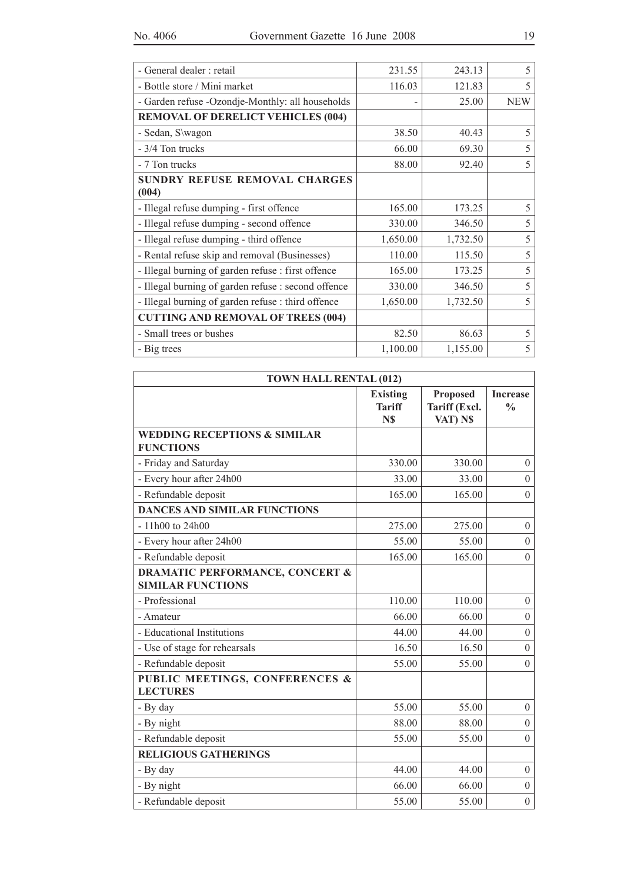| - General dealer : retail                           | 231.55   | 243.13   | 5          |
|-----------------------------------------------------|----------|----------|------------|
| - Bottle store / Mini market                        | 116.03   | 121.83   | 5          |
| - Garden refuse -Ozondje-Monthly: all households    |          | 25.00    | <b>NEW</b> |
| <b>REMOVAL OF DERELICT VEHICLES (004)</b>           |          |          |            |
| - Sedan, S\wagon                                    | 38.50    | 40.43    | 5          |
| - 3/4 Ton trucks                                    | 66.00    | 69.30    | 5          |
| - 7 Ton trucks                                      | 88.00    | 92.40    | 5          |
| SUNDRY REFUSE REMOVAL CHARGES                       |          |          |            |
| (004)                                               |          |          |            |
| - Illegal refuse dumping - first offence            | 165.00   | 173.25   | 5          |
| - Illegal refuse dumping - second offence           | 330.00   | 346.50   | 5          |
| - Illegal refuse dumping - third offence            | 1,650.00 | 1,732.50 | 5          |
| - Rental refuse skip and removal (Businesses)       | 110.00   | 115.50   | 5          |
| - Illegal burning of garden refuse : first offence  | 165.00   | 173.25   | 5          |
| - Illegal burning of garden refuse : second offence | 330.00   | 346.50   | 5          |
| - Illegal burning of garden refuse : third offence  | 1,650.00 | 1,732.50 | 5          |
| <b>CUTTING AND REMOVAL OF TREES (004)</b>           |          |          |            |
| - Small trees or bushes                             | 82.50    | 86.63    | 5          |
| - Big trees                                         | 1,100.00 | 1,155.00 | 5          |

| <b>TOWN HALL RENTAL (012)</b>                                          |                                         |                                              |                                  |  |
|------------------------------------------------------------------------|-----------------------------------------|----------------------------------------------|----------------------------------|--|
|                                                                        | <b>Existing</b><br><b>Tariff</b><br>N\$ | <b>Proposed</b><br>Tariff (Excl.<br>VAT) N\$ | <b>Increase</b><br>$\frac{0}{0}$ |  |
| <b>WEDDING RECEPTIONS &amp; SIMILAR</b><br><b>FUNCTIONS</b>            |                                         |                                              |                                  |  |
| - Friday and Saturday                                                  | 330.00                                  | 330.00                                       | $\overline{0}$                   |  |
| - Every hour after 24h00                                               | 33.00                                   | 33.00                                        | $\theta$                         |  |
| - Refundable deposit                                                   | 165.00                                  | 165.00                                       | $\overline{0}$                   |  |
| <b>DANCES AND SIMILAR FUNCTIONS</b>                                    |                                         |                                              |                                  |  |
| - 11h00 to 24h00                                                       | 275.00                                  | 275.00                                       | $\mathbf{0}$                     |  |
| - Every hour after 24h00                                               | 55.00                                   | 55.00                                        | $\overline{0}$                   |  |
| - Refundable deposit                                                   | 165.00                                  | 165.00                                       | $\theta$                         |  |
| <b>DRAMATIC PERFORMANCE, CONCERT &amp;</b><br><b>SIMILAR FUNCTIONS</b> |                                         |                                              |                                  |  |
| - Professional                                                         | 110.00                                  | 110.00                                       | $\overline{0}$                   |  |
| - Amateur                                                              | 66.00                                   | 66.00                                        | $\boldsymbol{0}$                 |  |
| - Educational Institutions                                             | 44.00                                   | 44.00                                        | $\theta$                         |  |
| - Use of stage for rehearsals                                          | 16.50                                   | 16.50                                        | $\overline{0}$                   |  |
| - Refundable deposit                                                   | 55.00                                   | 55.00                                        | $\theta$                         |  |
| PUBLIC MEETINGS, CONFERENCES &<br><b>LECTURES</b>                      |                                         |                                              |                                  |  |
| - By day                                                               | 55.00                                   | 55.00                                        | $\overline{0}$                   |  |
| - By night                                                             | 88.00                                   | 88.00                                        | $\theta$                         |  |
| - Refundable deposit                                                   | 55.00                                   | 55.00                                        | $\theta$                         |  |
| <b>RELIGIOUS GATHERINGS</b>                                            |                                         |                                              |                                  |  |
| - By day                                                               | 44.00                                   | 44.00                                        | $\overline{0}$                   |  |
| - By night                                                             | 66.00                                   | 66.00                                        | $\overline{0}$                   |  |
| - Refundable deposit                                                   | 55.00                                   | 55.00                                        | $\boldsymbol{0}$                 |  |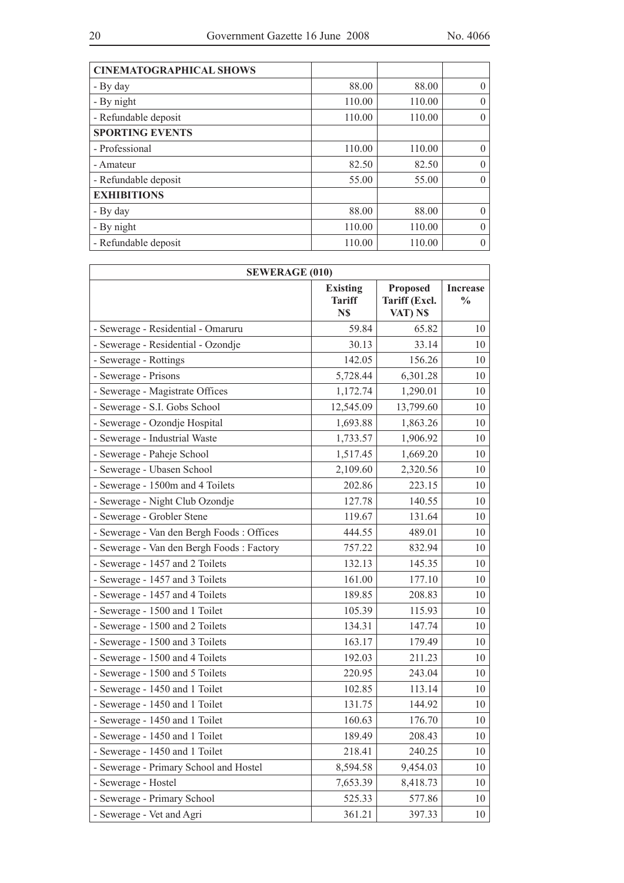| 88.00  | 88.00  | $\theta$ |
|--------|--------|----------|
| 110.00 | 110.00 | $\theta$ |
| 110.00 | 110.00 | $\theta$ |
|        |        |          |
| 110.00 | 110.00 | $\theta$ |
| 82.50  | 82.50  | $\Omega$ |
| 55.00  | 55.00  | $\theta$ |
|        |        |          |
| 88.00  | 88.00  | $\Omega$ |
| 110.00 | 110.00 | $\theta$ |
| 110.00 | 110.00 | $\theta$ |
|        |        |          |

| <b>SEWERAGE (010)</b>                     |                                         |           |                                  |  |
|-------------------------------------------|-----------------------------------------|-----------|----------------------------------|--|
|                                           | <b>Existing</b><br><b>Tariff</b><br>N\$ |           | <b>Increase</b><br>$\frac{0}{0}$ |  |
| - Sewerage - Residential - Omaruru        | 59.84                                   | 65.82     | 10                               |  |
| - Sewerage - Residential - Ozondje        | 30.13                                   | 33.14     | 10                               |  |
| - Sewerage - Rottings                     | 142.05                                  | 156.26    | 10                               |  |
| - Sewerage - Prisons                      | 5,728.44                                | 6,301.28  | 10                               |  |
| - Sewerage - Magistrate Offices           | 1,172.74                                | 1,290.01  | 10                               |  |
| - Sewerage - S.I. Gobs School             | 12,545.09                               | 13,799.60 | 10                               |  |
| - Sewerage - Ozondje Hospital             | 1,693.88                                | 1,863.26  | 10                               |  |
| - Sewerage - Industrial Waste             | 1,733.57                                | 1,906.92  | 10                               |  |
| - Sewerage - Paheje School                | 1,517.45                                | 1,669.20  | 10                               |  |
| - Sewerage - Ubasen School                | 2,109.60                                | 2,320.56  | 10                               |  |
| - Sewerage - 1500m and 4 Toilets          | 202.86                                  | 223.15    | 10                               |  |
| - Sewerage - Night Club Ozondje           | 127.78                                  | 140.55    | 10                               |  |
| - Sewerage - Grobler Stene                | 119.67                                  | 131.64    | 10                               |  |
| - Sewerage - Van den Bergh Foods: Offices | 444.55                                  | 489.01    | 10                               |  |
| - Sewerage - Van den Bergh Foods: Factory | 757.22                                  | 832.94    | 10                               |  |
| - Sewerage - 1457 and 2 Toilets           | 132.13                                  | 145.35    | 10                               |  |
| - Sewerage - 1457 and 3 Toilets           | 161.00                                  | 177.10    | 10                               |  |
| - Sewerage - 1457 and 4 Toilets           | 189.85                                  | 208.83    | 10                               |  |
| - Sewerage - 1500 and 1 Toilet            | 105.39                                  | 115.93    | 10                               |  |
| - Sewerage - 1500 and 2 Toilets           | 134.31                                  | 147.74    | 10                               |  |
| - Sewerage - 1500 and 3 Toilets           | 163.17                                  | 179.49    | 10                               |  |
| - Sewerage - 1500 and 4 Toilets           | 192.03                                  | 211.23    | 10                               |  |
| - Sewerage - 1500 and 5 Toilets           | 220.95                                  | 243.04    | 10                               |  |
| - Sewerage - 1450 and 1 Toilet            | 102.85                                  | 113.14    | 10                               |  |
| - Sewerage - 1450 and 1 Toilet            | 131.75                                  | 144.92    | 10                               |  |
| - Sewerage - 1450 and 1 Toilet            | 160.63                                  | 176.70    | 10                               |  |
| - Sewerage - 1450 and 1 Toilet            | 189.49                                  | 208.43    | 10 <sup>1</sup>                  |  |
| - Sewerage - 1450 and 1 Toilet            | 218.41                                  | 240.25    | 10                               |  |
| - Sewerage - Primary School and Hostel    | 8,594.58                                | 9,454.03  | 10                               |  |
| - Sewerage - Hostel                       | 7,653.39                                | 8,418.73  | 10                               |  |
| - Sewerage - Primary School               | 525.33                                  | 577.86    | 10                               |  |
| - Sewerage - Vet and Agri                 | 361.21                                  | 397.33    | 10                               |  |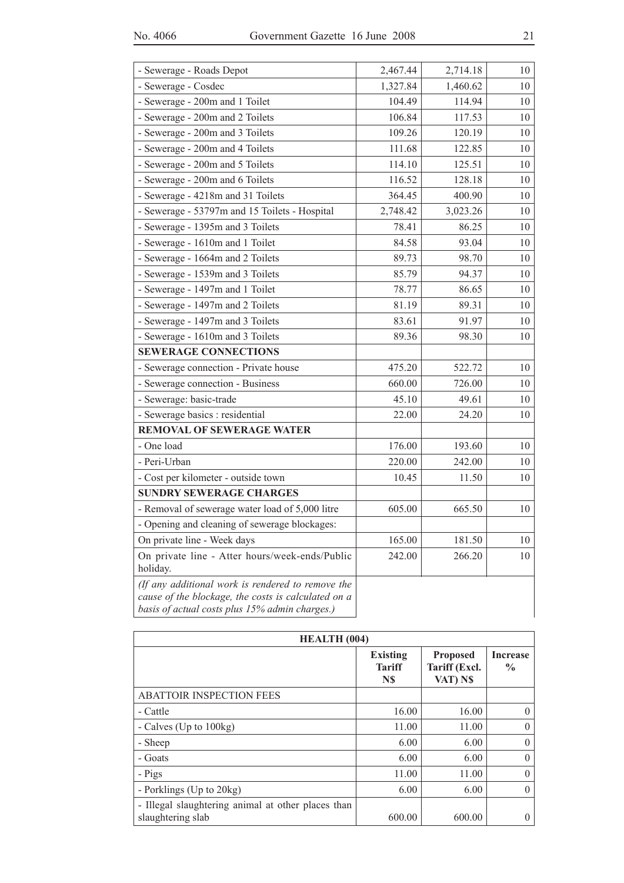| - Sewerage - Roads Depot                                                                                                                                   | 2,467.44 | 2,714.18 | 10 |
|------------------------------------------------------------------------------------------------------------------------------------------------------------|----------|----------|----|
| - Sewerage - Cosdec                                                                                                                                        | 1,327.84 | 1,460.62 | 10 |
| - Sewerage - 200m and 1 Toilet                                                                                                                             | 104.49   | 114.94   | 10 |
| - Sewerage - 200m and 2 Toilets                                                                                                                            | 106.84   | 117.53   | 10 |
| - Sewerage - 200m and 3 Toilets                                                                                                                            | 109.26   | 120.19   | 10 |
| - Sewerage - 200m and 4 Toilets                                                                                                                            | 111.68   | 122.85   | 10 |
| - Sewerage - 200m and 5 Toilets                                                                                                                            | 114.10   | 125.51   | 10 |
| - Sewerage - 200m and 6 Toilets                                                                                                                            | 116.52   | 128.18   | 10 |
| - Sewerage - 4218m and 31 Toilets                                                                                                                          | 364.45   | 400.90   | 10 |
| - Sewerage - 53797m and 15 Toilets - Hospital                                                                                                              | 2,748.42 | 3,023.26 | 10 |
| - Sewerage - 1395m and 3 Toilets                                                                                                                           | 78.41    | 86.25    | 10 |
| - Sewerage - 1610m and 1 Toilet                                                                                                                            | 84.58    | 93.04    | 10 |
| - Sewerage - 1664m and 2 Toilets                                                                                                                           | 89.73    | 98.70    | 10 |
| - Sewerage - 1539m and 3 Toilets                                                                                                                           | 85.79    | 94.37    | 10 |
| - Sewerage - 1497m and 1 Toilet                                                                                                                            | 78.77    | 86.65    | 10 |
| - Sewerage - 1497m and 2 Toilets                                                                                                                           | 81.19    | 89.31    | 10 |
| - Sewerage - 1497m and 3 Toilets                                                                                                                           | 83.61    | 91.97    | 10 |
| - Sewerage - 1610m and 3 Toilets                                                                                                                           | 89.36    | 98.30    | 10 |
| <b>SEWERAGE CONNECTIONS</b>                                                                                                                                |          |          |    |
| - Sewerage connection - Private house                                                                                                                      | 475.20   | 522.72   | 10 |
| - Sewerage connection - Business                                                                                                                           | 660.00   | 726.00   | 10 |
| - Sewerage: basic-trade                                                                                                                                    | 45.10    | 49.61    | 10 |
| - Sewerage basics : residential                                                                                                                            | 22.00    | 24.20    | 10 |
| <b>REMOVAL OF SEWERAGE WATER</b>                                                                                                                           |          |          |    |
| - One load                                                                                                                                                 | 176.00   | 193.60   | 10 |
| - Peri-Urban                                                                                                                                               | 220.00   | 242.00   | 10 |
| - Cost per kilometer - outside town                                                                                                                        | 10.45    | 11.50    | 10 |
| <b>SUNDRY SEWERAGE CHARGES</b>                                                                                                                             |          |          |    |
| - Removal of sewerage water load of 5,000 litre                                                                                                            | 605.00   | 665.50   | 10 |
| - Opening and cleaning of sewerage blockages:                                                                                                              |          |          |    |
| On private line - Week days                                                                                                                                | 165.00   | 181.50   | 10 |
| On private line - Atter hours/week-ends/Public<br>holiday.                                                                                                 | 242.00   | 266.20   | 10 |
| (If any additional work is rendered to remove the<br>cause of the blockage, the costs is calculated on a<br>basis of actual costs plus 15% admin charges.) |          |          |    |

| <b>HEALTH</b> (004)                                                     |                                         |                                              |                                  |  |
|-------------------------------------------------------------------------|-----------------------------------------|----------------------------------------------|----------------------------------|--|
|                                                                         | <b>Existing</b><br><b>Tariff</b><br>N\$ | <b>Proposed</b><br>Tariff (Excl.<br>VAT) N\$ | <b>Increase</b><br>$\frac{6}{9}$ |  |
| <b>ABATTOIR INSPECTION FEES</b>                                         |                                         |                                              |                                  |  |
| - Cattle                                                                | 16.00                                   | 16.00                                        | 0                                |  |
| - Calves (Up to 100kg)                                                  | 11.00                                   | 11.00                                        | 0                                |  |
| - Sheep                                                                 | 6.00                                    | 6.00                                         | 0                                |  |
| - Goats                                                                 | 6.00                                    | 6.00                                         | $\Omega$                         |  |
| - Pigs                                                                  | 11.00                                   | 11.00                                        | 0                                |  |
| - Porklings (Up to 20kg)                                                | 6.00                                    | 6.00                                         | $\theta$                         |  |
| - Illegal slaughtering animal at other places than<br>slaughtering slab | 600.00                                  | 600.00                                       |                                  |  |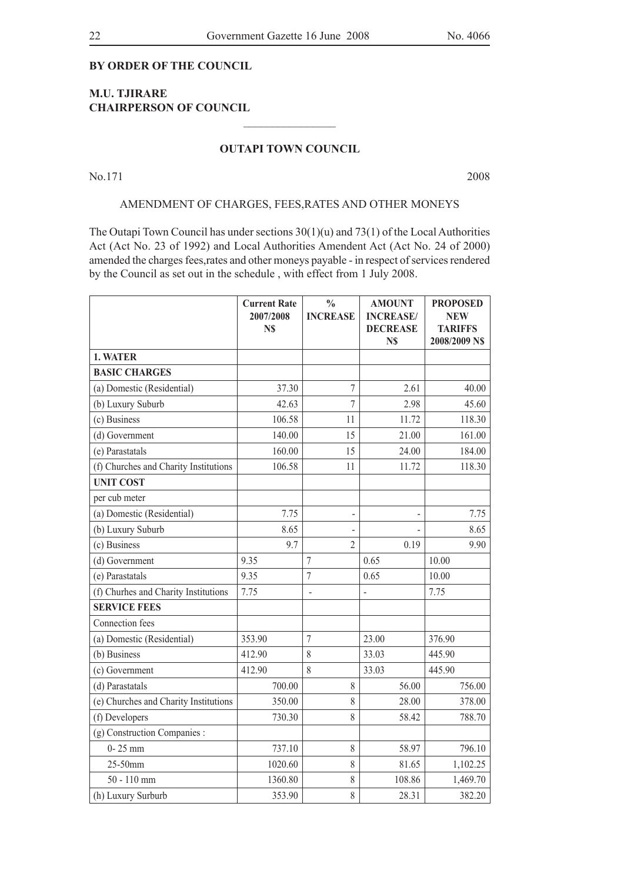#### **By order of the Council**

#### **M.U. Tjirare CHAIRPERSON OF COUNCIL**

#### **OUTAPI TOWN COUNCIL**

 $\frac{1}{2}$  , where  $\frac{1}{2}$  , where  $\frac{1}{2}$ 

No.171 2008

#### AMENDMENT OF CHARGES, FEES,RATES AND OTHER MONEYS

The Outapi Town Council has under sections  $30(1)(u)$  and  $73(1)$  of the Local Authorities Act (Act No. 23 of 1992) and Local Authorities Amendent Act (Act No. 24 of 2000) amended the charges fees,rates and other moneys payable - in respect of services rendered by the Council as set out in the schedule , with effect from 1 July 2008.

|                                       | <b>Current Rate</b><br>2007/2008<br>N\$ | $\frac{0}{0}$<br><b>INCREASE</b> | <b>AMOUNT</b><br><b>INCREASE/</b><br><b>DECREASE</b><br>N\$ | <b>PROPOSED</b><br>NEW<br><b>TARIFFS</b><br>2008/2009 NS |
|---------------------------------------|-----------------------------------------|----------------------------------|-------------------------------------------------------------|----------------------------------------------------------|
| 1. WATER                              |                                         |                                  |                                                             |                                                          |
| <b>BASIC CHARGES</b>                  |                                         |                                  |                                                             |                                                          |
| (a) Domestic (Residential)            | 37.30                                   | $\overline{7}$                   | 2.61                                                        | 40.00                                                    |
| (b) Luxury Suburb                     | 42.63                                   | $\overline{7}$                   | 2.98                                                        | 45.60                                                    |
| (c) Business                          | 106.58                                  | 11                               | 11.72                                                       | 118.30                                                   |
| (d) Government                        | 140.00                                  | 15                               | 21.00                                                       | 161.00                                                   |
| (e) Parastatals                       | 160.00                                  | 15                               | 24.00                                                       | 184.00                                                   |
| (f) Churches and Charity Institutions | 106.58                                  | 11                               | 11.72                                                       | 118.30                                                   |
| <b>UNIT COST</b>                      |                                         |                                  |                                                             |                                                          |
| per cub meter                         |                                         |                                  |                                                             |                                                          |
| (a) Domestic (Residential)            | 7.75                                    | $\qquad \qquad \blacksquare$     |                                                             | 7.75                                                     |
| (b) Luxury Suburb                     | 8.65                                    | $\overline{a}$                   |                                                             | 8.65                                                     |
| (c) Business                          | 9.7                                     | $\overline{2}$                   | 0.19                                                        | 9.90                                                     |
| (d) Government                        | 9.35                                    | $\overline{7}$                   | 0.65                                                        | 10.00                                                    |
| (e) Parastatals                       | 9.35                                    | $\overline{7}$                   | 0.65                                                        | 10.00                                                    |
| (f) Churhes and Charity Institutions  | 7.75                                    | $\overline{a}$                   | $\overline{a}$                                              | 7.75                                                     |
| <b>SERVICE FEES</b>                   |                                         |                                  |                                                             |                                                          |
| Connection fees                       |                                         |                                  |                                                             |                                                          |
| (a) Domestic (Residential)            | 353.90                                  | $\overline{7}$                   | 23.00                                                       | 376.90                                                   |
| (b) Business                          | 412.90                                  | 8                                | 33.03                                                       | 445.90                                                   |
| (c) Government                        | 412.90                                  | 8                                | 33.03                                                       | 445.90                                                   |
| (d) Parastatals                       | 700.00                                  | 8                                | 56.00                                                       | 756.00                                                   |
| (e) Churches and Charity Institutions | 350.00                                  | 8                                | 28.00                                                       | 378.00                                                   |
| (f) Developers                        | 730.30                                  | 8                                | 58.42                                                       | 788.70                                                   |
| (g) Construction Companies :          |                                         |                                  |                                                             |                                                          |
| $0 - 25$ mm                           | 737.10                                  | 8                                | 58.97                                                       | 796.10                                                   |
| 25-50mm                               | 1020.60                                 | $\,$ $\,$                        | 81.65                                                       | 1,102.25                                                 |
| $50 - 110$ mm                         | 1360.80                                 | 8                                | 108.86                                                      | 1,469.70                                                 |
| (h) Luxury Surburb                    | 353.90                                  | 8                                | 28.31                                                       | 382.20                                                   |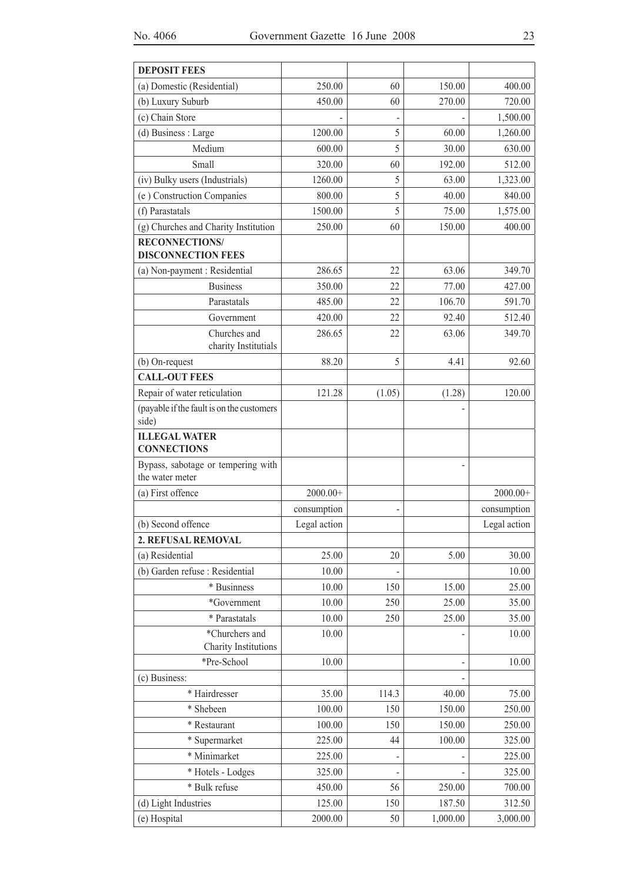| <b>DEPOSIT FEES</b>                                   |              |        |          |              |
|-------------------------------------------------------|--------------|--------|----------|--------------|
| (a) Domestic (Residential)                            | 250.00       | 60     | 150.00   | 400.00       |
| (b) Luxury Suburb                                     | 450.00       | 60     | 270.00   | 720.00       |
| (c) Chain Store                                       |              |        |          | 1,500.00     |
| (d) Business : Large                                  | 1200.00      | 5      | 60.00    | 1,260.00     |
| Medium                                                | 600.00       | 5      | 30.00    | 630.00       |
| Small                                                 | 320.00       | 60     | 192.00   | 512.00       |
| (iv) Bulky users (Industrials)                        | 1260.00      | 5      | 63.00    | 1,323.00     |
| (e) Construction Companies                            | 800.00       | 5      | 40.00    | 840.00       |
| (f) Parastatals                                       | 1500.00      | 5      | 75.00    | 1,575.00     |
| (g) Churches and Charity Institution                  | 250.00       | 60     | 150.00   | 400.00       |
| <b>RECONNECTIONS/</b><br><b>DISCONNECTION FEES</b>    |              |        |          |              |
| (a) Non-payment : Residential                         | 286.65       | 22     | 63.06    | 349.70       |
| <b>Business</b>                                       | 350.00       | 22     | 77.00    | 427.00       |
| Parastatals                                           | 485.00       | 22     | 106.70   | 591.70       |
| Government                                            | 420.00       | 22     | 92.40    | 512.40       |
| Churches and<br>charity Institutials                  | 286.65       | 22     | 63.06    | 349.70       |
| (b) On-request                                        | 88.20        | 5      | 4.41     | 92.60        |
| <b>CALL-OUT FEES</b>                                  |              |        |          |              |
| Repair of water reticulation                          | 121.28       | (1.05) | (1.28)   | 120.00       |
| (payable if the fault is on the customers<br>side)    |              |        |          |              |
| <b>ILLEGAL WATER</b><br><b>CONNECTIONS</b>            |              |        |          |              |
| Bypass, sabotage or tempering with<br>the water meter |              |        |          |              |
| (a) First offence                                     | $2000.00+$   |        |          | $2000.00+$   |
|                                                       | consumption  |        |          | consumption  |
| (b) Second offence                                    | Legal action |        |          | Legal action |
| 2. REFUSAL REMOVAL                                    |              |        |          |              |
| (a) Residential                                       | 25.00        | 20     | 5.00     | 30.00        |
| (b) Garden refuse : Residential                       | 10.00        |        |          | 10.00        |
| * Businness                                           | 10.00        | 150    | 15.00    | 25.00        |
| *Government                                           | 10.00        | 250    | 25.00    | 35.00        |
| * Parastatals                                         | 10.00        | 250    | 25.00    | 35.00        |
| *Churchers and<br>Charity Institutions                | 10.00        |        |          | 10.00        |
| *Pre-School                                           | 10.00        |        |          | 10.00        |
| (c) Business:                                         |              |        |          |              |
| * Hairdresser                                         | 35.00        | 114.3  | 40.00    | 75.00        |
| * Shebeen                                             | 100.00       | 150    | 150.00   | 250.00       |
| * Restaurant                                          | 100.00       | 150    | 150.00   | 250.00       |
| * Supermarket                                         | 225.00       | 44     | 100.00   | 325.00       |
| * Minimarket                                          | 225.00       |        |          | 225.00       |
| * Hotels - Lodges                                     | 325.00       |        |          | 325.00       |
| * Bulk refuse                                         | 450.00       | 56     | 250.00   | 700.00       |
| (d) Light Industries                                  | 125.00       | 150    | 187.50   | 312.50       |
| (e) Hospital                                          | 2000.00      | 50     | 1,000.00 | 3,000.00     |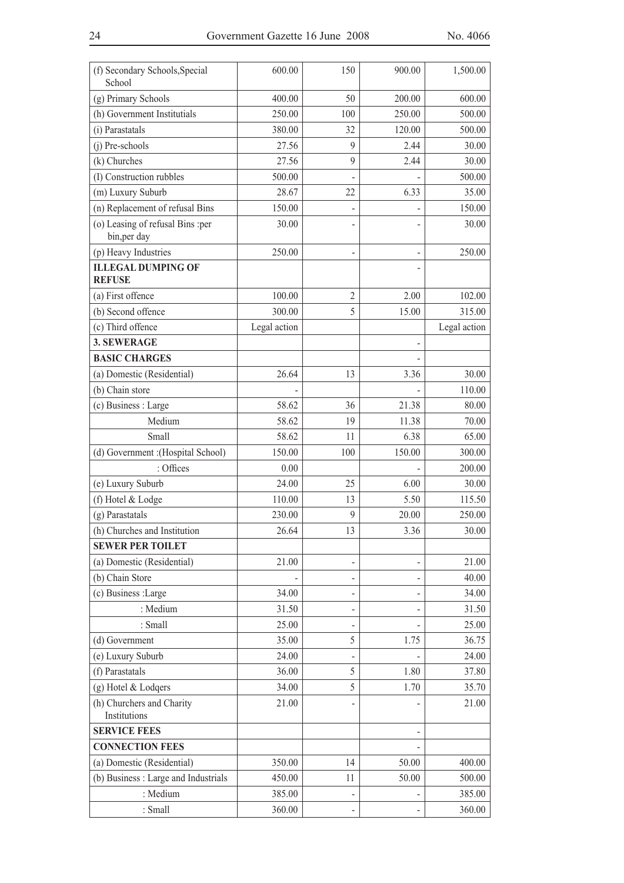| (f) Secondary Schools, Special<br>School         | 600.00         | 150                      | 900.00 | 1,500.00       |
|--------------------------------------------------|----------------|--------------------------|--------|----------------|
| (g) Primary Schools                              | 400.00         | 50                       | 200.00 | 600.00         |
| (h) Government Institutials                      | 250.00         | 100                      | 250.00 | 500.00         |
| (i) Parastatals                                  | 380.00         | 32                       | 120.00 | 500.00         |
| (j) Pre-schools                                  | 27.56          | 9                        | 2.44   | 30.00          |
| (k) Churches                                     | 27.56          | 9                        | 2.44   | 30.00          |
| (I) Construction rubbles                         | 500.00         |                          |        | 500.00         |
| (m) Luxury Suburb                                | 28.67          | 22                       | 6.33   | 35.00          |
| (n) Replacement of refusal Bins                  | 150.00         |                          |        | 150.00         |
| (o) Leasing of refusal Bins :per<br>bin, per day | 30.00          | L,                       |        | 30.00          |
| (p) Heavy Industries                             | 250.00         | $\overline{\phantom{0}}$ |        | 250.00         |
| <b>ILLEGAL DUMPING OF</b>                        |                |                          |        |                |
| <b>REFUSE</b>                                    |                |                          |        |                |
| (a) First offence                                | 100.00         | 2                        | 2.00   | 102.00         |
| (b) Second offence                               | 300.00         | 5                        | 15.00  | 315.00         |
| (c) Third offence                                | Legal action   |                          |        | Legal action   |
| <b>3. SEWERAGE</b>                               |                |                          |        |                |
| <b>BASIC CHARGES</b>                             |                |                          |        |                |
| (a) Domestic (Residential)                       | 26.64          | 13                       | 3.36   | 30.00          |
| (b) Chain store                                  |                |                          |        | 110.00         |
| (c) Business : Large                             | 58.62          | 36                       | 21.38  | 80.00          |
| Medium                                           | 58.62          | 19                       | 11.38  | 70.00          |
| Small                                            | 58.62          | 11                       | 6.38   | 65.00          |
| (d) Government : (Hospital School)               | 150.00         | 100                      | 150.00 | 300.00         |
| : Offices                                        | 0.00           |                          |        | 200.00         |
| (e) Luxury Suburb                                | 24.00          | 25                       | 6.00   | 30.00          |
| (f) Hotel & Lodge                                | 110.00         | 13                       | 5.50   | 115.50         |
| (g) Parastatals                                  | 230.00         | 9                        | 20.00  | 250.00         |
| (h) Churches and Institution                     | 26.64          | 13                       | 3.36   | 30.00          |
| <b>SEWER PER TOILET</b>                          |                |                          |        |                |
| (a) Domestic (Residential)                       | 21.00          | $\overline{a}$           |        | 21.00          |
| (b) Chain Store                                  |                |                          |        | 40.00          |
| (c) Business :Large                              | 34.00          | $\overline{a}$           |        | 34.00          |
| : Medium                                         | 31.50          | $\overline{a}$           |        | 31.50          |
| : Small                                          | 25.00          |                          |        | 25.00          |
| (d) Government<br>(e) Luxury Suburb              | 35.00<br>24.00 | 5                        | 1.75   | 36.75<br>24.00 |
| (f) Parastatals                                  | 36.00          | 5                        | 1.80   | 37.80          |
| (g) Hotel & Lodgers                              | 34.00          | 5                        | 1.70   | 35.70          |
| (h) Churchers and Charity                        | 21.00          |                          |        | 21.00          |
| Institutions                                     |                |                          |        |                |
| <b>SERVICE FEES</b>                              |                |                          |        |                |
| <b>CONNECTION FEES</b>                           |                |                          |        |                |
| (a) Domestic (Residential)                       | 350.00         | 14                       | 50.00  | 400.00         |
| (b) Business : Large and Industrials             | 450.00         | 11                       | 50.00  | 500.00         |
| : Medium                                         | 385.00         |                          |        | 385.00         |
| : Small                                          | 360.00         |                          |        | 360.00         |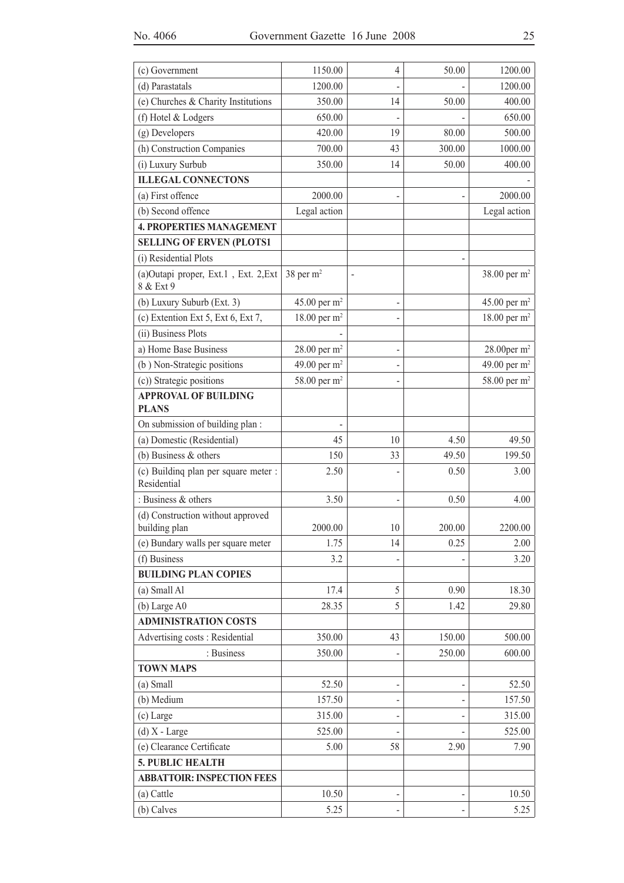|                                                     |                          | $\overline{4}$ |        |                            |
|-----------------------------------------------------|--------------------------|----------------|--------|----------------------------|
| (c) Government                                      | 1150.00                  |                | 50.00  | 1200.00                    |
| (d) Parastatals                                     | 1200.00                  |                |        | 1200.00                    |
| (e) Churches & Charity Institutions                 | 350.00                   | 14             | 50.00  | 400.00                     |
| (f) Hotel & Lodgers                                 | 650.00                   |                |        | 650.00                     |
| (g) Developers                                      | 420.00                   | 19             | 80.00  | 500.00                     |
| (h) Construction Companies                          | 700.00                   | 43             | 300.00 | 1000.00                    |
| (i) Luxury Surbub                                   | 350.00                   | 14             | 50.00  | 400.00                     |
| <b>ILLEGAL CONNECTONS</b>                           |                          |                |        |                            |
| (a) First offence                                   | 2000.00                  |                |        | 2000.00                    |
| (b) Second offence                                  | Legal action             |                |        | Legal action               |
| <b>4. PROPERTIES MANAGEMENT</b>                     |                          |                |        |                            |
| <b>SELLING OF ERVEN (PLOTS1</b>                     |                          |                |        |                            |
| (i) Residential Plots                               |                          |                |        |                            |
| (a)Outapi proper, Ext.1, Ext. 2, Ext<br>8 & Ext 9   | 38 per $m2$              | $\overline{a}$ |        | 38.00 per m <sup>2</sup>   |
| (b) Luxury Suburb (Ext. 3)                          | 45.00 per $m2$           |                |        | 45.00 per $m^2$            |
| (c) Extention Ext 5, Ext 6, Ext 7,                  | 18.00 per $m^2$          |                |        | 18.00 per $m2$             |
| (ii) Business Plots                                 |                          |                |        |                            |
| a) Home Base Business                               | 28.00 per $m^2$          |                |        | $28.00$ per m <sup>2</sup> |
| (b) Non-Strategic positions                         | 49.00 per m <sup>2</sup> |                |        | 49.00 per $m2$             |
| (c)) Strategic positions                            | 58.00 per m <sup>2</sup> |                |        | 58.00 per m <sup>2</sup>   |
| <b>APPROVAL OF BUILDING</b><br><b>PLANS</b>         |                          |                |        |                            |
| On submission of building plan:                     |                          |                |        |                            |
| (a) Domestic (Residential)                          | 45                       | 10             | 4.50   | 49.50                      |
| (b) Business $&$ others                             | 150                      | 33             | 49.50  | 199.50                     |
| (c) Building plan per square meter :<br>Residential | 2.50                     |                | 0.50   | 3.00                       |
| : Business & others                                 | 3.50                     |                | 0.50   | 4.00                       |
| (d) Construction without approved<br>building plan  | 2000.00                  | 10             | 200.00 | 2200.00                    |
| (e) Bundary walls per square meter                  | 1.75                     | 14             | 0.25   | 2.00                       |
| (f) Business                                        | 3.2                      |                |        | 3.20                       |
| <b>BUILDING PLAN COPIES</b>                         |                          |                |        |                            |
| (a) Small Al                                        | 17.4                     | 5              | 0.90   | 18.30                      |
| (b) Large A0                                        | 28.35                    | 5              | 1.42   | 29.80                      |
| <b>ADMINISTRATION COSTS</b>                         |                          |                |        |                            |
| Advertising costs: Residential                      | 350.00                   | 43             | 150.00 | 500.00                     |
| : Business                                          | 350.00                   |                | 250.00 | 600.00                     |
| <b>TOWN MAPS</b>                                    |                          |                |        |                            |
| (a) Small                                           | 52.50                    |                |        | 52.50                      |
| (b) Medium                                          | 157.50                   |                |        | 157.50                     |
| (c) Large                                           | 315.00                   |                |        | 315.00                     |
| $(d) X - Large$                                     | 525.00                   |                |        | 525.00                     |
| (e) Clearance Certificate                           | 5.00                     | 58             | 2.90   | 7.90                       |
| 5. PUBLIC HEALTH                                    |                          |                |        |                            |
| <b>ABBATTOIR: INSPECTION FEES</b>                   |                          |                |        |                            |
| (a) Cattle                                          | 10.50                    |                |        | 10.50                      |
| (b) Calves                                          | 5.25                     |                |        | 5.25                       |
|                                                     |                          |                |        |                            |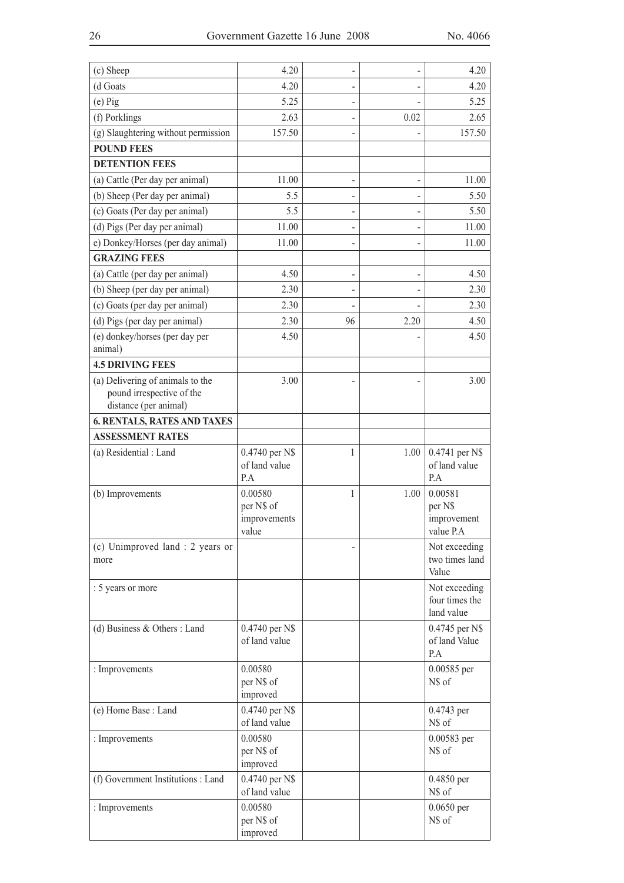| (c) Sheep                                          | 4.20                            |    |      | 4.20                            |
|----------------------------------------------------|---------------------------------|----|------|---------------------------------|
| (d Goats                                           | 4.20                            |    |      | 4.20                            |
| $(e)$ Pig                                          | 5.25                            |    |      | 5.25                            |
| (f) Porklings                                      | 2.63                            |    | 0.02 | 2.65                            |
| (g) Slaughtering without permission                | 157.50                          |    |      | 157.50                          |
| <b>POUND FEES</b>                                  |                                 |    |      |                                 |
| <b>DETENTION FEES</b>                              |                                 |    |      |                                 |
| (a) Cattle (Per day per animal)                    | 11.00                           |    |      | 11.00                           |
| (b) Sheep (Per day per animal)                     | 5.5                             |    |      | 5.50                            |
| (c) Goats (Per day per animal)                     | 5.5                             |    |      | 5.50                            |
| (d) Pigs (Per day per animal)                      | 11.00                           |    |      | 11.00                           |
| e) Donkey/Horses (per day animal)                  | 11.00                           |    |      | 11.00                           |
| <b>GRAZING FEES</b>                                |                                 |    |      |                                 |
| (a) Cattle (per day per animal)                    | 4.50                            | -  | -    | 4.50                            |
| (b) Sheep (per day per animal)                     | 2.30                            |    |      | 2.30                            |
| (c) Goats (per day per animal)                     | 2.30                            |    |      | 2.30                            |
| (d) Pigs (per day per animal)                      | 2.30                            | 96 | 2.20 | 4.50                            |
| (e) donkey/horses (per day per                     | 4.50                            |    |      | 4.50                            |
| animal)                                            |                                 |    |      |                                 |
| <b>4.5 DRIVING FEES</b>                            |                                 |    |      |                                 |
| (a) Delivering of animals to the                   | 3.00                            |    |      | 3.00                            |
| pound irrespective of the<br>distance (per animal) |                                 |    |      |                                 |
| <b>6. RENTALS, RATES AND TAXES</b>                 |                                 |    |      |                                 |
| <b>ASSESSMENT RATES</b>                            |                                 |    |      |                                 |
| (a) Residential : Land                             | 0.4740 per N\$                  | 1  | 1.00 | 0.4741 per N\$                  |
|                                                    | of land value                   |    |      | of land value                   |
|                                                    | P.A                             |    |      | P.A                             |
| (b) Improvements                                   | 0.00580                         | 1  | 1.00 | 0.00581                         |
|                                                    | per N\$ of                      |    |      | per N\$                         |
|                                                    | improvements<br>value           |    |      | improvement<br>value P.A        |
| (c) Unimproved land : 2 years or                   |                                 |    |      | Not exceeding                   |
| more                                               |                                 |    |      | two times land                  |
|                                                    |                                 |    |      | Value                           |
| : 5 years or more                                  |                                 |    |      | Not exceeding                   |
|                                                    |                                 |    |      | four times the                  |
|                                                    |                                 |    |      | land value                      |
| (d) Business & Others : Land                       | 0.4740 per N\$<br>of land value |    |      | 0.4745 per N\$<br>of land Value |
|                                                    |                                 |    |      | P.A                             |
| : Improvements                                     | 0.00580                         |    |      | 0.00585 per                     |
|                                                    | per N\$ of                      |    |      | N\$ of                          |
|                                                    | improved                        |    |      |                                 |
| (e) Home Base: Land                                | 0.4740 per N\$<br>of land value |    |      | 0.4743 per<br>N\$ of            |
|                                                    | 0.00580                         |    |      |                                 |
| : Improvements                                     | per N\$ of                      |    |      | 0.00583 per<br>N\$ of           |
|                                                    | improved                        |    |      |                                 |
| (f) Government Institutions : Land                 | 0.4740 per N\$                  |    |      | 0.4850 per                      |
|                                                    | of land value                   |    |      | N\$ of                          |
| : Improvements                                     | 0.00580                         |    |      | $0.0650$ per                    |
|                                                    | per N\$ of                      |    |      | N\$ of                          |
|                                                    | improved                        |    |      |                                 |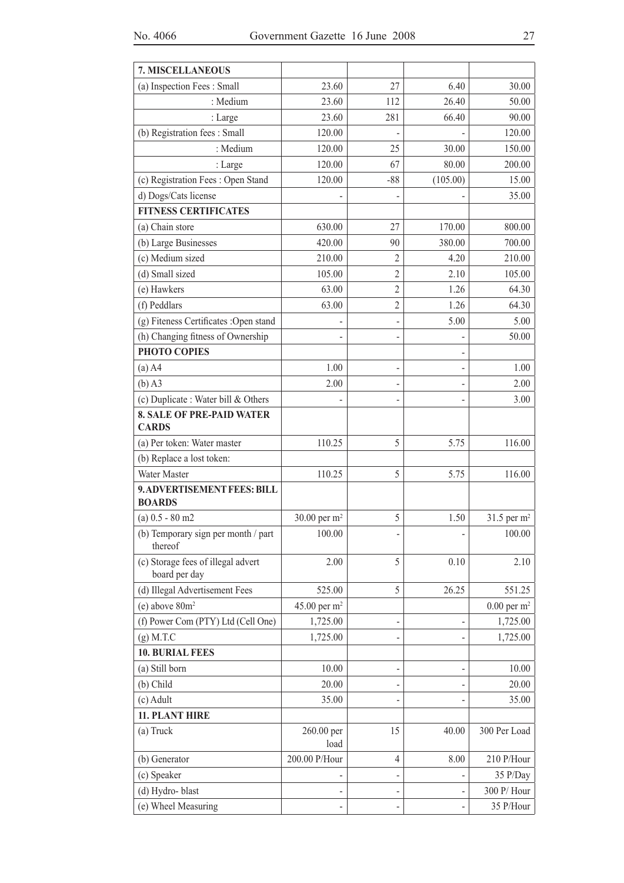| 7. MISCELLANEOUS                                    |                          |                |          |                           |
|-----------------------------------------------------|--------------------------|----------------|----------|---------------------------|
| (a) Inspection Fees: Small                          | 23.60                    | 27             | 6.40     | 30.00                     |
| : Medium                                            | 23.60                    | 112            | 26.40    | 50.00                     |
| : Large                                             | 23.60                    | 281            | 66.40    | 90.00                     |
| (b) Registration fees: Small                        | 120.00                   |                |          | 120.00                    |
| : Medium                                            | 120.00                   | 25             | 30.00    | 150.00                    |
| : Large                                             | 120.00                   | 67             | 80.00    | 200.00                    |
| (c) Registration Fees: Open Stand                   | 120.00                   | $-88$          | (105.00) | 15.00                     |
| d) Dogs/Cats license                                |                          |                |          | 35.00                     |
| <b>FITNESS CERTIFICATES</b>                         |                          |                |          |                           |
| (a) Chain store                                     | 630.00                   | 27             | 170.00   | 800.00                    |
| (b) Large Businesses                                | 420.00                   | 90             | 380.00   | 700.00                    |
| (c) Medium sized                                    | 210.00                   | 2              | 4.20     | 210.00                    |
| (d) Small sized                                     | 105.00                   | $\overline{2}$ | 2.10     | 105.00                    |
| (e) Hawkers                                         | 63.00                    | $\overline{c}$ | 1.26     | 64.30                     |
| (f) Peddlars                                        | 63.00                    | $\overline{c}$ | 1.26     | 64.30                     |
| (g) Fiteness Certificates : Open stand              |                          |                | 5.00     | 5.00                      |
| (h) Changing fitness of Ownership                   |                          |                |          | 50.00                     |
| PHOTO COPIES                                        |                          |                |          |                           |
| $(a)$ A4                                            | 1.00                     |                |          | 1.00                      |
| $(b)$ A3                                            | 2.00                     |                |          | 2.00                      |
| (c) Duplicate : Water bill & Others                 |                          |                |          | 3.00                      |
| <b>8. SALE OF PRE-PAID WATER</b><br><b>CARDS</b>    |                          |                |          |                           |
| (a) Per token: Water master                         | 110.25                   | 5              | 5.75     | 116.00                    |
| (b) Replace a lost token:                           |                          |                |          |                           |
| Water Master                                        | 110.25                   | 5              | 5.75     | 116.00                    |
| 9. ADVERTISEMENT FEES: BILL<br><b>BOARDS</b>        |                          |                |          |                           |
| $(a) 0.5 - 80$ m2                                   | 30.00 per m <sup>2</sup> | 5              | 1.50     | 31.5 per $m2$             |
| (b) Temporary sign per month / part<br>thereof      | 100.00                   |                |          | 100.00                    |
| (c) Storage fees of illegal advert<br>board per day | 2.00                     | 5              | 0.10     | 2.10                      |
| (d) Illegal Advertisement Fees                      | 525.00                   | 5              | 26.25    | 551.25                    |
| $(e)$ above $80m2$                                  | 45.00 per $m2$           |                |          | $0.00$ per m <sup>2</sup> |
| (f) Power Com (PTY) Ltd (Cell One)                  | 1,725.00                 |                |          | 1,725.00                  |
| $(g)$ M.T.C                                         | 1,725.00                 |                |          | 1,725.00                  |
| <b>10. BURIAL FEES</b>                              |                          |                |          |                           |
| (a) Still born                                      | 10.00                    |                |          | 10.00                     |
| (b) Child                                           | 20.00                    |                |          | 20.00                     |
| (c) Adult                                           | 35.00                    |                |          | 35.00                     |
| 11. PLANT HIRE                                      |                          |                |          |                           |
| (a) Truck                                           | 260.00 per<br>load       | 15             | 40.00    | 300 Per Load              |
| (b) Generator                                       | 200.00 P/Hour            | 4              | 8.00     | 210 P/Hour                |
| (c) Speaker                                         |                          |                |          | 35 P/Day                  |
| (d) Hydro-blast                                     | -                        |                |          | 300 P/Hour                |
| (e) Wheel Measuring                                 |                          |                |          | 35 P/Hour                 |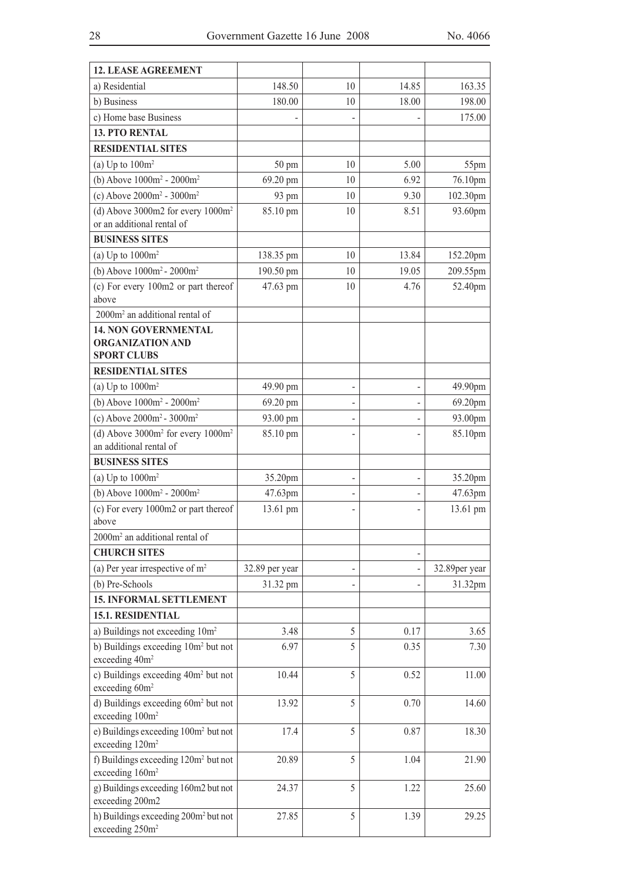| a) Residential<br>148.50<br>14.85<br>163.35<br>10<br>180.00<br>198.00<br>b) Business<br>10<br>18.00<br>c) Home base Business<br>175.00<br>-<br><b>13. PTO RENTAL</b><br><b>RESIDENTIAL SITES</b><br>(a) Up to $100m^2$<br>10<br>5.00<br>50 pm<br>55pm<br>(b) Above $1000m^2 - 2000m^2$<br>6.92<br>69.20 pm<br>10<br>76.10pm<br>(c) Above $2000m^2 - 3000m^2$<br>9.30<br>102.30pm<br>93 pm<br>10<br>(d) Above 3000m2 for every $1000m^2$<br>85.10 pm<br>93.60pm<br>10<br>8.51<br>or an additional rental of<br><b>BUSINESS SITES</b><br>(a) Up to $1000m^2$<br>13.84<br>10<br>152.20pm<br>138.35 pm<br>(b) Above $1000m^2 - 2000m^2$<br>190.50 pm<br>10<br>19.05<br>209.55pm<br>(c) For every 100m2 or part thereof<br>47.63 pm<br>52.40pm<br>10<br>4.76<br>above<br>2000m <sup>2</sup> an additional rental of<br><b>14. NON GOVERNMENTAL</b><br><b>ORGANIZATION AND</b><br><b>SPORT CLUBS</b><br><b>RESIDENTIAL SITES</b><br>(a) Up to $1000m^2$<br>49.90 pm<br>49.90pm<br>(b) Above $1000m^2 - 2000m^2$<br>69.20 pm<br>69.20pm<br>$\overline{\phantom{0}}$<br>(c) Above $2000m^2 - 3000m^2$<br>93.00pm<br>93.00 pm<br>(d) Above $3000m^2$ for every $1000m^2$<br>85.10 pm<br>85.10pm<br>an additional rental of<br><b>BUSINESS SITES</b><br>(a) Up to $1000m^2$<br>35.20pm<br>35.20pm<br>-<br>(b) Above $1000m^2 - 2000m^2$<br>47.63pm<br>47.63pm<br>(c) For every 1000m2 or part thereof<br>13.61 pm<br>13.61 pm<br>above<br>2000m <sup>2</sup> an additional rental of<br><b>CHURCH SITES</b><br>(a) Per year irrespective of $m2$<br>32.89per year<br>32.89 per year<br>(b) Pre-Schools<br>31.32 pm<br>31.32pm<br><b>15. INFORMAL SETTLEMENT</b><br>15.1. RESIDENTIAL<br>a) Buildings not exceeding 10m <sup>2</sup><br>3.48<br>5<br>0.17<br>3.65<br>b) Buildings exceeding 10m <sup>2</sup> but not<br>5<br>6.97<br>0.35<br>7.30<br>exceeding 40m <sup>2</sup><br>c) Buildings exceeding 40m <sup>2</sup> but not<br>5<br>10.44<br>0.52<br>11.00<br>exceeding 60m <sup>2</sup><br>d) Buildings exceeding 60m <sup>2</sup> but not<br>5<br>13.92<br>0.70<br>14.60<br>exceeding 100m <sup>2</sup><br>e) Buildings exceeding 100m <sup>2</sup> but not<br>17.4<br>5<br>0.87<br>18.30<br>exceeding 120m <sup>2</sup><br>f) Buildings exceeding 120m <sup>2</sup> but not<br>20.89<br>5<br>1.04<br>21.90<br>exceeding 160m <sup>2</sup><br>g) Buildings exceeding 160m2 but not<br>5<br>24.37<br>1.22<br>25.60<br>exceeding 200m2<br>h) Buildings exceeding 200m <sup>2</sup> but not<br>5<br>1.39<br>27.85<br>29.25<br>exceeding 250m <sup>2</sup> | <b>12. LEASE AGREEMENT</b> |  |  |
|------------------------------------------------------------------------------------------------------------------------------------------------------------------------------------------------------------------------------------------------------------------------------------------------------------------------------------------------------------------------------------------------------------------------------------------------------------------------------------------------------------------------------------------------------------------------------------------------------------------------------------------------------------------------------------------------------------------------------------------------------------------------------------------------------------------------------------------------------------------------------------------------------------------------------------------------------------------------------------------------------------------------------------------------------------------------------------------------------------------------------------------------------------------------------------------------------------------------------------------------------------------------------------------------------------------------------------------------------------------------------------------------------------------------------------------------------------------------------------------------------------------------------------------------------------------------------------------------------------------------------------------------------------------------------------------------------------------------------------------------------------------------------------------------------------------------------------------------------------------------------------------------------------------------------------------------------------------------------------------------------------------------------------------------------------------------------------------------------------------------------------------------------------------------------------------------------------------------------------------------------------------------------------------------------------------------------------------------------------------------------------------------------------------------------------------------------------------------------------------------------------------------------------------------------|----------------------------|--|--|
|                                                                                                                                                                                                                                                                                                                                                                                                                                                                                                                                                                                                                                                                                                                                                                                                                                                                                                                                                                                                                                                                                                                                                                                                                                                                                                                                                                                                                                                                                                                                                                                                                                                                                                                                                                                                                                                                                                                                                                                                                                                                                                                                                                                                                                                                                                                                                                                                                                                                                                                                                      |                            |  |  |
|                                                                                                                                                                                                                                                                                                                                                                                                                                                                                                                                                                                                                                                                                                                                                                                                                                                                                                                                                                                                                                                                                                                                                                                                                                                                                                                                                                                                                                                                                                                                                                                                                                                                                                                                                                                                                                                                                                                                                                                                                                                                                                                                                                                                                                                                                                                                                                                                                                                                                                                                                      |                            |  |  |
|                                                                                                                                                                                                                                                                                                                                                                                                                                                                                                                                                                                                                                                                                                                                                                                                                                                                                                                                                                                                                                                                                                                                                                                                                                                                                                                                                                                                                                                                                                                                                                                                                                                                                                                                                                                                                                                                                                                                                                                                                                                                                                                                                                                                                                                                                                                                                                                                                                                                                                                                                      |                            |  |  |
|                                                                                                                                                                                                                                                                                                                                                                                                                                                                                                                                                                                                                                                                                                                                                                                                                                                                                                                                                                                                                                                                                                                                                                                                                                                                                                                                                                                                                                                                                                                                                                                                                                                                                                                                                                                                                                                                                                                                                                                                                                                                                                                                                                                                                                                                                                                                                                                                                                                                                                                                                      |                            |  |  |
|                                                                                                                                                                                                                                                                                                                                                                                                                                                                                                                                                                                                                                                                                                                                                                                                                                                                                                                                                                                                                                                                                                                                                                                                                                                                                                                                                                                                                                                                                                                                                                                                                                                                                                                                                                                                                                                                                                                                                                                                                                                                                                                                                                                                                                                                                                                                                                                                                                                                                                                                                      |                            |  |  |
|                                                                                                                                                                                                                                                                                                                                                                                                                                                                                                                                                                                                                                                                                                                                                                                                                                                                                                                                                                                                                                                                                                                                                                                                                                                                                                                                                                                                                                                                                                                                                                                                                                                                                                                                                                                                                                                                                                                                                                                                                                                                                                                                                                                                                                                                                                                                                                                                                                                                                                                                                      |                            |  |  |
|                                                                                                                                                                                                                                                                                                                                                                                                                                                                                                                                                                                                                                                                                                                                                                                                                                                                                                                                                                                                                                                                                                                                                                                                                                                                                                                                                                                                                                                                                                                                                                                                                                                                                                                                                                                                                                                                                                                                                                                                                                                                                                                                                                                                                                                                                                                                                                                                                                                                                                                                                      |                            |  |  |
|                                                                                                                                                                                                                                                                                                                                                                                                                                                                                                                                                                                                                                                                                                                                                                                                                                                                                                                                                                                                                                                                                                                                                                                                                                                                                                                                                                                                                                                                                                                                                                                                                                                                                                                                                                                                                                                                                                                                                                                                                                                                                                                                                                                                                                                                                                                                                                                                                                                                                                                                                      |                            |  |  |
|                                                                                                                                                                                                                                                                                                                                                                                                                                                                                                                                                                                                                                                                                                                                                                                                                                                                                                                                                                                                                                                                                                                                                                                                                                                                                                                                                                                                                                                                                                                                                                                                                                                                                                                                                                                                                                                                                                                                                                                                                                                                                                                                                                                                                                                                                                                                                                                                                                                                                                                                                      |                            |  |  |
|                                                                                                                                                                                                                                                                                                                                                                                                                                                                                                                                                                                                                                                                                                                                                                                                                                                                                                                                                                                                                                                                                                                                                                                                                                                                                                                                                                                                                                                                                                                                                                                                                                                                                                                                                                                                                                                                                                                                                                                                                                                                                                                                                                                                                                                                                                                                                                                                                                                                                                                                                      |                            |  |  |
|                                                                                                                                                                                                                                                                                                                                                                                                                                                                                                                                                                                                                                                                                                                                                                                                                                                                                                                                                                                                                                                                                                                                                                                                                                                                                                                                                                                                                                                                                                                                                                                                                                                                                                                                                                                                                                                                                                                                                                                                                                                                                                                                                                                                                                                                                                                                                                                                                                                                                                                                                      |                            |  |  |
|                                                                                                                                                                                                                                                                                                                                                                                                                                                                                                                                                                                                                                                                                                                                                                                                                                                                                                                                                                                                                                                                                                                                                                                                                                                                                                                                                                                                                                                                                                                                                                                                                                                                                                                                                                                                                                                                                                                                                                                                                                                                                                                                                                                                                                                                                                                                                                                                                                                                                                                                                      |                            |  |  |
|                                                                                                                                                                                                                                                                                                                                                                                                                                                                                                                                                                                                                                                                                                                                                                                                                                                                                                                                                                                                                                                                                                                                                                                                                                                                                                                                                                                                                                                                                                                                                                                                                                                                                                                                                                                                                                                                                                                                                                                                                                                                                                                                                                                                                                                                                                                                                                                                                                                                                                                                                      |                            |  |  |
|                                                                                                                                                                                                                                                                                                                                                                                                                                                                                                                                                                                                                                                                                                                                                                                                                                                                                                                                                                                                                                                                                                                                                                                                                                                                                                                                                                                                                                                                                                                                                                                                                                                                                                                                                                                                                                                                                                                                                                                                                                                                                                                                                                                                                                                                                                                                                                                                                                                                                                                                                      |                            |  |  |
|                                                                                                                                                                                                                                                                                                                                                                                                                                                                                                                                                                                                                                                                                                                                                                                                                                                                                                                                                                                                                                                                                                                                                                                                                                                                                                                                                                                                                                                                                                                                                                                                                                                                                                                                                                                                                                                                                                                                                                                                                                                                                                                                                                                                                                                                                                                                                                                                                                                                                                                                                      |                            |  |  |
|                                                                                                                                                                                                                                                                                                                                                                                                                                                                                                                                                                                                                                                                                                                                                                                                                                                                                                                                                                                                                                                                                                                                                                                                                                                                                                                                                                                                                                                                                                                                                                                                                                                                                                                                                                                                                                                                                                                                                                                                                                                                                                                                                                                                                                                                                                                                                                                                                                                                                                                                                      |                            |  |  |
|                                                                                                                                                                                                                                                                                                                                                                                                                                                                                                                                                                                                                                                                                                                                                                                                                                                                                                                                                                                                                                                                                                                                                                                                                                                                                                                                                                                                                                                                                                                                                                                                                                                                                                                                                                                                                                                                                                                                                                                                                                                                                                                                                                                                                                                                                                                                                                                                                                                                                                                                                      |                            |  |  |
|                                                                                                                                                                                                                                                                                                                                                                                                                                                                                                                                                                                                                                                                                                                                                                                                                                                                                                                                                                                                                                                                                                                                                                                                                                                                                                                                                                                                                                                                                                                                                                                                                                                                                                                                                                                                                                                                                                                                                                                                                                                                                                                                                                                                                                                                                                                                                                                                                                                                                                                                                      |                            |  |  |
|                                                                                                                                                                                                                                                                                                                                                                                                                                                                                                                                                                                                                                                                                                                                                                                                                                                                                                                                                                                                                                                                                                                                                                                                                                                                                                                                                                                                                                                                                                                                                                                                                                                                                                                                                                                                                                                                                                                                                                                                                                                                                                                                                                                                                                                                                                                                                                                                                                                                                                                                                      |                            |  |  |
|                                                                                                                                                                                                                                                                                                                                                                                                                                                                                                                                                                                                                                                                                                                                                                                                                                                                                                                                                                                                                                                                                                                                                                                                                                                                                                                                                                                                                                                                                                                                                                                                                                                                                                                                                                                                                                                                                                                                                                                                                                                                                                                                                                                                                                                                                                                                                                                                                                                                                                                                                      |                            |  |  |
|                                                                                                                                                                                                                                                                                                                                                                                                                                                                                                                                                                                                                                                                                                                                                                                                                                                                                                                                                                                                                                                                                                                                                                                                                                                                                                                                                                                                                                                                                                                                                                                                                                                                                                                                                                                                                                                                                                                                                                                                                                                                                                                                                                                                                                                                                                                                                                                                                                                                                                                                                      |                            |  |  |
|                                                                                                                                                                                                                                                                                                                                                                                                                                                                                                                                                                                                                                                                                                                                                                                                                                                                                                                                                                                                                                                                                                                                                                                                                                                                                                                                                                                                                                                                                                                                                                                                                                                                                                                                                                                                                                                                                                                                                                                                                                                                                                                                                                                                                                                                                                                                                                                                                                                                                                                                                      |                            |  |  |
|                                                                                                                                                                                                                                                                                                                                                                                                                                                                                                                                                                                                                                                                                                                                                                                                                                                                                                                                                                                                                                                                                                                                                                                                                                                                                                                                                                                                                                                                                                                                                                                                                                                                                                                                                                                                                                                                                                                                                                                                                                                                                                                                                                                                                                                                                                                                                                                                                                                                                                                                                      |                            |  |  |
|                                                                                                                                                                                                                                                                                                                                                                                                                                                                                                                                                                                                                                                                                                                                                                                                                                                                                                                                                                                                                                                                                                                                                                                                                                                                                                                                                                                                                                                                                                                                                                                                                                                                                                                                                                                                                                                                                                                                                                                                                                                                                                                                                                                                                                                                                                                                                                                                                                                                                                                                                      |                            |  |  |
|                                                                                                                                                                                                                                                                                                                                                                                                                                                                                                                                                                                                                                                                                                                                                                                                                                                                                                                                                                                                                                                                                                                                                                                                                                                                                                                                                                                                                                                                                                                                                                                                                                                                                                                                                                                                                                                                                                                                                                                                                                                                                                                                                                                                                                                                                                                                                                                                                                                                                                                                                      |                            |  |  |
|                                                                                                                                                                                                                                                                                                                                                                                                                                                                                                                                                                                                                                                                                                                                                                                                                                                                                                                                                                                                                                                                                                                                                                                                                                                                                                                                                                                                                                                                                                                                                                                                                                                                                                                                                                                                                                                                                                                                                                                                                                                                                                                                                                                                                                                                                                                                                                                                                                                                                                                                                      |                            |  |  |
|                                                                                                                                                                                                                                                                                                                                                                                                                                                                                                                                                                                                                                                                                                                                                                                                                                                                                                                                                                                                                                                                                                                                                                                                                                                                                                                                                                                                                                                                                                                                                                                                                                                                                                                                                                                                                                                                                                                                                                                                                                                                                                                                                                                                                                                                                                                                                                                                                                                                                                                                                      |                            |  |  |
|                                                                                                                                                                                                                                                                                                                                                                                                                                                                                                                                                                                                                                                                                                                                                                                                                                                                                                                                                                                                                                                                                                                                                                                                                                                                                                                                                                                                                                                                                                                                                                                                                                                                                                                                                                                                                                                                                                                                                                                                                                                                                                                                                                                                                                                                                                                                                                                                                                                                                                                                                      |                            |  |  |
|                                                                                                                                                                                                                                                                                                                                                                                                                                                                                                                                                                                                                                                                                                                                                                                                                                                                                                                                                                                                                                                                                                                                                                                                                                                                                                                                                                                                                                                                                                                                                                                                                                                                                                                                                                                                                                                                                                                                                                                                                                                                                                                                                                                                                                                                                                                                                                                                                                                                                                                                                      |                            |  |  |
|                                                                                                                                                                                                                                                                                                                                                                                                                                                                                                                                                                                                                                                                                                                                                                                                                                                                                                                                                                                                                                                                                                                                                                                                                                                                                                                                                                                                                                                                                                                                                                                                                                                                                                                                                                                                                                                                                                                                                                                                                                                                                                                                                                                                                                                                                                                                                                                                                                                                                                                                                      |                            |  |  |
|                                                                                                                                                                                                                                                                                                                                                                                                                                                                                                                                                                                                                                                                                                                                                                                                                                                                                                                                                                                                                                                                                                                                                                                                                                                                                                                                                                                                                                                                                                                                                                                                                                                                                                                                                                                                                                                                                                                                                                                                                                                                                                                                                                                                                                                                                                                                                                                                                                                                                                                                                      |                            |  |  |
|                                                                                                                                                                                                                                                                                                                                                                                                                                                                                                                                                                                                                                                                                                                                                                                                                                                                                                                                                                                                                                                                                                                                                                                                                                                                                                                                                                                                                                                                                                                                                                                                                                                                                                                                                                                                                                                                                                                                                                                                                                                                                                                                                                                                                                                                                                                                                                                                                                                                                                                                                      |                            |  |  |
|                                                                                                                                                                                                                                                                                                                                                                                                                                                                                                                                                                                                                                                                                                                                                                                                                                                                                                                                                                                                                                                                                                                                                                                                                                                                                                                                                                                                                                                                                                                                                                                                                                                                                                                                                                                                                                                                                                                                                                                                                                                                                                                                                                                                                                                                                                                                                                                                                                                                                                                                                      |                            |  |  |
|                                                                                                                                                                                                                                                                                                                                                                                                                                                                                                                                                                                                                                                                                                                                                                                                                                                                                                                                                                                                                                                                                                                                                                                                                                                                                                                                                                                                                                                                                                                                                                                                                                                                                                                                                                                                                                                                                                                                                                                                                                                                                                                                                                                                                                                                                                                                                                                                                                                                                                                                                      |                            |  |  |
|                                                                                                                                                                                                                                                                                                                                                                                                                                                                                                                                                                                                                                                                                                                                                                                                                                                                                                                                                                                                                                                                                                                                                                                                                                                                                                                                                                                                                                                                                                                                                                                                                                                                                                                                                                                                                                                                                                                                                                                                                                                                                                                                                                                                                                                                                                                                                                                                                                                                                                                                                      |                            |  |  |
|                                                                                                                                                                                                                                                                                                                                                                                                                                                                                                                                                                                                                                                                                                                                                                                                                                                                                                                                                                                                                                                                                                                                                                                                                                                                                                                                                                                                                                                                                                                                                                                                                                                                                                                                                                                                                                                                                                                                                                                                                                                                                                                                                                                                                                                                                                                                                                                                                                                                                                                                                      |                            |  |  |
|                                                                                                                                                                                                                                                                                                                                                                                                                                                                                                                                                                                                                                                                                                                                                                                                                                                                                                                                                                                                                                                                                                                                                                                                                                                                                                                                                                                                                                                                                                                                                                                                                                                                                                                                                                                                                                                                                                                                                                                                                                                                                                                                                                                                                                                                                                                                                                                                                                                                                                                                                      |                            |  |  |
|                                                                                                                                                                                                                                                                                                                                                                                                                                                                                                                                                                                                                                                                                                                                                                                                                                                                                                                                                                                                                                                                                                                                                                                                                                                                                                                                                                                                                                                                                                                                                                                                                                                                                                                                                                                                                                                                                                                                                                                                                                                                                                                                                                                                                                                                                                                                                                                                                                                                                                                                                      |                            |  |  |
|                                                                                                                                                                                                                                                                                                                                                                                                                                                                                                                                                                                                                                                                                                                                                                                                                                                                                                                                                                                                                                                                                                                                                                                                                                                                                                                                                                                                                                                                                                                                                                                                                                                                                                                                                                                                                                                                                                                                                                                                                                                                                                                                                                                                                                                                                                                                                                                                                                                                                                                                                      |                            |  |  |
|                                                                                                                                                                                                                                                                                                                                                                                                                                                                                                                                                                                                                                                                                                                                                                                                                                                                                                                                                                                                                                                                                                                                                                                                                                                                                                                                                                                                                                                                                                                                                                                                                                                                                                                                                                                                                                                                                                                                                                                                                                                                                                                                                                                                                                                                                                                                                                                                                                                                                                                                                      |                            |  |  |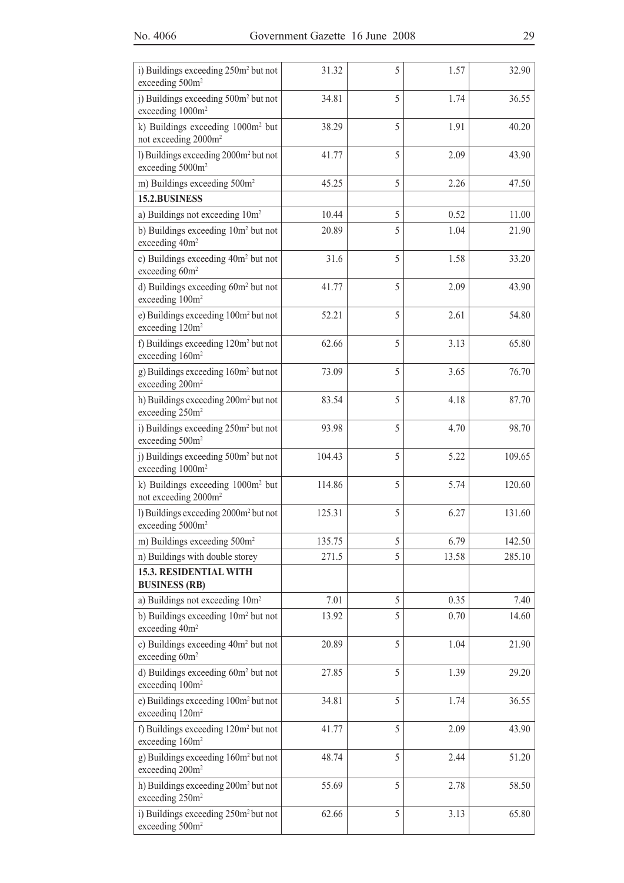| i) Buildings exceeding 250m <sup>2</sup> but not<br>exceeding 500m <sup>2</sup>   | 31.32  | 5 | 1.57  | 32.90  |
|-----------------------------------------------------------------------------------|--------|---|-------|--------|
| j) Buildings exceeding 500m <sup>2</sup> but not<br>exceeding 1000m <sup>2</sup>  | 34.81  | 5 | 1.74  | 36.55  |
| k) Buildings exceeding 1000m <sup>2</sup> but<br>not exceeding 2000m <sup>2</sup> | 38.29  | 5 | 1.91  | 40.20  |
| 1) Buildings exceeding 2000m <sup>2</sup> but not<br>exceeding 5000m <sup>2</sup> | 41.77  | 5 | 2.09  | 43.90  |
| m) Buildings exceeding 500m <sup>2</sup>                                          | 45.25  | 5 | 2.26  | 47.50  |
| 15.2.BUSINESS                                                                     |        |   |       |        |
| a) Buildings not exceeding 10m <sup>2</sup>                                       | 10.44  | 5 | 0.52  | 11.00  |
| b) Buildings exceeding 10m <sup>2</sup> but not<br>exceeding 40m <sup>2</sup>     | 20.89  | 5 | 1.04  | 21.90  |
| c) Buildings exceeding 40m <sup>2</sup> but not<br>exceeding 60m <sup>2</sup>     | 31.6   | 5 | 1.58  | 33.20  |
| d) Buildings exceeding 60m <sup>2</sup> but not<br>exceeding 100m <sup>2</sup>    | 41.77  | 5 | 2.09  | 43.90  |
| e) Buildings exceeding 100m <sup>2</sup> but not<br>exceeding 120m <sup>2</sup>   | 52.21  | 5 | 2.61  | 54.80  |
| f) Buildings exceeding 120m <sup>2</sup> but not<br>exceeding 160m <sup>2</sup>   | 62.66  | 5 | 3.13  | 65.80  |
| g) Buildings exceeding 160m <sup>2</sup> but not<br>exceeding 200m <sup>2</sup>   | 73.09  | 5 | 3.65  | 76.70  |
| h) Buildings exceeding 200m <sup>2</sup> but not<br>exceeding 250m <sup>2</sup>   | 83.54  | 5 | 4.18  | 87.70  |
| i) Buildings exceeding 250m <sup>2</sup> but not<br>exceeding 500m <sup>2</sup>   | 93.98  | 5 | 4.70  | 98.70  |
| j) Buildings exceeding 500m <sup>2</sup> but not<br>exceeding 1000m <sup>2</sup>  | 104.43 | 5 | 5.22  | 109.65 |
| k) Buildings exceeding 1000m <sup>2</sup> but<br>not exceeding 2000m <sup>2</sup> | 114.86 | 5 | 5.74  | 120.60 |
| l) Buildings exceeding 2000m <sup>2</sup> but not<br>exceeding 5000m <sup>2</sup> | 125.31 | 5 | 6.27  | 131.60 |
| m) Buildings exceeding 500m <sup>2</sup>                                          | 135.75 | 5 | 6.79  | 142.50 |
| n) Buildings with double storey                                                   | 271.5  | 5 | 13.58 | 285.10 |
| <b>15.3. RESIDENTIAL WITH</b><br><b>BUSINESS (RB)</b>                             |        |   |       |        |
| a) Buildings not exceeding 10m <sup>2</sup>                                       | 7.01   | 5 | 0.35  | 7.40   |
| b) Buildings exceeding 10m <sup>2</sup> but not<br>exceeding 40m <sup>2</sup>     | 13.92  | 5 | 0.70  | 14.60  |
| c) Buildings exceeding 40m <sup>2</sup> but not<br>exceeding 60m <sup>2</sup>     | 20.89  | 5 | 1.04  | 21.90  |
| d) Buildings exceeding 60m <sup>2</sup> but not<br>exceeding 100m <sup>2</sup>    | 27.85  | 5 | 1.39  | 29.20  |
| e) Buildings exceeding 100m <sup>2</sup> but not<br>exceeding 120m <sup>2</sup>   | 34.81  | 5 | 1.74  | 36.55  |
| f) Buildings exceeding 120m <sup>2</sup> but not<br>exceeding 160m <sup>2</sup>   | 41.77  | 5 | 2.09  | 43.90  |
| g) Buildings exceeding 160m <sup>2</sup> but not<br>exceeding 200m <sup>2</sup>   | 48.74  | 5 | 2.44  | 51.20  |
| h) Buildings exceeding 200m <sup>2</sup> but not<br>exceeding 250m <sup>2</sup>   | 55.69  | 5 | 2.78  | 58.50  |
| i) Buildings exceeding 250m <sup>2</sup> but not<br>exceeding 500m <sup>2</sup>   | 62.66  | 5 | 3.13  | 65.80  |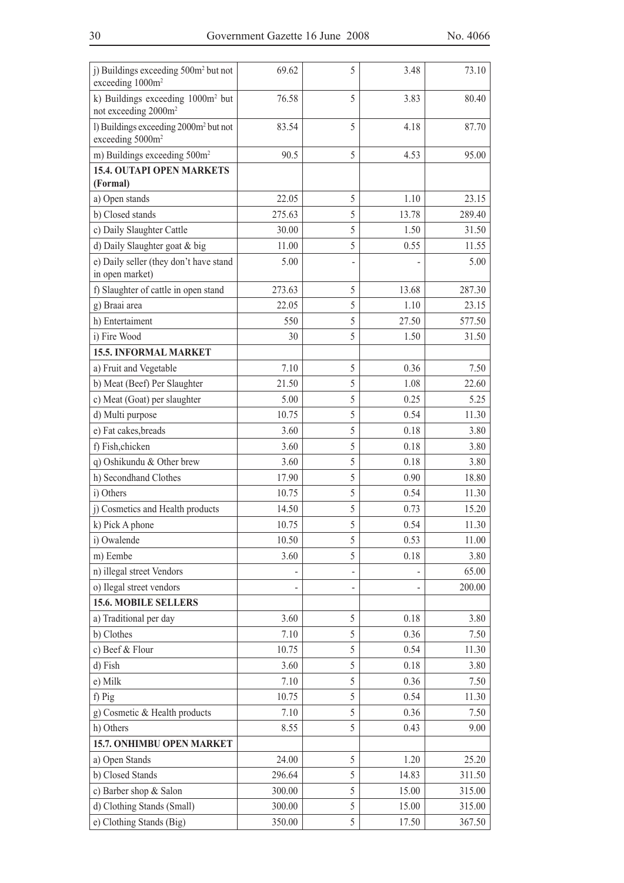| j) Buildings exceeding 500m <sup>2</sup> but not<br>exceeding 1000m <sup>2</sup>  | 69.62  | 5 | 3.48  | 73.10  |
|-----------------------------------------------------------------------------------|--------|---|-------|--------|
| k) Buildings exceeding 1000m <sup>2</sup> but<br>not exceeding 2000m <sup>2</sup> | 76.58  | 5 | 3.83  | 80.40  |
| l) Buildings exceeding 2000m <sup>2</sup> but not<br>exceeding 5000m <sup>2</sup> | 83.54  | 5 | 4.18  | 87.70  |
| m) Buildings exceeding 500m <sup>2</sup>                                          | 90.5   | 5 | 4.53  | 95.00  |
| <b>15.4. OUTAPI OPEN MARKETS</b>                                                  |        |   |       |        |
| (Formal)                                                                          |        |   |       |        |
| a) Open stands                                                                    | 22.05  | 5 | 1.10  | 23.15  |
| b) Closed stands                                                                  | 275.63 | 5 | 13.78 | 289.40 |
| c) Daily Slaughter Cattle                                                         | 30.00  | 5 | 1.50  | 31.50  |
| d) Daily Slaughter goat & big                                                     | 11.00  | 5 | 0.55  | 11.55  |
| e) Daily seller (they don't have stand<br>in open market)                         | 5.00   |   |       | 5.00   |
| f) Slaughter of cattle in open stand                                              | 273.63 | 5 | 13.68 | 287.30 |
| g) Braai area                                                                     | 22.05  | 5 | 1.10  | 23.15  |
| h) Entertaiment                                                                   | 550    | 5 | 27.50 | 577.50 |
| i) Fire Wood                                                                      | 30     | 5 | 1.50  | 31.50  |
| <b>15.5. INFORMAL MARKET</b>                                                      |        |   |       |        |
| a) Fruit and Vegetable                                                            | 7.10   | 5 | 0.36  | 7.50   |
| b) Meat (Beef) Per Slaughter                                                      | 21.50  | 5 | 1.08  | 22.60  |
| c) Meat (Goat) per slaughter                                                      | 5.00   | 5 | 0.25  | 5.25   |
| d) Multi purpose                                                                  | 10.75  | 5 | 0.54  | 11.30  |
| e) Fat cakes, breads                                                              | 3.60   | 5 | 0.18  | 3.80   |
| f) Fish, chicken                                                                  | 3.60   | 5 | 0.18  | 3.80   |
| q) Oshikundu & Other brew                                                         | 3.60   | 5 | 0.18  | 3.80   |
| h) Secondhand Clothes                                                             | 17.90  | 5 | 0.90  | 18.80  |
| i) Others                                                                         | 10.75  | 5 | 0.54  | 11.30  |
| j) Cosmetics and Health products                                                  | 14.50  | 5 | 0.73  | 15.20  |
| k) Pick A phone                                                                   | 10.75  | 5 | 0.54  | 11.30  |
| i) Owalende                                                                       | 10.50  | 5 | 0.53  | 11.00  |
| m) Eembe                                                                          | 3.60   | 5 | 0.18  | 3.80   |
| n) illegal street Vendors                                                         |        |   |       | 65.00  |
| o) Ilegal street vendors                                                          |        |   |       | 200.00 |
| <b>15.6. MOBILE SELLERS</b>                                                       |        |   |       |        |
| a) Traditional per day                                                            | 3.60   | 5 | 0.18  | 3.80   |
| b) Clothes                                                                        | 7.10   | 5 | 0.36  | 7.50   |
| c) Beef & Flour                                                                   | 10.75  | 5 | 0.54  | 11.30  |
| d) Fish                                                                           | 3.60   | 5 | 0.18  | 3.80   |
| e) Milk                                                                           | 7.10   | 5 | 0.36  | 7.50   |
| f) Pig                                                                            | 10.75  | 5 | 0.54  | 11.30  |
| g) Cosmetic & Health products                                                     | 7.10   | 5 | 0.36  | 7.50   |
| h) Others                                                                         | 8.55   | 5 | 0.43  | 9.00   |
| <b>15.7. ONHIMBU OPEN MARKET</b>                                                  |        |   |       |        |
| a) Open Stands                                                                    | 24.00  | 5 | 1.20  | 25.20  |
| b) Closed Stands                                                                  | 296.64 | 5 | 14.83 | 311.50 |
| c) Barber shop & Salon                                                            | 300.00 | 5 | 15.00 | 315.00 |
| d) Clothing Stands (Small)                                                        | 300.00 | 5 | 15.00 | 315.00 |
| e) Clothing Stands (Big)                                                          | 350.00 | 5 | 17.50 | 367.50 |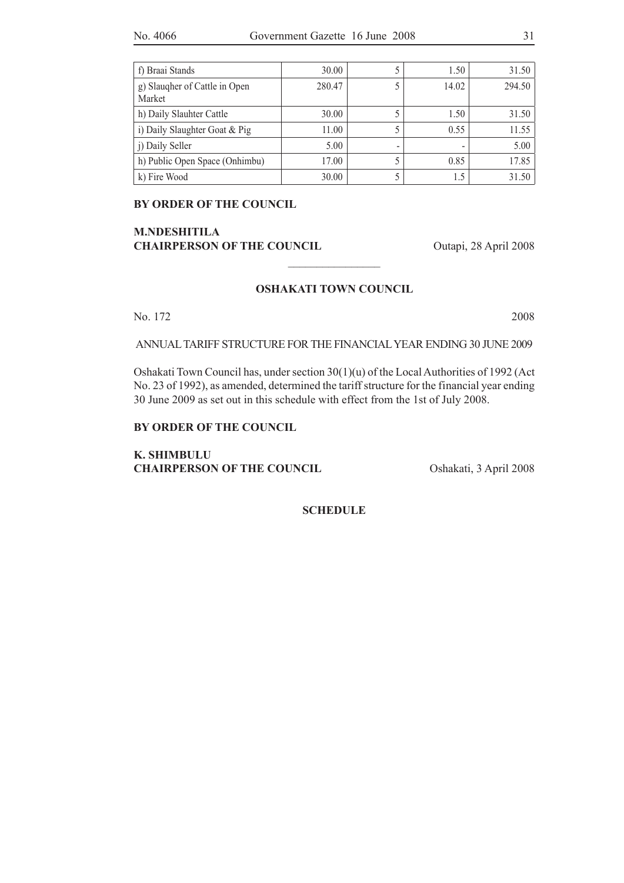| f) Braai Stands                         | 30.00  |   | 1.50  | 31.50  |
|-----------------------------------------|--------|---|-------|--------|
| g) Slaugher of Cattle in Open<br>Market | 280.47 |   | 14.02 | 294.50 |
| h) Daily Slauhter Cattle                | 30.00  |   | 1.50  | 31.50  |
| i) Daily Slaughter Goat & Pig           | 11.00  |   | 0.55  | 11.55  |
| j) Daily Seller                         | 5.00   | - |       | 5.00   |
| h) Public Open Space (Onhimbu)          | 17.00  |   | 0.85  | 17.85  |
| k) Fire Wood                            | 30.00  |   | 15    | 31.50  |

**BY ORDER OF THE COUNCIL**

### **M.NDESHITILA CHAIRPERSON OF THE COUNCIL** Outapi, 28 April 2008

#### **OSHAKATI TOWN COUNCIL**

 $\overline{\phantom{a}}$  , where  $\overline{\phantom{a}}$ 

No. 172 2008

ANNUAL TARIFF STRUCTURE FOR THE FINANCIAL YEAR ENDING 30 JUNE 2009

Oshakati Town Council has, under section 30(1)(u) of the Local Authorities of 1992 (Act No. 23 of 1992), as amended, determined the tariff structure for the financial year ending 30 June 2009 as set out in this schedule with effect from the 1st of July 2008.

#### **BY ORDER OF THE COUNCIL**

**K. SHIMBULU CHAIRPERSON OF THE COUNCIL** Oshakati, 3 April 2008

**SCHEDULE**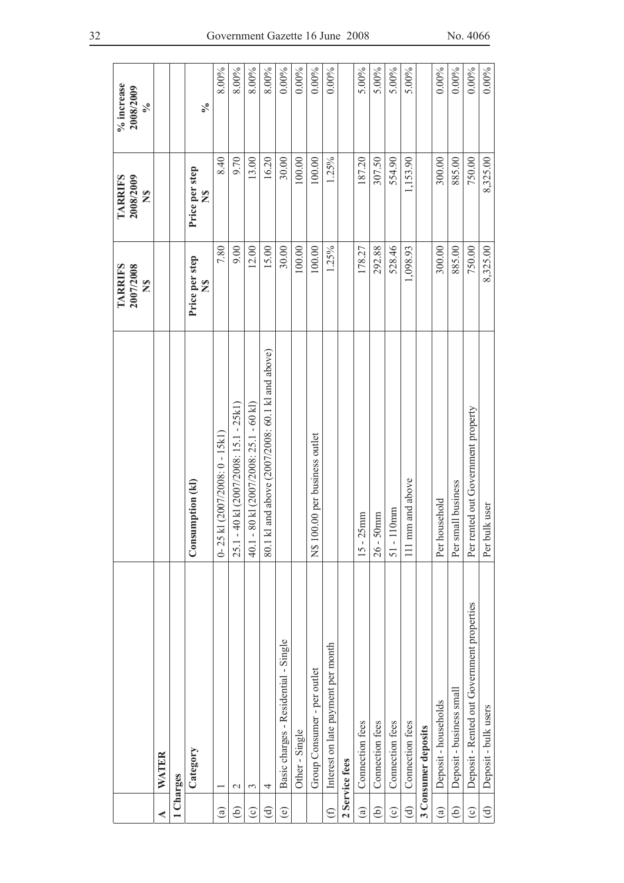|                        |                                            |                                                     | <b>TARRIFS</b>                 | <b>TARRIFS</b>                  | % increase                 |
|------------------------|--------------------------------------------|-----------------------------------------------------|--------------------------------|---------------------------------|----------------------------|
|                        |                                            |                                                     | 2007/2008<br>$\mathbf{z}$      | 2008/2009<br>$\mathbb{Z}$       | 2008/2009<br>$\frac{6}{6}$ |
| ⋖                      | <b>WATER</b>                               |                                                     |                                |                                 |                            |
|                        | 1 Charges                                  |                                                     |                                |                                 |                            |
|                        | Category                                   | Consumption (kl)                                    | Price per step<br>$\mathbf{S}$ | Price per step<br>$\frac{6}{5}$ | $\mathcal{S}_{\bullet}$    |
| $\widehat{a}$          |                                            | $0 - 25$ k1 (2007/2008: $0 - 15$ k1)                | 7.80                           | 8.40                            | 8.00%                      |
| ê)                     | $\mathcal{L}$                              | 25.1 - 40 kl (2007/2008: 15.1 - 25k1)               | 9.00                           | 9.70                            | 8.00%                      |
| $\odot$                | 3                                          | 80 kl (2007/2008: 25.1 - 60 kl)<br>$40.1 -$         | 12.00                          | 13.00                           | 8.00%                      |
| $\bigoplus$            | 4                                          | and above (2007/2008: 60.1 kl and above)<br>80.1 kl | 15.00                          | 16.20                           | 8.00%                      |
| $\widehat{\mathbf{e}}$ | Basic charges - Residential - Single       |                                                     | 30.00                          | 30.00                           | $0.00\%$                   |
|                        | Other - Single                             |                                                     | 100.00                         | 100.00                          | $0.00\%$                   |
|                        | Group Consumer - per outlet                | N\$ 100.00 per business outlet                      | 100.00                         | 100.00                          | $0.00\%$                   |
| $\bigoplus$            | Interest on late payment per month         |                                                     | 1.25%                          | 1.25%                           | $0.00\%$                   |
|                        | 2 Service fees                             |                                                     |                                |                                 |                            |
| $\binom{a}{b}$         | Connection fees                            | $15 - 25$ mm                                        | 178.27                         | 187.20                          | 5.00%                      |
| $\widehat{e}$          | Connection fees                            | mm<br>$26 - 50$                                     | 292.88                         | 307.50                          | 5.00%                      |
| $\widehat{\circ}$      | Connection fees                            | $51 - 110$ mm                                       | 528.46                         | 554.90                          | 5.00%                      |
| $\bigoplus$            | Connection fees                            | 111 mm and above                                    | 1,098.93                       | 1,153.90                        | 5.00%                      |
|                        | 3 Consumer deposits                        |                                                     |                                |                                 |                            |
| $\widehat{\mathbf{a}}$ | Deposit - households                       | Per household                                       | 300.00                         | 300.00                          | $0.00\%$                   |
| $\widehat{e}$          | Deposit - business small                   | Per small business                                  | 885.00                         | 885.00                          | $0.00\%$                   |
| $\odot$                | Deposit - Rented out Government properties | Per rented out Government property                  | 750.00                         | 750.00                          | $0.00\%$                   |
| $\bigoplus$            | Deposit - bulk users                       | Per bulk user                                       | 8,325.00                       | 8,325.00                        | $0.00\%$                   |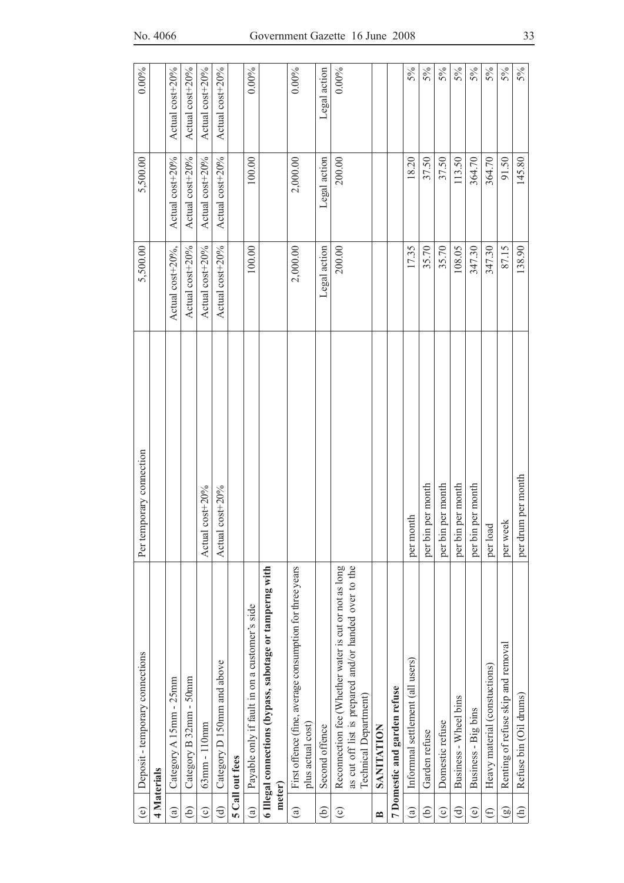| No. 4066 |
|----------|
|          |

| $\odot$                | Deposit - temporary connections                                                                                                                 | Per temporary connection | 5,500.00         | 5,500.00        | $0.00\%$        |
|------------------------|-------------------------------------------------------------------------------------------------------------------------------------------------|--------------------------|------------------|-----------------|-----------------|
|                        | <b>4 Materials</b>                                                                                                                              |                          |                  |                 |                 |
| $\widehat{a}$          | Category A 15mm - 25mm                                                                                                                          |                          | Actual cost+20%, | Actual cost+20% | Actual cost+20% |
| ව                      | Category B 32mm - 50mm                                                                                                                          |                          | Actual cost+20%  | Actual cost+20% | Actual cost+20% |
| $\widehat{\circ}$      | 63mm - 110mm                                                                                                                                    | $cost + 20%$<br>Actual   | Actual cost+20%  | Actual cost+20% | Actual cost+20% |
| $\widehat{\mathbf{d}}$ | Category D 150mm and above                                                                                                                      | $cost + 20%$<br>Actual   | Actual cost+20%  | Actual cost+20% | Actual cost+20% |
|                        | 5 Call out fees                                                                                                                                 |                          |                  |                 |                 |
| $\widehat{a}$          | Payable only if fault in on a customer's side                                                                                                   |                          | 100.00           | 100.00          | $0.00\%$        |
|                        | 6 Illegal connections (bypass, sabotage or tamperng with                                                                                        |                          |                  |                 |                 |
|                        | meter)                                                                                                                                          |                          |                  |                 |                 |
| $\mathbf{G}$           | First offence (fine, average consumption for three years<br>plus actual cost)                                                                   |                          | 2,000.00         | 2,000.00        | $0.00\%$        |
| Э)                     | Second offence                                                                                                                                  |                          | Legal action     | Legal action    | Legal action    |
| $\odot$                | as cut off list is prepared and/or handed over to the<br>Reconnection fee (Whether water is cut or not as long<br><b>Technical Department</b> ) |                          | 200.00           | 200.00          | $0.00\%$        |
| $\approx$              | <b>SANITATION</b>                                                                                                                               |                          |                  |                 |                 |
|                        | 7 Domestic and garden refuse                                                                                                                    |                          |                  |                 |                 |
| $\widehat{a}$          | Informal settlement (all users)                                                                                                                 | per month                | 17.35            | 18.20           | 5%              |
| ව                      | Garden refuse                                                                                                                                   | per bin per month        | 35.70            | 37.50           | 5%              |
| $\odot$                | Domestic refuse                                                                                                                                 | per bin per month        | 35.70            | 37.50           | 5%              |
| ਰਿ                     | Business - Wheel bins                                                                                                                           | per bin per month        | 108.05           | 113.50          | 5%              |
| $\circledcirc$         | Business - Big bins                                                                                                                             | per bin per month        | 347.30           | 364.70          | 5%              |
| $\oplus$               | Heavy material (constuctions)                                                                                                                   | per load                 | 347.30           | 364.70          | 5%              |
| $\circledcirc$         | Renting of refuse skip and removal                                                                                                              | per week                 | 87.15            | 91.50           | 5%              |
| $\widehat{e}$          | Refuse bin (Oil drums)                                                                                                                          | per drum per month       | 138.90           | 145.80          | 5%              |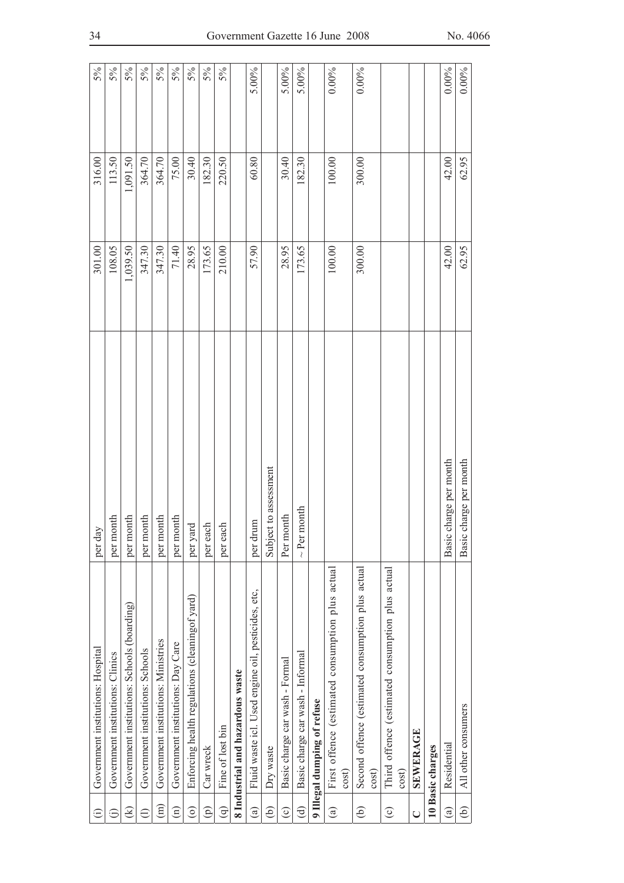| $\widehat{\Xi}$        | Government institutions: Hospital                         | per day                   | 301.00   | 316.00   | 5%       |
|------------------------|-----------------------------------------------------------|---------------------------|----------|----------|----------|
| Ξ                      | Government institutions: Clinics                          | per month                 | 108.05   | 113.50   | 5%       |
| $\infty$               | Government institutions: Schools (boarding)               | per month                 | 1,039.50 | 1,091.50 | 5%       |
| $\ominus$              | Government institutions: Schools                          | per month                 | 347.30   | 364.70   | $5\%$    |
| $\widehat{\Xi}$        | Government institutions: Ministries                       | per month                 | 347.30   | 364.70   | $5\%$    |
| $\widehat{\Xi}$        | Government institutions: Day Care                         | per month                 | 71.40    | 75.00    | 5%       |
| $\widehat{\circ}$      | Enforcing health regulations (cleaning of yard)           | per yard                  | 28.95    | 30.40    | $5\%$    |
| $\widehat{\Xi}$        | Car wreck                                                 | per each                  | 173.65   | 182.30   | 5%       |
| $\widehat{\mathsf{e}}$ | Fine of lost bin                                          | per each                  | 210.00   | 220.50   | 5%       |
|                        | 8 Industrial and hazardous waste                          |                           |          |          |          |
| $\widehat{a}$          | Fluid waste icl. Used engine oil, pesticides, etc,        | per drum                  | 57.90    | 60.80    | 5.00%    |
| ව                      | Dry waste                                                 | Subject to assessment     |          |          |          |
| $\widehat{\circ}$      | Basic charge car wash - Formal                            | Per month                 | 28.95    | 30.40    | 5.00%    |
| ਰਿ                     | Basic charge car wash - Informal                          | $\sim$ Per month          | 173.65   | 182.30   | $5.00\%$ |
|                        | 9 Illegal dumping of refuse                               |                           |          |          |          |
| $\circledast$          | First offence (estimated consumption plus actual<br>cost) |                           | 100.00   | 100.00   | $0.00\%$ |
| $\widehat{e}$          | Second offence (estimated consumption plus actual<br>cost |                           | 300.00   | 300.00   | $0.00\%$ |
| $\odot$                | Third offence (estimated consumption plus actual<br>cost) |                           |          |          |          |
| $\cup$                 | SEWERAGE                                                  |                           |          |          |          |
|                        | 10 Basic charges                                          |                           |          |          |          |
| $\widehat{a}$          | Residential                                               | charge per month<br>Basic | 42.00    | 42.00    | $0.00\%$ |
| $\widehat{e}$          | All other consumers                                       | charge per month<br>Basic | 62.95    | 62.95    | 0.00%    |
|                        |                                                           |                           |          |          |          |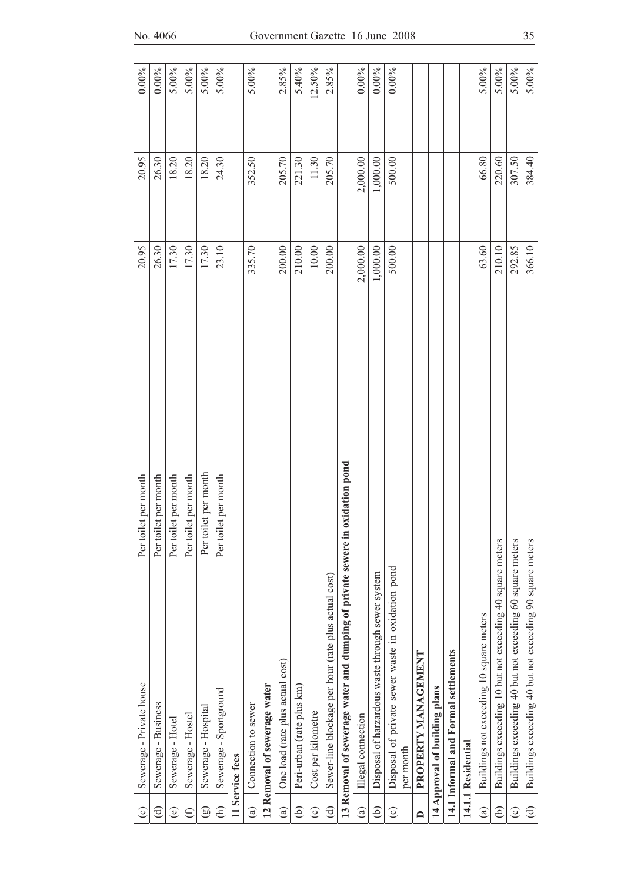| $\odot$                | Sewerage - Private house                                                     | Per toilet per month | 20.95    | 20.95      | 0.00%    |
|------------------------|------------------------------------------------------------------------------|----------------------|----------|------------|----------|
| ਰੁ                     | Sewerage - Business                                                          | Per toilet per month | 26.30    | 26.30      | $0.00\%$ |
| $\widehat{\mathbf{e}}$ | Sewerage - Hotel                                                             | Per toilet per month | 17.30    | 18.20      | $5.00\%$ |
| $\oplus$               | Sewerage - Hostel                                                            | Per toilet per month | 17.30    | 18.20      | 5.00%    |
| මු                     | Sewerage - Hospital                                                          | Per toilet per month | 17.30    | 18.20      | 5.00%    |
| $\widehat{\in}$        | Sewerage - Sportground                                                       | Per toilet per month | 23.10    | 24.30      | 5.00%    |
|                        | 11 Service fees                                                              |                      |          |            |          |
| $\binom{a}{b}$         | Connection to sewer                                                          |                      | 335.70   | 352.50     | 5.00%    |
|                        | 12 Removal of sewerage water                                                 |                      |          |            |          |
| $\widehat{a}$          | One load (rate plus actual cost)                                             |                      | 200.00   | 205.70     | 2.85%    |
| ව                      | Peri-urban (rate plus km)                                                    |                      | 210.00   | 221.30     | 5.40%    |
| $\widehat{\circ}$      | Cost per kilometre                                                           |                      | $10.00$  | 11.30      | 12.50%   |
| ਰਿ                     | Sewer-line blockage per hour (rate plus actual cost)                         |                      | 200.00   | 205.70     | 2.85%    |
|                        | 13 Removal of sewerage water and dumping of private sewere in oxidation pond |                      |          |            |          |
| $\circledast$          | Illegal connection                                                           |                      | 2,000.00 | 2,000.00   | $0.00\%$ |
| ව                      | Disposal of harzardous waste through sewer system                            |                      | 1,000.00 | $1,000.00$ | $0.00\%$ |
| $\odot$                | Disposal of private sewer waste in oxidation pond<br>per month               |                      | 500.00   | 500.00     | $0.00\%$ |
| $\Box$                 | PROPERTY MANAGEMENT                                                          |                      |          |            |          |
|                        | 14 Approval of building plans                                                |                      |          |            |          |
|                        | 14.1 Informal and Formal settlements                                         |                      |          |            |          |
|                        | 14.1.1 Residential                                                           |                      |          |            |          |
| $\binom{a}{b}$         | Buildings not exceeding 10 square meters                                     |                      | 63.60    | 66.80      | 5.00%    |
| ව                      | Buildings exceeding 10 but not exceeding 40 square meters                    |                      | 210.10   | 220.60     | 5.00%    |
| $\widehat{\circ}$      | Buildings exceeding 40 but not exceeding 60 square meters                    |                      | 292.85   | 307.50     | 5.00%    |
| $\bigoplus$            | Buildings exceeding 40 but not exceeding 90 square meters                    |                      | 366.10   | 384.40     | 5.00%    |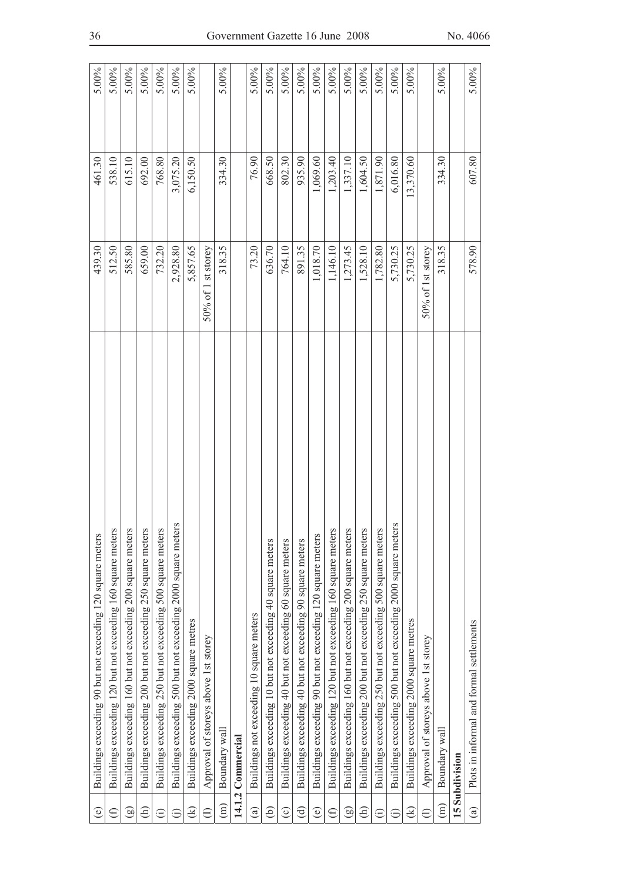| $\widehat{\mathbf{e}}$ | Buildings exceeding 90 but not exceeding 120 square meters   | 439.30             | 461.30    | 5.00%    |
|------------------------|--------------------------------------------------------------|--------------------|-----------|----------|
| $\in$                  | Buildings exceeding 120 but not exceeding 160 square meters  | 512.50             | 538.10    | 5.00%    |
| ම                      | Buildings exceeding 160 but not exceeding 200 square meters  | 585.80             | 615.10    | 5.00%    |
| $\widehat{\in}$        | Buildings exceeding 200 but not exceeding 250 square meters  | 659.00             | 692.00    | 5.00%    |
| Ξ                      | Buildings exceeding 250 but not exceeding 500 square meters  | 732.20             | 768.80    | 5.00%    |
| Ξ                      | Buildings exceeding 500 but not exceeding 2000 square meters | 2,928.80           | 3,075.20  | 5.00%    |
| ⊛                      | Buildings exceeding 2000 square metres                       | 5,857.65           | 6,150.50  | 5.00%    |
|                        | Approval of storeys above 1st storey                         | 50% of 1 st storey |           |          |
| $\binom{m}{m}$         | Boundary wall                                                | 318.35             | 334.30    | $5.00\%$ |
|                        | 14.1.2 Commercial                                            |                    |           |          |
| $\widehat{a}$          | Buildings not exceeding 10 square meters                     | 73.20              | 76.90     | 5.00%    |
| ව                      | Buildings exceeding 10 but not exceeding 40 square meters    | 636.70             | 668.50    | 5.00%    |
| $\odot$                | Buildings exceeding 40 but not exceeding 60 square meters    | 764.10             | 802.30    | 5.00%    |
| ਰਿ                     | Buildings exceeding 40 but not exceeding 90 square meters    | 891.35             | 935.90    | 5.00%    |
| $\widehat{\mathbf{e}}$ | Buildings exceeding 90 but not exceeding 120 square meters   | 1,018.70           | 1,069.60  | 5.00%    |
| $\oplus$               | Buildings exceeding 120 but not exceeding 160 square meters  | 1,146.10           | 1,203.40  | 5.00%    |
| ම                      | Buildings exceeding 160 but not exceeding 200 square meters  | 1,273.45           | 1,337.10  | 5.00%    |
| €                      | Buildings exceeding 200 but not exceeding 250 square meters  | 1,528.10           | 1,604.50  | 5.00%    |
| $\widehat{\Xi}$        | Buildings exceeding 250 but not exceeding 500 square meters  | 1,782.80           | 1,871.90  | $5.00\%$ |
| ⊜                      | Buildings exceeding 500 but not exceeding 2000 square meters | 5,730.25           | 6,016.80  | 5.00%    |
| ⊛                      | Buildings exceeding 2000 square metres                       | 5,730.25           | 13,370.60 | 5.00%    |
| €                      | Approval of storeys above 1st storey                         | 50% of 1st storey  |           |          |
| $\widehat{E}$          | Boundary wall                                                | 318.35             | 334.30    | 5.00%    |
|                        | 15 Subdivision                                               |                    |           |          |
| $\mathbf{a})$          | Plots in informal and formal settlements                     | 578.90             | 607.80    | 5.00%    |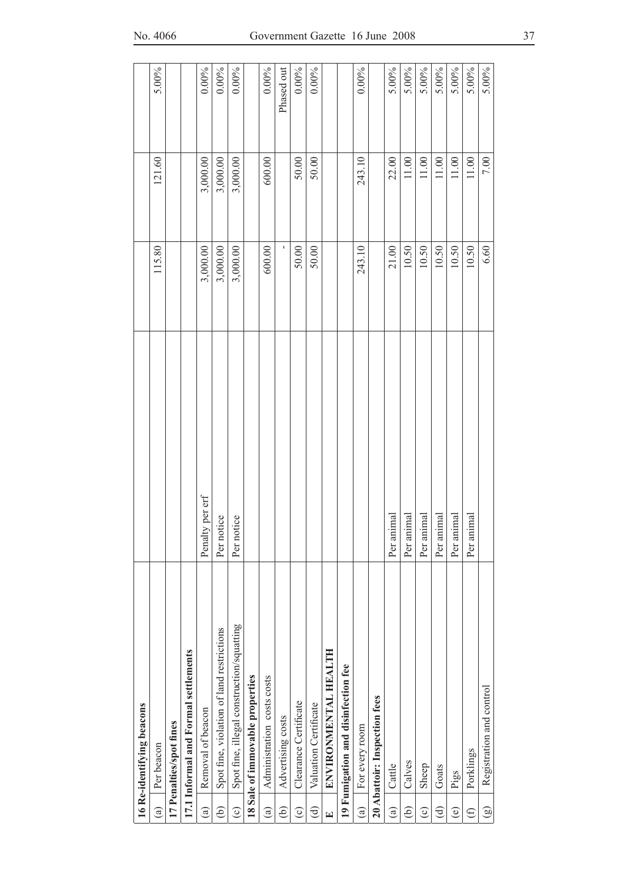|                        | 16 Re-identifying beacons                 |                      |          |           |            |
|------------------------|-------------------------------------------|----------------------|----------|-----------|------------|
| $\widehat{a}$          | Per beacon                                |                      | 115.80   | 121.60    | 5.00%      |
|                        | 17 Penalties/spot fines                   |                      |          |           |            |
|                        | 17.1 Informal and Formal settlements      |                      |          |           |            |
| $\widehat{a}$          | Removal of beacon                         | Ity per erf<br>Penal | 3,000.00 | 3,000.00  | $0.00\%$   |
| ව                      | Spot fine, violation of land restrictions | Per notice           | 3,000.00 | 3,000.00  | $0.00\%$   |
| $\widehat{\circ}$      | Spot fine, illegal construction/squatting | Per notice           | 3,000.00 | 3,000.00  | $0.00\%$   |
|                        | 18 Sale of immovable properties           |                      |          |           |            |
| $\widehat{a}$          | Administration costs costs                |                      | 600.00   | 600.00    | $0.00\%$   |
| ව                      | Advertising costs                         |                      |          |           | Phased out |
| $\widehat{\circ}$      | Clearance Certificate                     |                      | 50.00    | 50.00     | $0.00\%$   |
| ਰਿ                     | Valuation Certificate                     |                      | 50.00    | 50.00     | $0.00\%$   |
| $\mathbf{E}$           | ENVIRONMENTAL HEALTH                      |                      |          |           |            |
|                        | 19 Fumigation and disinfection fee        |                      |          |           |            |
| $\widehat{a}$          | For every room                            |                      | 243.10   | 243.10    | $0.00\%$   |
|                        | 20 Abattoir: Inspection fees              |                      |          |           |            |
| $\widehat{\mathbf{a}}$ | Cattle                                    | Per animal           | 21.00    | 22.00     | 5.00%      |
| ව                      | Calves                                    | Per animal           | 10.50    | $11.00\,$ | 5.00%      |
| $\widehat{\circ}$      | Sheep                                     | Per animal           | 10.50    | $11.00\,$ | 5.00%      |
| ਰੁ                     | Goats                                     | Per animal           | 10.50    | $11.00\,$ | 5.00%      |
| $\circledcirc$         | Pigs                                      | Per animal           | 10.50    | $11.00\,$ | 5.00%      |
| €                      | Porklings                                 | Per animal           | 10.50    | 11.00     | 5.00%      |
| $\circledcirc$         | Registration and control                  |                      | 6.60     | 7.00      | 5.00%      |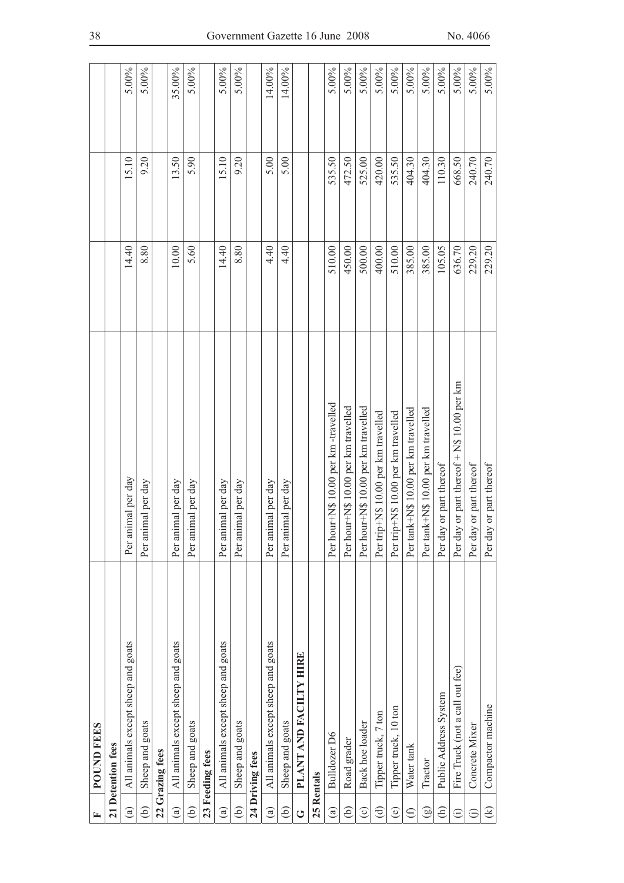| 匞                      | <b>POUND FEES</b>                  |                                            |        |        |          |
|------------------------|------------------------------------|--------------------------------------------|--------|--------|----------|
|                        | 21 Detention fees                  |                                            |        |        |          |
| $\widehat{a}$          | All animals except sheep and goats | Per animal per day                         | 14.40  | 15.10  | 5.00%    |
| $\widehat{e}$          | Sheep and goats                    | imal per day<br>Per ani                    | 8.80   | 9.20   | 5.00%    |
|                        | 22 Grazing fees                    |                                            |        |        |          |
| $\widehat{a}$          | All animals except sheep and goats | imal per day<br>Per ani                    | 10.00  | 13.50  | 35.00%   |
| ව                      | Sheep and goats                    | Per animal per day                         | 5.60   | 5.90   | 5.00%    |
|                        | 23 Feeding fees                    |                                            |        |        |          |
| $\widehat{a}$          | All animals except sheep and goats | Per animal per day                         | 14.40  | 15.10  | 5.00%    |
| ව                      | Sheep and goats                    | imal per day<br>Per ani                    | 8.80   | 9.20   | 5.00%    |
|                        | 24 Driving fees                    |                                            |        |        |          |
| $\widehat{\mathbf{a}}$ | All animals except sheep and goats | imal per day<br>Per ani                    | 4.40   | 5.00   | 14.00%   |
| ව                      | Sheep and goats                    | imal per day<br>Per an                     | 4.40   | 5.00   | 14.00%   |
| ڻ                      | PLANT AND FACILTY HIRE             |                                            |        |        |          |
|                        | 25 Rentals                         |                                            |        |        |          |
| $\widehat{a}$          | Bulldozer D6                       | Per hour+N\$ 10.00 per km -travelled       | 510.00 | 535.50 | 5.00%    |
| ව                      | Road grader                        | Per hour+N\$ 10.00 per km travelled        | 450.00 | 472.50 | 5.00%    |
| $\odot$                | Back hoe loader                    | Per hour+N\$ 10.00 per km travelled        | 500.00 | 525.00 | 5.00%    |
| ਰਿ                     | Tipper truck, 7 ton                | Per trip+N\$ 10.00 per km travelled        | 400.00 | 420.00 | 5.00%    |
| $\widehat{\mathbb{e}}$ | Tipper truck, 10 ton               | Per trip+N\$ 10.00 per km travelled        | 510.00 | 535.50 | 5.00%    |
| $\oplus$               | Water tank                         | Per tank+N\$ 10.00 per km travelled        | 385.00 | 404.30 | 5.00%    |
| මු                     | Tractor                            | Per tank+N\$ 10.00 per km travelled        | 385.00 | 404.30 | $5.00\%$ |
| $\widehat{\in}$        | Public Address System              | Per day or part thereof                    | 105.05 | 110.30 | 5.00%    |
| $\widehat{\Xi}$        | Fire Truck (not a call out fee)    | Per day or part thereof + N\$ 10.00 per km | 636.70 | 668.50 | 5.00%    |
| ⊕                      | Concrete Mixer                     | Per day or part thereof                    | 229.20 | 240.70 | 5.00%    |
| $\circledcirc$         | Compactor machine                  | Per day or part thereof                    | 229.20 | 240.70 | 5.00%    |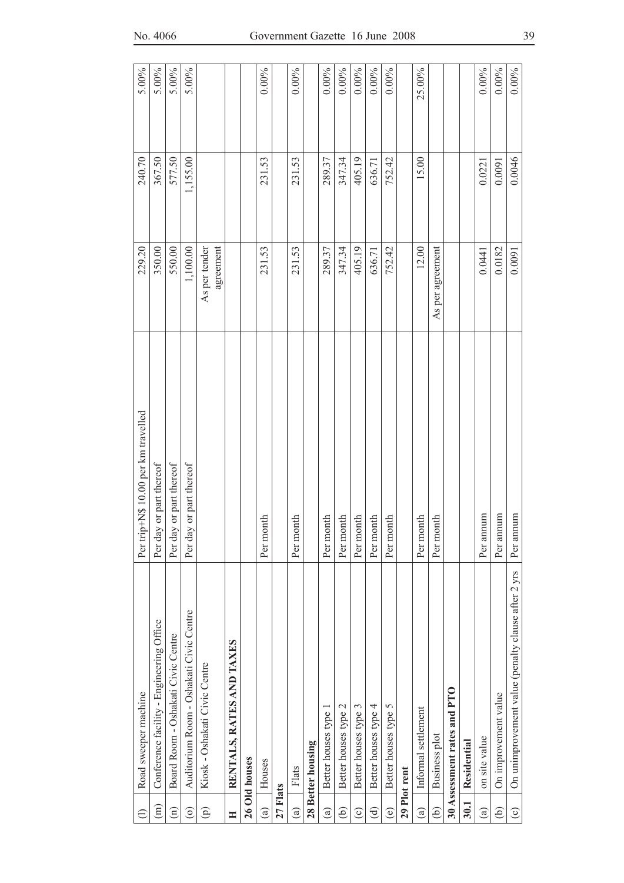| $\ominus$          | Road sweeper machine                               | Per trip+N\$ 10.00 per km travelled | 229.20                     | 240.70   | 5.00%    |
|--------------------|----------------------------------------------------|-------------------------------------|----------------------------|----------|----------|
| $\widehat{E}$      | Conference facility - Engineering Office           | Per day or part thereof             | 350.00                     | 367.50   | 5.00%    |
| $\widehat{\Xi}$    | Board Room - Oshakati Civic Centre                 | Per day or part thereof             | 550.00                     | 577.50   | 5.00%    |
| $\widehat{\circ}$  | Auditorium Room - Oshakati Civic Centre            | Per day or part thereof             | 1,100.00                   | 1,155.00 | 5.00%    |
| $\widehat{\Theta}$ | Kiosk - Oshakati Civic Centre                      |                                     | As per tender<br>agreement |          |          |
| H                  | RENTALS, RATES AND TAXES                           |                                     |                            |          |          |
|                    | 26 Old houses                                      |                                     |                            |          |          |
| $\widehat{a}$      | Houses                                             | Per month                           | 231.53                     | 231.53   | $0.00\%$ |
| 27 Flats           |                                                    |                                     |                            |          |          |
| $\widehat{a}$      | Flats                                              | Per month                           | 231.53                     | 231.53   | $0.00\%$ |
|                    | 28 Better housing                                  |                                     |                            |          |          |
| $\widehat{a}$      | Better houses type 1                               | Per month                           | 289.37                     | 289.37   | $0.00\%$ |
| ව                  | Better houses type 2                               | Per month                           | 347.34                     | 347.34   | $0.00\%$ |
| $\odot$            | Better houses type 3                               | Per month                           | 405.19                     | 405.19   | $0.00\%$ |
| ਰਿ                 | Better houses type 4                               | Per month                           | 636.71                     | 636.71   | $0.00\%$ |
| ම                  | Better houses type 5                               | Per month                           | 752.42                     | 752.42   | $0.00\%$ |
|                    | 29 Plot rent                                       |                                     |                            |          |          |
| $\widehat{a}$      | Informal settlement                                | Per month                           | 12.00                      | 15.00    | 25.00%   |
| $\widehat{e}$      | Business plot                                      | Per month                           | As per agreement           |          |          |
|                    | 30 Assessment rates and PTO                        |                                     |                            |          |          |
| 30.1               | Residential                                        |                                     |                            |          |          |
| $\mathbf{G}$       | on site value                                      | Per annum                           | 0.0441                     | 0.0221   | $0.00\%$ |
| ê                  | On improvement value                               | Per annum                           | 0.0182                     | 0.0091   | $0.00\%$ |
| $\odot$            | On unimprovement value (penalty clause after 2 yrs | Per annum                           | 0.0091                     | 0.0046   | $0.00\%$ |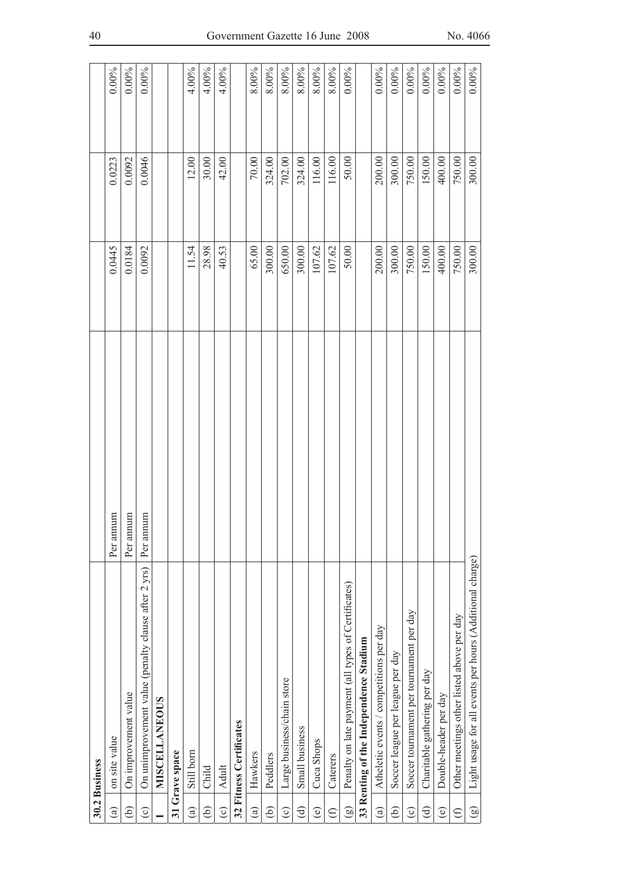|                | 30.2 Business                                            |           |        |        |          |
|----------------|----------------------------------------------------------|-----------|--------|--------|----------|
| $\circledast$  | on site value                                            | Per annum | 0.0445 | 0.0223 | $0.00\%$ |
| ව              | On improvement value                                     | Per annum | 0.0184 | 0.0092 | $0.00\%$ |
| $\odot$        | On unimprovement value (penalty clause after 2 yrs)      | Per annum | 0.0092 | 0.0046 | $0.00\%$ |
|                | <b>MISCELLANEOUS</b>                                     |           |        |        |          |
|                | 31 Grave space                                           |           |        |        |          |
| $\mathbf{G}$   | Still born                                               |           | 11.54  | 12.00  | 4.00%    |
| $\widehat{e}$  | Child                                                    |           | 28.98  | 30.00  | 4.00%    |
| $\odot$        | Adult                                                    |           | 40.53  | 42.00  | 4.00%    |
|                | 32 Fitness Certificates                                  |           |        |        |          |
| $\mathbf{G}$   | Hawkers                                                  |           | 65.00  | 70.00  | 8.00%    |
| $\widehat{e}$  | Peddlers                                                 |           | 300.00 | 324.00 | 8.00%    |
| $\odot$        | Large business/chain store                               |           | 650.00 | 702.00 | 8.00%    |
| $\bigoplus$    | Small business                                           |           | 300.00 | 324.00 | 8.00%    |
| $\circlede$    | Cuca Shops                                               |           | 107.62 | 116.00 | 8.00%    |
| $\bigoplus$    | Caterers                                                 |           | 107.62 | 116.00 | 8.00%    |
| $\circledcirc$ | Penalty on late payment (all types of Certificates)      |           | 50.00  | 50.00  | $0.00\%$ |
|                | 33 Renting of the Independence Stadium                   |           |        |        |          |
| $\widehat{a}$  | Atheletic events / competitions per day                  |           | 200.00 | 200.00 | $0.00\%$ |
| @              | Soccer league per league per day                         |           | 300.00 | 300.00 | $0.00\%$ |
| $\odot$        | Soccer tournament per tournament per day                 |           | 750.00 | 750.00 | $0.00\%$ |
| $\bigoplus$    | Charitable gathering per day                             |           | 150.00 | 150.00 | $0.00\%$ |
| $\circlede$    | Double-header per day                                    |           | 400.00 | 400.00 | $0.00\%$ |
| $\oplus$       | Other meetings other listed above per day                |           | 750.00 | 750.00 | $0.00\%$ |
| $\circledcirc$ | Light usage for all events per hours (Additional charge) |           | 300.00 | 300.00 | $0.00\%$ |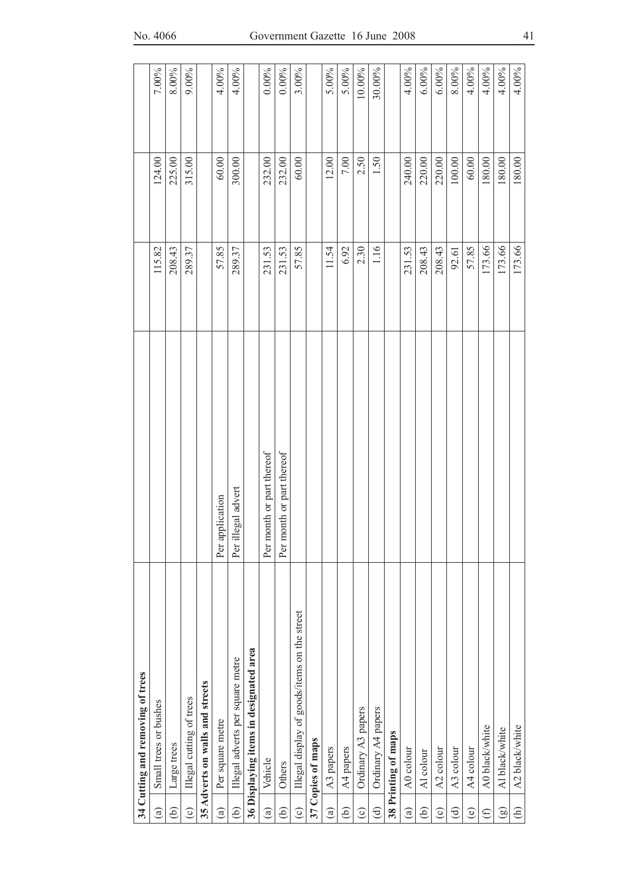|                        | 34 Cutting and removing of trees             |                           |        |        |          |
|------------------------|----------------------------------------------|---------------------------|--------|--------|----------|
| $\widehat{a}$          | Small trees or bushes                        |                           | 115.82 | 124.00 | 7.00%    |
| ව                      | Large trees                                  |                           | 208.43 | 225.00 | 8.00%    |
| $\odot$                | Illegal cutting of trees                     |                           | 289.37 | 315.00 | 9.00%    |
|                        | 35 Adverts on walls and streets              |                           |        |        |          |
| $\widehat{a}$          | Per square metre                             | Per application           | 57.85  | 60.00  | 4.00%    |
| ê                      | Illegal adverts per square metre             | Per illegal advert        | 289.37 | 300.00 | 4.00%    |
|                        | 36 Displaying items in designated area       |                           |        |        |          |
| $\circledR$            | Vehicle                                      | Per month or part thereof | 231.53 | 232.00 | $0.00\%$ |
| ê                      | Others                                       | Per month or part thereof | 231.53 | 232.00 | $0.00\%$ |
| $\widehat{c}$          | Illegal display of goods/items on the street |                           | 57.85  | 60.00  | 3.00%    |
|                        | 37 Copies of maps                            |                           |        |        |          |
| $\widehat{a}$          | A3 papers                                    |                           | 11.54  | 12.00  | 5.00%    |
| ව                      | A4 papers                                    |                           | 6.92   | 7.00   | $5.00\%$ |
| $\odot$                | Ordinary A3 papers                           |                           | 2.30   | 2.50   | 10.00%   |
| $\widehat{\mathbf{d}}$ | Ordinary A4 papers                           |                           | 1.16   | 1.50   | 30.00%   |
|                        | 38 Printing of maps                          |                           |        |        |          |
| $\binom{a}{b}$         | A0 colour                                    |                           | 231.53 | 240.00 | 4.00%    |
| ව                      | Al colour                                    |                           | 208.43 | 220.00 | 6.00%    |
| $\odot$                | A2 colour                                    |                           | 208.43 | 220.00 | 6.00%    |
| ਰਿ                     | A3 colour                                    |                           | 92.61  | 100.00 | 8.00%    |
| $\circlede$            | A4 colour                                    |                           | 57.85  | 60.00  | 4.00%    |
| $\bigoplus$            | A0 black/white                               |                           | 173.66 | 180.00 | 4.00%    |
| $\circledcirc$         | Al black/white                               |                           | 173.66 | 180.00 | 4.00%    |
| $\widehat{\in}$        | A2 black/white                               |                           | 173.66 | 180.00 | $4.00\%$ |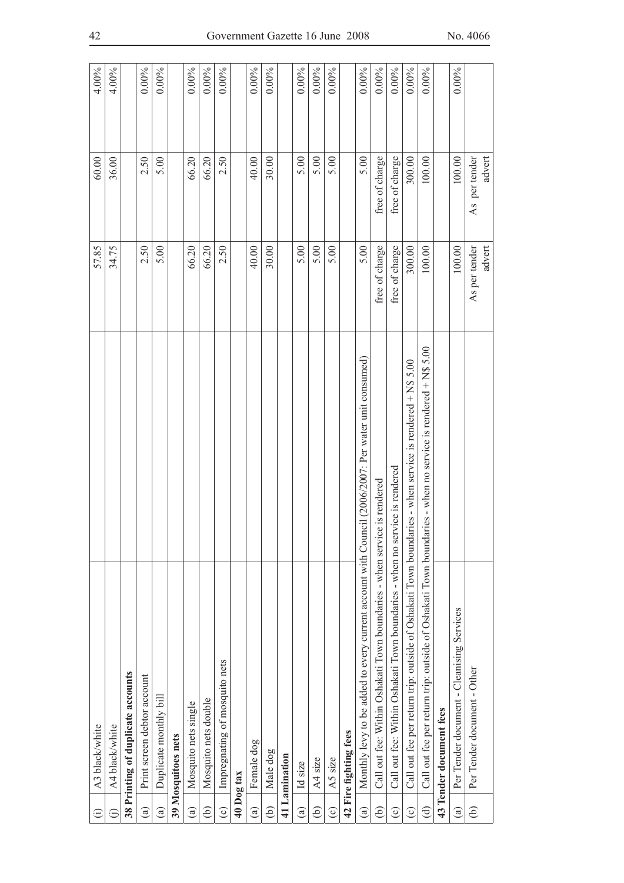| $\widehat{\Xi}$        | A3 black/white                                                                                             | 57.85                   | 60.00                   | 4.00%    |
|------------------------|------------------------------------------------------------------------------------------------------------|-------------------------|-------------------------|----------|
| ε                      | A4 black/white                                                                                             | 34.75                   | 36.00                   | 4.00%    |
|                        | 38 Printing of duplicate accounts                                                                          |                         |                         |          |
| $\binom{a}{b}$         | Print screen debtor account                                                                                | 2.50                    | 2.50                    | 0.00%    |
| $\widehat{a}$          | Duplicate monthly bill                                                                                     | 5.00                    | 5.00                    | $0.00\%$ |
|                        | 39 Mosquitoes nets                                                                                         |                         |                         |          |
| $\circledcirc$         | Mosquito nets single                                                                                       | 66.20                   | 66.20                   | $0.00\%$ |
| ව                      | Mosquito nets double                                                                                       | 66.20                   | 66.20                   | $0.00\%$ |
| $\odot$                | Impregnating of mosquito nets                                                                              | 2.50                    | 2.50                    | $0.00\%$ |
| 40 Dog tax             |                                                                                                            |                         |                         |          |
| $\mathbf{G}$           | Female dog                                                                                                 | 40.00                   | 40.00                   | $0.00\%$ |
| ම                      | Male dog                                                                                                   | 30.00                   | 30.00                   | $0.00\%$ |
|                        | 41 Lamination                                                                                              |                         |                         |          |
| $\circledast$          | Id size                                                                                                    | 5.00                    | 5.00                    | $0.00\%$ |
| ව                      | A4 size                                                                                                    | 5.00                    | 5.00                    | $0.00\%$ |
| $\widehat{\circ}$      | A5 size                                                                                                    | 5.00                    | 5.00                    | $0.00\%$ |
|                        | 42 Fire fighting fees                                                                                      |                         |                         |          |
| $\widehat{a}$          | Monthly levy to be added to every current account with Council (2006/2007: Per water unit consumed)        | 5.00                    | 5.00                    | $0.00\%$ |
| ව                      | Call out fee: Within Oshakati Town boundaries - when service is rendered                                   | free of charge          | free of charge          | $0.00\%$ |
| $\odot$                | Call out fee: Within Oshakati Town boundaries - when no service is rendered                                | free of charge          | free of charge          | $0.00\%$ |
| $\odot$                | Call out fee per return trip: outside of Oshakati Town boundaries - when service is rendered + N\$ 5.00    | 300.00                  | 300.00                  | $0.00\%$ |
| $\widehat{\mathbf{d}}$ | Call out fee per return trip: outside of Oshakati Town boundaries - when no service is rendered + N\$ 5.00 | 100.00                  | 100.00                  | $0.00\%$ |
|                        | 43 Tender document fees                                                                                    |                         |                         |          |
| $\widehat{a}$          | Per Tender document - Cleanising Services                                                                  | 100.00                  | 100.00                  | $0.00\%$ |
| ê)                     | Per Tender document - Other                                                                                | advert<br>As per tender | As per tender<br>advert |          |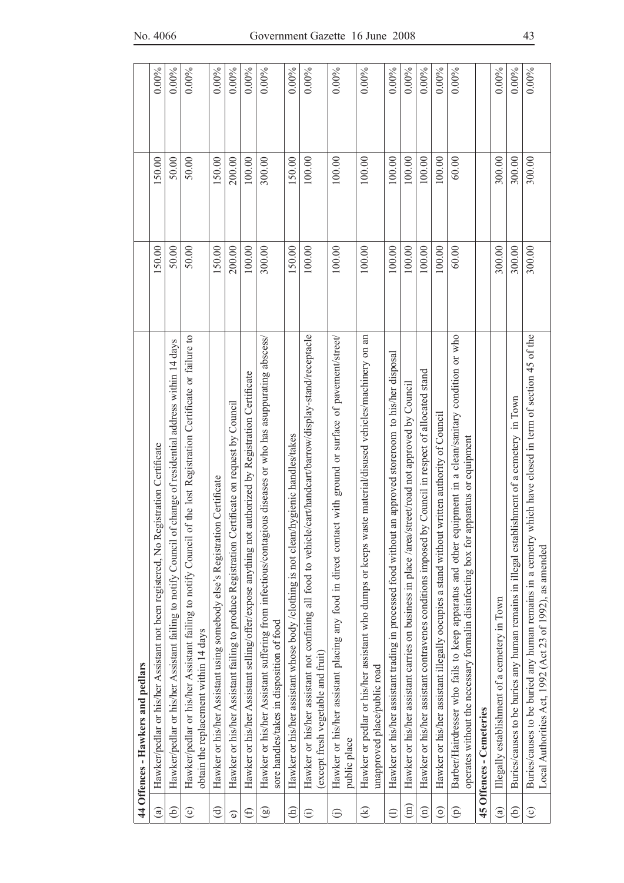|                        | 44 Offences - Hawkers and pedlars                                                                                                                                                                 |        |        |          |
|------------------------|---------------------------------------------------------------------------------------------------------------------------------------------------------------------------------------------------|--------|--------|----------|
| $\widehat{\mathbf{e}}$ | Hawker/pedlar or his/her Assistant not been registered, No Registration Certificate                                                                                                               | 150.00 | 150.00 | $0.00\%$ |
| ව                      | of change of residential address within 14 days<br>Hawker/pedlar or his/her Assistant failing to notify Council                                                                                   | 50.00  | 50.00  | $0.00\%$ |
| $\odot$                | of the lost Registration Certificate or failure to<br>Hawker/pedlar or his/her Assistant failing to notify Council<br>obtain the replacement within 14 days                                       | 50.00  | 50.00  | $0.00\%$ |
| $\widehat{c}$          | Hawker or his/her Assistant using somebody else's Registration Certificate                                                                                                                        | 150.00 | 150.00 | $0.00\%$ |
| $\widehat{\bullet}$    | Hawker or his/her Assistant failing to produce Registration Certificate on request by Council                                                                                                     | 200.00 | 200.00 | 0.00%    |
| $\bigoplus$            | Hawker or his/her Assistant selling/offer/expose anything not authorized by Registration Certificate                                                                                              | 100.00 | 100.00 | $0.00\%$ |
| $\circledcirc$         | Hawker or his/her Assistant suffering from infectious/contagious diseases or who has asuppurating abscess<br>sore handles/takes in disposition of food                                            | 300.00 | 300.00 | $0.00\%$ |
| $\widehat{E}$          | Hawker or his/her assistant whose body /clothing is not clean/hygienic handles/takes                                                                                                              | 150.00 | 150.00 | $0.00\%$ |
| $\odot$                | Hawker or his/her assistant not confining all food to vehicle/cart/handcart/barrow/display-stand/receptacle<br>(except fresh vegetable and fruit)                                                 | 100.00 | 100.00 | $0.00\%$ |
| $\widehat{\Theta}$     | Hawker or his/her assistant placing any food in direct contact with ground or surface of pavement/street/<br>public place                                                                         | 100.00 | 100.00 | $0.00\%$ |
| $\circledast$          | Hawker or pedlar or his/her assistant who dumps or keeps waste material/disused vehicles/machinery on an<br>unapproved place/public road                                                          | 100.00 | 100.00 | $0.00\%$ |
| $\ominus$              | Hawker or his/her assistant trading in processed food without an approved storeroom to his/her disposal                                                                                           | 100.00 | 100.00 | $0.00\%$ |
| $\widehat{\Xi}$        | Hawker or his/her assistant carries on business in place /area/street/road not approved by Council                                                                                                | 100.00 | 100.00 | $0.00\%$ |
| $\widehat{\Xi}$        | by Council in respect of allocated stand<br>Hawker or his/her assistant contravenes conditions imposed                                                                                            | 100.00 | 100.00 | $0.00\%$ |
| $\odot$                | Hawker or his/her assistant illegally oocupies a stand without written authority of Council                                                                                                       | 100.00 | 100.00 | $0.00\%$ |
| $\widehat{\Theta}$     | Barber/Hairdresser who fails to keep apparatus and other equipment in a clean/sanitary condition or who<br>apparatus or equipment<br>operates without the necessary formalin disinfecting box for | 60.00  | 60.00  | $0.00\%$ |
|                        | 45 Offences - Cemeteries                                                                                                                                                                          |        |        |          |
| $\binom{a}{b}$         | Illegally establishment of a cemetery in Town                                                                                                                                                     | 300.00 | 300.00 | $0.00\%$ |
| ව                      | Buries/causes to be buries any human remains in illegal establishment of a cemetery in Town                                                                                                       | 300.00 | 300.00 | $0.00\%$ |
| $\odot$                | which have closed in term of section 45 of the<br>Buries/causes to be buried any human remains in a cemetry<br>Local Authorities Act, 1992 (Act 23 of 1992), as amended                           | 300.00 | 300.00 | $0.00\%$ |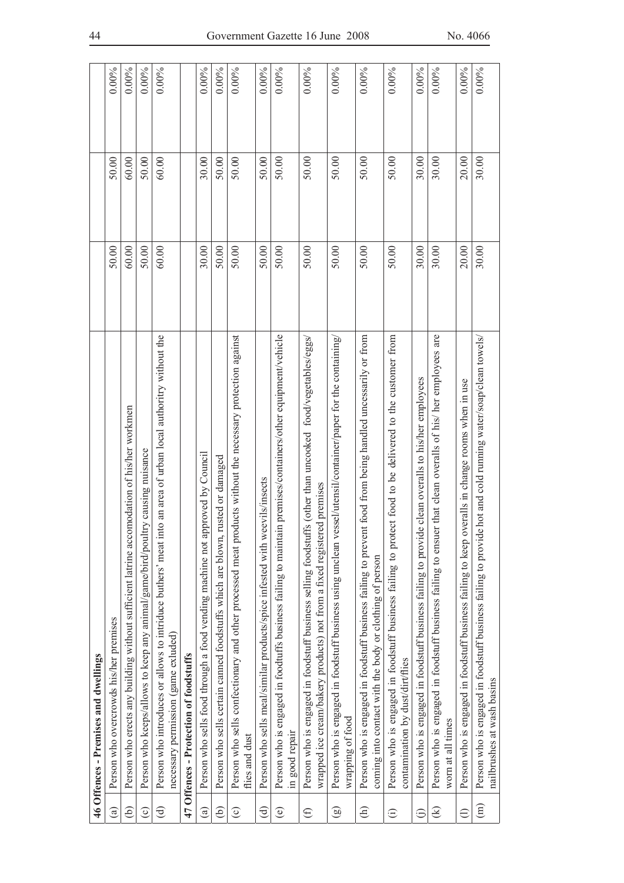|                        | 46 Offences - Premises and dwellings                                                                                                                                                 |       |       |          |
|------------------------|--------------------------------------------------------------------------------------------------------------------------------------------------------------------------------------|-------|-------|----------|
| $\binom{a}{b}$         | Person who overcrowds his/her premises                                                                                                                                               | 50.00 | 50.00 | $0.00\%$ |
| ව                      | Person who erects any building without sufficient latrine accomodation of his/her workmen                                                                                            | 60.00 | 60.00 | $0.00\%$ |
| $\odot$                | Person who keeps/allows to keep any animal/game/bird/poultry causing nuisance                                                                                                        | 50.00 | 50.00 | 0.00%    |
| $\widehat{\mathbf{c}}$ | Person who introduces or allows to intriduce buthers' meat into an area of urban local authoritry without the<br>necessary permission (game exluded)                                 | 60.00 | 60.00 | $0.00\%$ |
|                        | 47 Offences - Protection of foodstuffs                                                                                                                                               |       |       |          |
| $\widehat{\mathbf{e}}$ | pproved by Council<br>Person who sells food through a food vending machine not ap                                                                                                    | 30.00 | 30.00 | 0.00%    |
| ව                      | rusted or damaged<br>Person who sells certain canned foodstuffs which are blown,                                                                                                     | 50.00 | 50.00 | $0.00\%$ |
| $\odot$                | Person who sells confectionary and other processed meat products without the necessary protection against<br>flies and dust                                                          | 50.00 | 50.00 | $0.00\%$ |
| $\bigoplus$            | eevils/insects<br>Person who sells meal/similar products/spice infested with w                                                                                                       | 50.00 | 50.00 | $0.00\%$ |
| $\circledcirc$         | Person who is engaged in foodtuffs business failing to maintain premises/containers/other equipment/vehicle<br>in good repair                                                        | 50.00 | 50.00 | $0.00\%$ |
| $\bigoplus$            | Person who is engaged in foodstuff business selling foodstuffs (other than uncooked food/vegetables/eggs/<br>wrapped ice cream/bakery products) not from a fixed registered premises | 50.00 | 50.00 | $0.00\%$ |
| $\circledcirc$         | Person who is engaged in foodstuff business using unclean vessel/utensil/container/paper for the containing<br>wrapping of food                                                      | 50.00 | 50.00 | $0.00\%$ |
| $\bigoplus$            | Person who is engaged in foodstuff business failing to prevent food from being handled uncessarily or from<br>coming into contact with the body or clothing of person                | 50.00 | 50.00 | $0.00\%$ |
| $\hat{c}$              | ect food to be delivered to the customer from<br>Person who is engaged in foodstuff business failing to prot<br>contamination by dust/dirt/flies                                     | 50.00 | 50.00 | $0.00\%$ |
| $\hat{\Theta}$         | Person who is engaged in foodstuff business failing to provide clean overalls to his/her employees                                                                                   | 30.00 | 30.00 | $0.00\%$ |
| ⊛                      | Person who is engaged in foodstuff business failing to ensuer that clean overalls of his/ her employees are<br>worn at all times                                                     | 30.00 | 30.00 | $0.00\%$ |
| $\ominus$              | Person who is engaged in foodstuff business failing to keep overalls in change rooms when in use                                                                                     | 20.00 | 20.00 | 0.00%    |
| $\widehat{E}$          | Person who is engaged in foodstuff business failing to provide hot and cold running water/soap/clean towels/<br>nailbrushes at wash basins                                           | 30.00 | 30.00 | $0.00\%$ |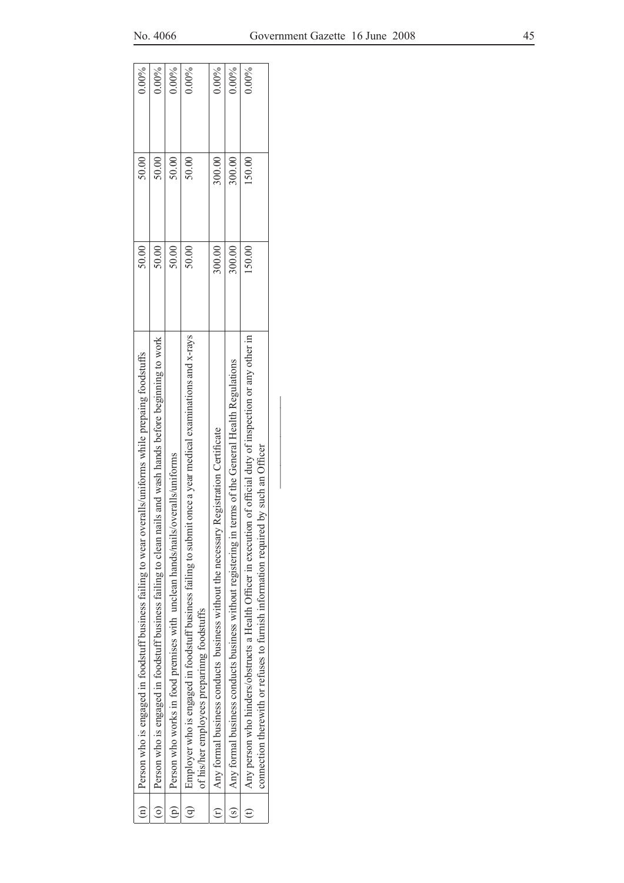| $\widehat{E}$  | Person who is engaged in foodstuff business failing to wear overalls/uniforms while prepaing foodstuffs                                                                                                | 50.00  | 50.00  | $0.00\%$ |  |
|----------------|--------------------------------------------------------------------------------------------------------------------------------------------------------------------------------------------------------|--------|--------|----------|--|
| $\overline{c}$ | Person who is engaged in foodstuff business failing to clean nails and wash hands before beginning to work                                                                                             | 50.00  | 50.00  | $0.00\%$ |  |
| $\widehat{P}$  | Person who works in food premises with unclean hands/nails/overalls/uniforms                                                                                                                           | 50.00  | 50.00  | $0.00\%$ |  |
| $\widehat{G}$  | Employer who is engaged in foodstuff business failing to submit once a year medical examinations and x-rays<br>of his/her employees preparinng foodstuffs                                              | 50.00  | 50.00  | $0.00\%$ |  |
|                | Registration Certificate<br>Any formal business conducts business without the necessary l                                                                                                              | 300.00 | 300.00 | $0.00\%$ |  |
| $\overline{s}$ | Any formal business conducts business without registering in terms of the General Health Regulations                                                                                                   | 300.00 | 300.00 | $0.00\%$ |  |
|                | Any person who hinders/obstructs a Health Officer in execution of official duty of inspection or any other in<br>by such an Officer<br>connection therewith or refuses to furnish information required | 150.00 | 150.00 | $0.00\%$ |  |
|                |                                                                                                                                                                                                        |        |        |          |  |